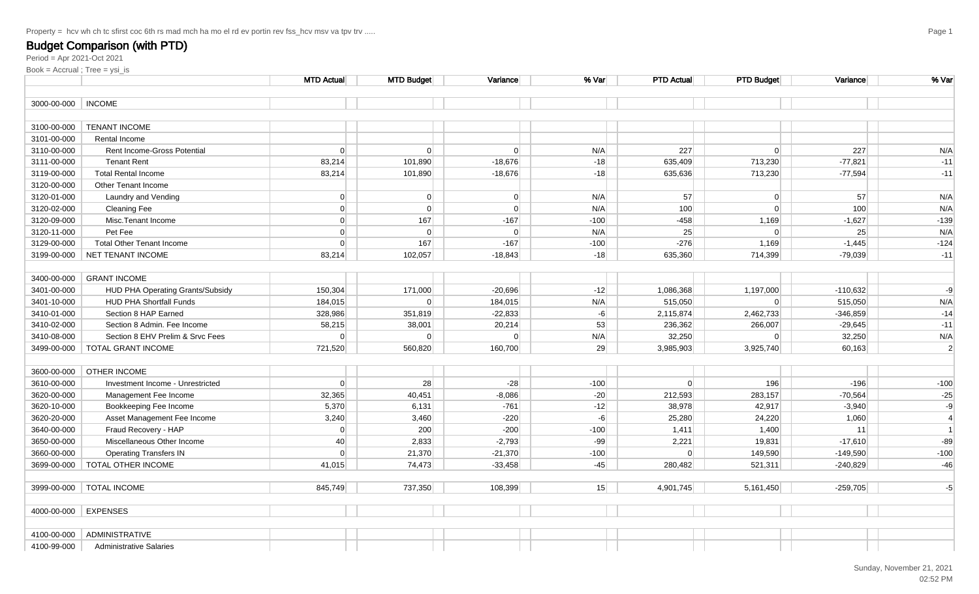Period = Apr 2021-Oct 2021

|                      |                                  | <b>MTD Actual</b> | <b>MTD Budget</b> | Variancel      | % Var  | <b>PTD Actual</b> | <b>PTD Budget</b> | Variance   | % Var          |
|----------------------|----------------------------------|-------------------|-------------------|----------------|--------|-------------------|-------------------|------------|----------------|
| 3000-00-000          | <b>INCOME</b>                    |                   |                   |                |        |                   |                   |            |                |
|                      |                                  |                   |                   |                |        |                   |                   |            |                |
| 3100-00-000          | <b>TENANT INCOME</b>             |                   |                   |                |        |                   |                   |            |                |
| 3101-00-000          | Rental Income                    |                   |                   |                |        |                   |                   |            |                |
| 3110-00-000          | Rent Income-Gross Potential      | $\Omega$          | $\Omega$          | $\Omega$       | N/A    | 227               | $\Omega$          | 227        | N/A            |
| 3111-00-000          | <b>Tenant Rent</b>               | 83,214            | 101,890           | $-18,676$      | $-18$  | 635,409           | 713,230           | $-77,821$  | $-11$          |
| 3119-00-000          | <b>Total Rental Income</b>       | 83,214            | 101,890           | $-18,676$      | $-18$  | 635,636           | 713,230           | $-77,594$  | $-11$          |
| 3120-00-000          | <b>Other Tenant Income</b>       |                   |                   |                |        |                   |                   |            |                |
| 3120-01-000          | Laundry and Vending              | $\Omega$          | $\overline{0}$    | 0              | N/A    | 57                | $\overline{0}$    | 57         | N/A            |
| 3120-02-000          | <b>Cleaning Fee</b>              | $\Omega$          | $\overline{0}$    | 0              | N/A    | 100               | $\overline{0}$    | 100        | N/A            |
| 3120-09-000          | Misc.Tenant Income               | $\Omega$          | 167               | $-167$         | $-100$ | $-458$            | 1,169             | $-1,627$   | $-139$         |
| 3120-11-000          | Pet Fee                          | $\overline{0}$    | $\overline{0}$    | $\overline{0}$ | N/A    | 25                | $\overline{0}$    | 25         | N/A            |
| 3129-00-000          | <b>Total Other Tenant Income</b> | 0                 | 167               | $-167$         | $-100$ | $-276$            | 1,169             | $-1,445$   | $-124$         |
| 3199-00-000          | NET TENANT INCOME                | 83,214            | 102,057           | $-18.843$      | $-18$  | 635,360           | 714,399           | $-79.039$  | $-11$          |
|                      |                                  |                   |                   |                |        |                   |                   |            |                |
| 3400-00-000          | <b>GRANT INCOME</b>              |                   |                   |                |        |                   |                   |            |                |
| 3401-00-000          | HUD PHA Operating Grants/Subsidy | 150,304           | 171,000           | $-20,696$      | $-12$  | 1,086,368         | 1,197,000         | $-110,632$ | $-9$           |
| 3401-10-000          | <b>HUD PHA Shortfall Funds</b>   | 184,015           | $\overline{0}$    | 184,015        | N/A    | 515,050           | $\Omega$          | 515,050    | N/A            |
| 3410-01-000          | Section 8 HAP Earned             | 328,986           | 351,819           | $-22,833$      | $-6$   | 2,115,874         | 2,462,733         | $-346,859$ | $-14$          |
| 3410-02-000          | Section 8 Admin. Fee Income      | 58,215            | 38,001            | 20,214         | 53     | 236,362           | 266,007           | $-29,645$  | $-11$          |
| 3410-08-000          | Section 8 EHV Prelim & Srvc Fees | $\Omega$          | $\Omega$          | $\overline{0}$ | N/A    | 32,250            | $\overline{0}$    | 32,250     | N/A            |
| 3499-00-000          | TOTAL GRANT INCOME               | 721,520           | 560,820           | 160,700        | 29     | 3,985,903         | 3,925,740         | 60,163     | $\sqrt{2}$     |
|                      |                                  |                   |                   |                |        |                   |                   |            |                |
| 3600-00-000          | <b>OTHER INCOME</b>              |                   |                   |                |        |                   |                   |            |                |
| 3610-00-000          | Investment Income - Unrestricted | 0                 | 28                | $-28$          | $-100$ | 0                 | 196               | $-196$     | $-100$         |
| 3620-00-000          | Management Fee Income            | 32,365            | 40,451            | $-8,086$       | $-20$  | 212,593           | 283,157           | $-70,564$  | $-25$          |
| 3620-10-000          | Bookkeeping Fee Income           | 5,370             | 6,131             | $-761$         | $-12$  | 38,978            | 42,917            | $-3,940$   | $-9$           |
| 3620-20-000          | Asset Management Fee Income      | 3,240             | 3,460             | $-220$         | $-6$   | 25,280            | 24,220            | 1,060      | $\overline{4}$ |
| 3640-00-000          | Fraud Recovery - HAP             | $\overline{0}$    | 200               | $-200$         | $-100$ | 1,411             | 1,400             | 11         | $\overline{1}$ |
| 3650-00-000          | Miscellaneous Other Income       | 40                | 2,833             | $-2,793$       | $-99$  | 2,221             | 19,831            | $-17,610$  | $-89$          |
| 3660-00-000          | <b>Operating Transfers IN</b>    | $\overline{0}$    | 21,370            | $-21,370$      | $-100$ | 0                 | 149,590           | $-149,590$ | $-100$         |
| 3699-00-000          | TOTAL OTHER INCOME               | 41,015            | 74,473            | $-33,458$      | $-45$  | 280,482           | 521,311           | $-240,829$ | $-46$          |
|                      |                                  |                   |                   |                |        |                   |                   |            |                |
| 3999-00-000          | <b>TOTAL INCOME</b>              | 845,749           | 737,350           | 108,399        | 15     | 4,901,745         | 5,161,450         | $-259,705$ | $-5$           |
|                      |                                  |                   |                   |                |        |                   |                   |            |                |
| 4000-00-000 EXPENSES |                                  |                   |                   |                |        |                   |                   |            |                |
|                      |                                  |                   |                   |                |        |                   |                   |            |                |
| 4100-00-000          | <b>ADMINISTRATIVE</b>            |                   |                   |                |        |                   |                   |            |                |
| 4100-99-000          | <b>Administrative Salaries</b>   |                   |                   |                |        |                   |                   |            |                |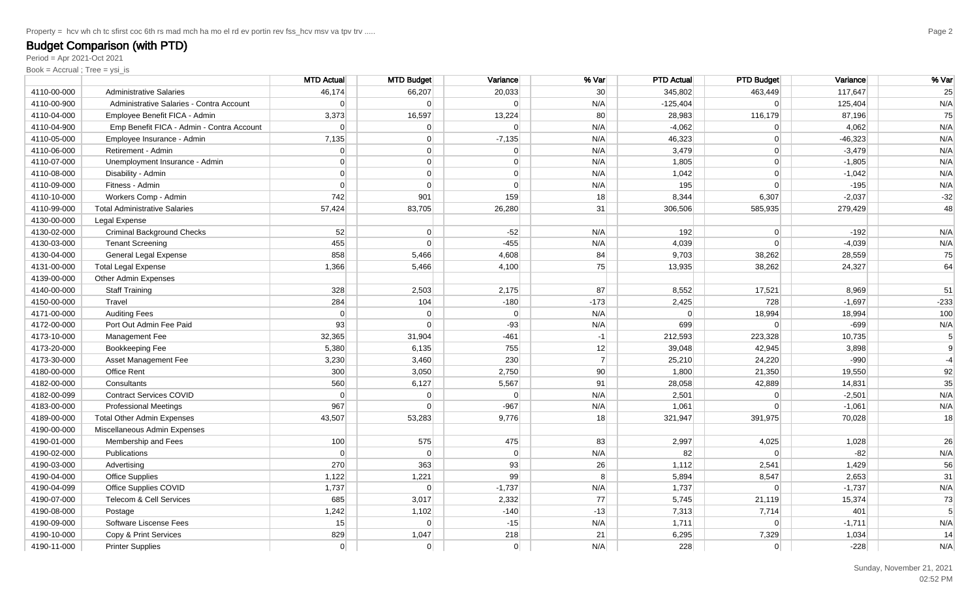Period = Apr 2021-Oct 2021

|             |                                           | <b>MTD Actual</b> | <b>MTD Budget</b> | Variance       | % Var           | <b>PTD Actual</b> | <b>PTD Budget</b> | Variance  | % Var          |
|-------------|-------------------------------------------|-------------------|-------------------|----------------|-----------------|-------------------|-------------------|-----------|----------------|
| 4110-00-000 | <b>Administrative Salaries</b>            | 46,174            | 66,207            | 20,033         | 30 <sup>°</sup> | 345,802           | 463,449           | 117,647   | 25             |
| 4110-00-900 | Administrative Salaries - Contra Account  | 0                 | $\overline{0}$    | 0              | N/A             | $-125,404$        | $\overline{0}$    | 125,404   | N/A            |
| 4110-04-000 | Employee Benefit FICA - Admin             | 3,373             | 16,597            | 13,224         | 80              | 28,983            | 116,179           | 87,196    | 75             |
| 4110-04-900 | Emp Benefit FICA - Admin - Contra Account | 0                 | $\overline{0}$    | 0              | N/A             | $-4,062$          | $\overline{0}$    | 4,062     | N/A            |
| 4110-05-000 | Employee Insurance - Admin                | 7,135             | $\overline{0}$    | $-7,135$       | N/A             | 46,323            | 0                 | $-46,323$ | N/A            |
| 4110-06-000 | Retirement - Admin                        | $\overline{0}$    | $\overline{0}$    | $\Omega$       | N/A             | 3,479             | $\overline{0}$    | $-3,479$  | N/A            |
| 4110-07-000 | Unemployment Insurance - Admin            | $\overline{0}$    | 0                 | $\Omega$       | N/A             | 1,805             | $\overline{0}$    | $-1,805$  | N/A            |
| 4110-08-000 | Disability - Admin                        | $\overline{0}$    | $\overline{0}$    | $\Omega$       | N/A             | 1,042             | 0                 | $-1,042$  | N/A            |
| 4110-09-000 | Fitness - Admin                           | $\Omega$          | $\overline{0}$    | $\Omega$       | N/A             | 195               | $\overline{0}$    | $-195$    | N/A            |
| 4110-10-000 | Workers Comp - Admin                      | 742               | 901               | 159            | 18              | 8,344             | 6,307             | $-2,037$  | $-32$          |
| 4110-99-000 | <b>Total Administrative Salaries</b>      | 57,424            | 83,705            | 26,280         | 31              | 306,506           | 585,935           | 279,429   | 48             |
| 4130-00-000 | Legal Expense                             |                   |                   |                |                 |                   |                   |           |                |
| 4130-02-000 | <b>Criminal Background Checks</b>         | 52                | $\overline{0}$    | $-52$          | N/A             | 192               | 0                 | $-192$    | N/A            |
| 4130-03-000 | <b>Tenant Screening</b>                   | 455               | $\Omega$          | $-455$         | N/A             | 4,039             | $\overline{0}$    | $-4,039$  | N/A            |
| 4130-04-000 | General Legal Expense                     | 858               | 5,466             | 4,608          | 84              | 9,703             | 38,262            | 28,559    | 75             |
| 4131-00-000 | <b>Total Legal Expense</b>                | 1,366             | 5,466             | 4,100          | 75              | 13,935            | 38,262            | 24,327    | 64             |
| 4139-00-000 | Other Admin Expenses                      |                   |                   |                |                 |                   |                   |           |                |
| 4140-00-000 | <b>Staff Training</b>                     | 328               | 2,503             | 2,175          | 87              | 8,552             | 17,521            | 8,969     | 51             |
| 4150-00-000 | Travel                                    | 284               | 104               | $-180$         | $-173$          | 2,425             | 728               | $-1,697$  | $-233$         |
| 4171-00-000 | <b>Auditing Fees</b>                      | $\Omega$          | $\overline{0}$    | 0              | N/A             | $\Omega$          | 18,994            | 18,994    | 100            |
| 4172-00-000 | Port Out Admin Fee Paid                   | 93                | $\Omega$          | $-93$          | N/A             | 699               | $\Omega$          | $-699$    | N/A            |
| 4173-10-000 | Management Fee                            | 32,365            | 31,904            | $-461$         | $-1$            | 212,593           | 223,328           | 10,735    | 5 <sup>5</sup> |
| 4173-20-000 | Bookkeeping Fee                           | 5,380             | 6,135             | 755            | 12              | 39,048            | 42.945            | 3,898     | $\overline{9}$ |
| 4173-30-000 | Asset Management Fee                      | 3,230             | 3,460             | 230            | $\overline{7}$  | 25,210            | 24,220            | $-990$    | $-4$           |
| 4180-00-000 | Office Rent                               | 300               | 3,050             | 2,750          | 90              | 1,800             | 21,350            | 19,550    | 92             |
| 4182-00-000 | Consultants                               | 560               | 6,127             | 5,567          | 91              | 28,058            | 42,889            | 14,831    | 35             |
| 4182-00-099 | <b>Contract Services COVID</b>            | $\Omega$          | $\overline{0}$    | $\Omega$       | N/A             | 2,501             | $\overline{0}$    | $-2,501$  | N/A            |
| 4183-00-000 | <b>Professional Meetings</b>              | 967               | $\overline{0}$    | $-967$         | N/A             | 1,061             | $\Omega$          | $-1,061$  | N/A            |
| 4189-00-000 | <b>Total Other Admin Expenses</b>         | 43,507            | 53,283            | 9,776          | 18              | 321,947           | 391,975           | 70,028    | 18             |
| 4190-00-000 | Miscellaneous Admin Expenses              |                   |                   |                |                 |                   |                   |           |                |
| 4190-01-000 | Membership and Fees                       | 100               | 575               | 475            | 83              | 2,997             | 4,025             | 1,028     | 26             |
| 4190-02-000 | Publications                              | $\Omega$          | $\Omega$          | $\Omega$       | N/A             | 82                | $\Omega$          | $-82$     | N/A            |
| 4190-03-000 | Advertising                               | 270               | 363               | 93             | 26              | 1,112             | 2,541             | 1,429     | 56             |
| 4190-04-000 | <b>Office Supplies</b>                    | 1,122             | 1,221             | 99             | 8 <sup>1</sup>  | 5,894             | 8,547             | 2,653     | 31             |
| 4190-04-099 | Office Supplies COVID                     | 1,737             | $\Omega$          | $-1,737$       | N/A             | 1,737             | $\Omega$          | $-1,737$  | N/A            |
| 4190-07-000 | Telecom & Cell Services                   | 685               | 3,017             | 2,332          | 77              | 5,745             | 21,119            | 15,374    | 73             |
| 4190-08-000 | Postage                                   | 1,242             | 1,102             | $-140$         | $-13$           | 7,313             | 7,714             | 401       | 5 <sup>1</sup> |
| 4190-09-000 | Software Liscense Fees                    | 15                | $\Omega$          | $-15$          | N/A             | 1,711             | $\overline{0}$    | $-1,711$  | N/A            |
| 4190-10-000 | Copy & Print Services                     | 829               | 1,047             | 218            | 21              | 6,295             | 7,329             | 1,034     | 14             |
| 4190-11-000 | <b>Printer Supplies</b>                   | 0                 | $\overline{0}$    | $\overline{0}$ | N/A             | 228               | 0                 | $-228$    | N/A            |
|             |                                           |                   |                   |                |                 |                   |                   |           |                |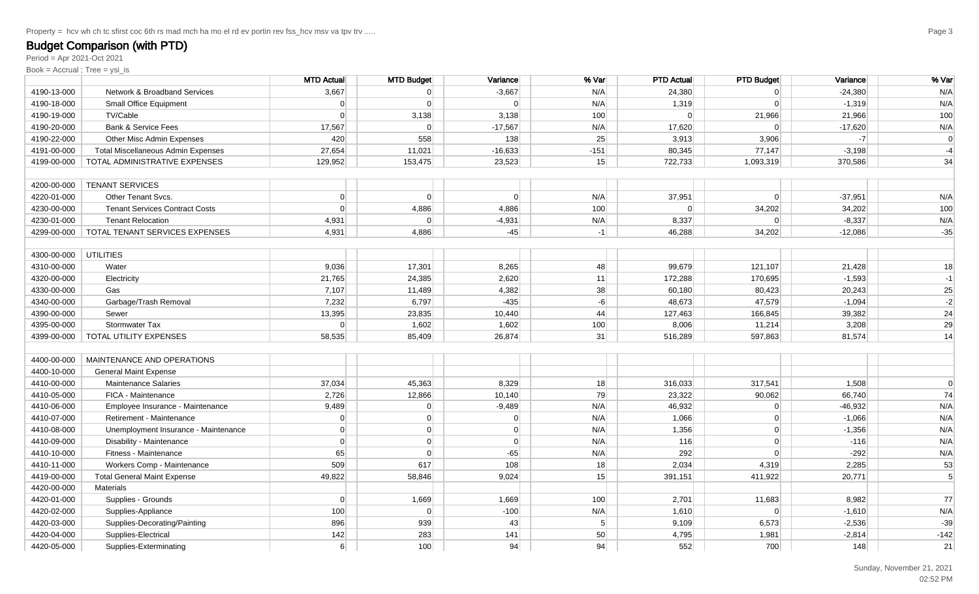Period = Apr 2021-Oct 2021

|             |                                           | <b>MTD Actual</b> | <b>MTD Budget</b> | Variance  | % Var          | <b>PTD Actual</b> | <b>PTD Budget</b> | Variance  | % Var          |
|-------------|-------------------------------------------|-------------------|-------------------|-----------|----------------|-------------------|-------------------|-----------|----------------|
| 4190-13-000 | Network & Broadband Services              | 3,667             | $\Omega$          | $-3,667$  | N/A            | 24,380            | $\Omega$          | $-24,380$ | N/A            |
| 4190-18-000 | Small Office Equipment                    | $\Omega$          | $\Omega$          | $\Omega$  | N/A            | 1,319             | $\Omega$          | $-1,319$  | N/A            |
| 4190-19-000 | TV/Cable                                  | $\Omega$          | 3,138             | 3,138     | 100            | $\Omega$          | 21,966            | 21,966    | 100            |
| 4190-20-000 | <b>Bank &amp; Service Fees</b>            | 17,567            | $\Omega$          | $-17,567$ | N/A            | 17,620            | $\Omega$          | $-17,620$ | N/A            |
| 4190-22-000 | Other Misc Admin Expenses                 | 420               | 558               | 138       | 25             | 3,913             | 3,906             | $-7$      | $\mathbf 0$    |
| 4191-00-000 | <b>Total Miscellaneous Admin Expenses</b> | 27,654            | 11,021            | $-16,633$ | $-151$         | 80,345            | 77,147            | $-3,198$  | $-4$           |
| 4199-00-000 | TOTAL ADMINISTRATIVE EXPENSES             | 129,952           | 153,475           | 23,523    | 15             | 722,733           | 1,093,319         | 370,586   | 34             |
|             |                                           |                   |                   |           |                |                   |                   |           |                |
| 4200-00-000 | <b>TENANT SERVICES</b>                    |                   |                   |           |                |                   |                   |           |                |
| 4220-01-000 | <b>Other Tenant Svcs.</b>                 | $\Omega$          | $\Omega$          | $\Omega$  | N/A            | 37,951            | $\overline{0}$    | $-37,951$ | N/A            |
| 4230-00-000 | <b>Tenant Services Contract Costs</b>     | $\Omega$          | 4,886             | 4,886     | 100            | $\Omega$          | 34,202            | 34,202    | 100            |
| 4230-01-000 | <b>Tenant Relocation</b>                  | 4,931             | $\Omega$          | $-4,931$  | N/A            | 8,337             | $\Omega$          | $-8,337$  | N/A            |
| 4299-00-000 | TOTAL TENANT SERVICES EXPENSES            | 4,931             | 4,886             | $-45$     | $-1$           | 46,288            | 34,202            | $-12,086$ | $-35$          |
|             |                                           |                   |                   |           |                |                   |                   |           |                |
| 4300-00-000 | <b>UTILITIES</b>                          |                   |                   |           |                |                   |                   |           |                |
| 4310-00-000 | Water                                     | 9,036             | 17,301            | 8,265     | 48             | 99,679            | 121,107           | 21,428    | 18             |
| 4320-00-000 | Electricity                               | 21,765            | 24,385            | 2,620     | 11             | 172,288           | 170,695           | $-1,593$  | $-1$           |
| 4330-00-000 | Gas                                       | 7,107             | 11,489            | 4,382     | 38             | 60,180            | 80,423            | 20,243    | 25             |
| 4340-00-000 | Garbage/Trash Removal                     | 7,232             | 6,797             | $-435$    | $-6$           | 48,673            | 47,579            | $-1,094$  | $-2$           |
| 4390-00-000 | Sewer                                     | 13,395            | 23,835            | 10,440    | 44             | 127,463           | 166,845           | 39,382    | 24             |
| 4395-00-000 | Stormwater Tax                            | $\Omega$          | 1,602             | 1,602     | 100            | 8,006             | 11,214            | 3,208     | 29             |
| 4399-00-000 | TOTAL UTILITY EXPENSES                    | 58,535            | 85,409            | 26,874    | 31             | 516,289           | 597,863           | 81,574    | 14             |
|             |                                           |                   |                   |           |                |                   |                   |           |                |
| 4400-00-000 | MAINTENANCE AND OPERATIONS                |                   |                   |           |                |                   |                   |           |                |
| 4400-10-000 | <b>General Maint Expense</b>              |                   |                   |           |                |                   |                   |           |                |
| 4410-00-000 | <b>Maintenance Salaries</b>               | 37,034            | 45,363            | 8,329     | 18             | 316,033           | 317,541           | 1,508     |                |
| 4410-05-000 | FICA - Maintenance                        | 2,726             | 12,866            | 10,140    | 79             | 23,322            | 90,062            | 66,740    | 74             |
| 4410-06-000 | Employee Insurance - Maintenance          | 9,489             | $\overline{0}$    | $-9,489$  | N/A            | 46,932            | $\Omega$          | $-46,932$ | N/A            |
| 4410-07-000 | Retirement - Maintenance                  | $\Omega$          | $\overline{0}$    | $\Omega$  | N/A            | 1,066             | $\overline{0}$    | $-1,066$  | N/A            |
| 4410-08-000 | Unemployment Insurance - Maintenance      | $\Omega$          | $\overline{0}$    | $\Omega$  | N/A            | 1,356             | $\Omega$          | $-1,356$  | N/A            |
| 4410-09-000 | Disability - Maintenance                  | $\Omega$          | $\overline{0}$    | $\Omega$  | N/A            | 116               | $\overline{0}$    | $-116$    | N/A            |
| 4410-10-000 | Fitness - Maintenance                     | 65                | $\overline{0}$    | $-65$     | N/A            | 292               | $\Omega$          | $-292$    | N/A            |
| 4410-11-000 | Workers Comp - Maintenance                | 509               | 617               | 108       | 18             | 2,034             | 4,319             | 2,285     | 53             |
| 4419-00-000 | <b>Total General Maint Expense</b>        | 49,822            | 58,846            | 9,024     | 15             | 391,151           | 411,922           | 20,771    | $\overline{5}$ |
| 4420-00-000 | <b>Materials</b>                          |                   |                   |           |                |                   |                   |           |                |
| 4420-01-000 | Supplies - Grounds                        | $\Omega$          | 1,669             | 1,669     | 100            | 2,701             | 11,683            | 8,982     | 77             |
| 4420-02-000 | Supplies-Appliance                        | 100               | $\Omega$          | $-100$    | N/A            | 1,610             | $\overline{0}$    | $-1,610$  | N/A            |
| 4420-03-000 | Supplies-Decorating/Painting              | 896               | 939               | 43        | 5 <sup>1</sup> | 9,109             | 6,573             | $-2,536$  | $-39$          |
| 4420-04-000 | Supplies-Electrical                       | 142               | 283               | 141       | 50             | 4,795             | 1,981             | $-2,814$  | $-142$         |
| 4420-05-000 | Supplies-Exterminating                    | 6                 | 100               | 94        | 94             | 552               | 700               | 148       | 21             |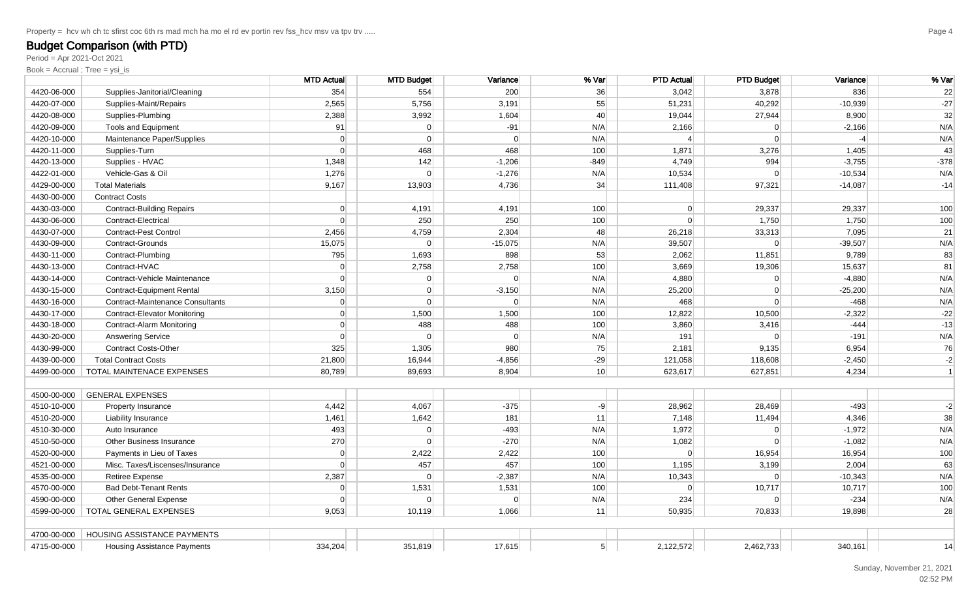Period = Apr 2021-Oct 2021

|             |                                         | <b>MTD Actual</b> | <b>MTD Budget</b> | Variance  | % Var          | <b>PTD Actual</b> | <b>PTD Budget</b> | Variance  | % Var     |
|-------------|-----------------------------------------|-------------------|-------------------|-----------|----------------|-------------------|-------------------|-----------|-----------|
| 4420-06-000 | Supplies-Janitorial/Cleaning            | 354               | 554               | 200       | 36             | 3,042             | 3,878             | 836       | 22        |
| 4420-07-000 | Supplies-Maint/Repairs                  | 2,565             | 5,756             | 3,191     | 55             | 51,231            | 40,292            | $-10,939$ | $-27$     |
| 4420-08-000 | Supplies-Plumbing                       | 2,388             | 3,992             | 1,604     | 40             | 19,044            | 27,944            | 8,900     | 32        |
| 4420-09-000 | Tools and Equipment                     | 91                | $\overline{0}$    | $-91$     | N/A            | 2,166             | $\Omega$          | $-2,166$  | N/A       |
| 4420-10-000 | Maintenance Paper/Supplies              | $\Omega$          | $\Omega$          | $\Omega$  | N/A            | $\Delta$          | $\Omega$          | $-4$      | N/A       |
| 4420-11-000 | Supplies-Turn                           | $\Omega$          | 468               | 468       | 100            | 1,871             | 3,276             | 1,405     | 43        |
| 4420-13-000 | Supplies - HVAC                         | 1,348             | 142               | $-1,206$  | $-849$         | 4,749             | 994               | $-3,755$  | $-378$    |
| 4422-01-000 | Vehicle-Gas & Oil                       | 1,276             | $\Omega$          | $-1,276$  | N/A            | 10,534            | $\Omega$          | $-10,534$ | N/A       |
| 4429-00-000 | <b>Total Materials</b>                  | 9,167             | 13,903            | 4,736     | 34             | 111,408           | 97,321            | $-14,087$ | $-14$     |
| 4430-00-000 | <b>Contract Costs</b>                   |                   |                   |           |                |                   |                   |           |           |
| 4430-03-000 | <b>Contract-Building Repairs</b>        | $\Omega$          | 4,191             | 4,191     | 100            | $\Omega$          | 29,337            | 29,337    | 100       |
| 4430-06-000 | Contract-Electrical                     | $\Omega$          | 250               | 250       | 100            | 0                 | 1,750             | 1,750     | 100       |
| 4430-07-000 | <b>Contract-Pest Control</b>            | 2,456             | 4,759             | 2,304     | 48             | 26,218            | 33,313            | 7,095     | 21        |
| 4430-09-000 | Contract-Grounds                        | 15,075            | $\overline{0}$    | $-15,075$ | N/A            | 39,507            | 0                 | $-39,507$ | N/A       |
| 4430-11-000 | Contract-Plumbing                       | 795               | 1,693             | 898       | 53             | 2,062             | 11,851            | 9,789     | 83        |
| 4430-13-000 | Contract-HVAC                           | $\Omega$          | 2,758             | 2,758     | 100            | 3,669             | 19,306            | 15,637    | 81        |
| 4430-14-000 | Contract-Vehicle Maintenance            | $\Omega$          | $\overline{0}$    | $\Omega$  | N/A            | 4,880             | 0                 | $-4,880$  | N/A       |
| 4430-15-000 | <b>Contract-Equipment Rental</b>        | 3,150             | 0                 | $-3,150$  | N/A            | 25,200            | 0                 | $-25,200$ | N/A       |
| 4430-16-000 | <b>Contract-Maintenance Consultants</b> | 0                 | $\Omega$          | $\Omega$  | N/A            | 468               | 0                 | $-468$    | N/A       |
| 4430-17-000 | <b>Contract-Elevator Monitoring</b>     | $\Omega$          | 1,500             | 1,500     | 100            | 12,822            | 10,500            | $-2,322$  | $-22$     |
| 4430-18-000 | Contract-Alarm Monitoring               | $\Omega$          | 488               | 488       | 100            | 3,860             | 3,416             | $-444$    | $-13$     |
| 4430-20-000 | <b>Answering Service</b>                | $\Omega$          | $\Omega$          | $\Omega$  | N/A            | 191               | $\Omega$          | $-191$    | N/A       |
| 4430-99-000 | <b>Contract Costs-Other</b>             | 325               | 1,305             | 980       | 75             | 2,181             | 9,135             | 6,954     | 76        |
| 4439-00-000 | <b>Total Contract Costs</b>             | 21,800            | 16,944            | $-4,856$  | $-29$          | 121,058           | 118,608           | $-2,450$  | $-2$      |
| 4499-00-000 | TOTAL MAINTENACE EXPENSES               | 80,789            | 89,693            | 8,904     | 10             | 623,617           | 627,851           | 4,234     | $\vert$ 1 |
|             |                                         |                   |                   |           |                |                   |                   |           |           |
| 4500-00-000 | <b>GENERAL EXPENSES</b>                 |                   |                   |           |                |                   |                   |           |           |
| 4510-10-000 | Property Insurance                      | 4,442             | 4,067             | $-375$    | $-9$           | 28,962            | 28,469            | $-493$    | $-2$      |
| 4510-20-000 | Liability Insurance                     | 1,461             | 1,642             | 181       | 11             | 7,148             | 11,494            | 4,346     | 38        |
| 4510-30-000 | Auto Insurance                          | 493               | $\overline{0}$    | $-493$    | N/A            | 1,972             | $\overline{0}$    | $-1,972$  | N/A       |
| 4510-50-000 | Other Business Insurance                | 270               | $\overline{0}$    | $-270$    | N/A            | 1,082             | $\overline{0}$    | $-1,082$  | N/A       |
| 4520-00-000 | Payments in Lieu of Taxes               | $\Omega$          | 2,422             | 2,422     | 100            | $\Omega$          | 16,954            | 16,954    | 100       |
| 4521-00-000 | Misc. Taxes/Liscenses/Insurance         | $\Omega$          | 457               | 457       | 100            | 1,195             | 3,199             | 2,004     | 63        |
| 4535-00-000 | Retiree Expense                         | 2,387             | $\Omega$          | $-2,387$  | N/A            | 10,343            | $\Omega$          | $-10,343$ | N/A       |
| 4570-00-000 | <b>Bad Debt-Tenant Rents</b>            | $\Omega$          | 1,531             | 1,531     | 100            | $\Omega$          | 10,717            | 10,717    | 100       |
| 4590-00-000 | <b>Other General Expense</b>            | $\Omega$          | $\Omega$          | $\Omega$  | N/A            | 234               | 0                 | $-234$    | N/A       |
| 4599-00-000 | TOTAL GENERAL EXPENSES                  | 9,053             | 10,119            | 1,066     | 11             | 50,935            | 70,833            | 19,898    | 28        |
|             |                                         |                   |                   |           |                |                   |                   |           |           |
| 4700-00-000 | HOUSING ASSISTANCE PAYMENTS             |                   |                   |           |                |                   |                   |           |           |
| 4715-00-000 | <b>Housing Assistance Payments</b>      | 334,204           | 351,819           | 17,615    | 5 <sup>2</sup> | 2,122,572         | 2,462,733         | 340,161   | 14        |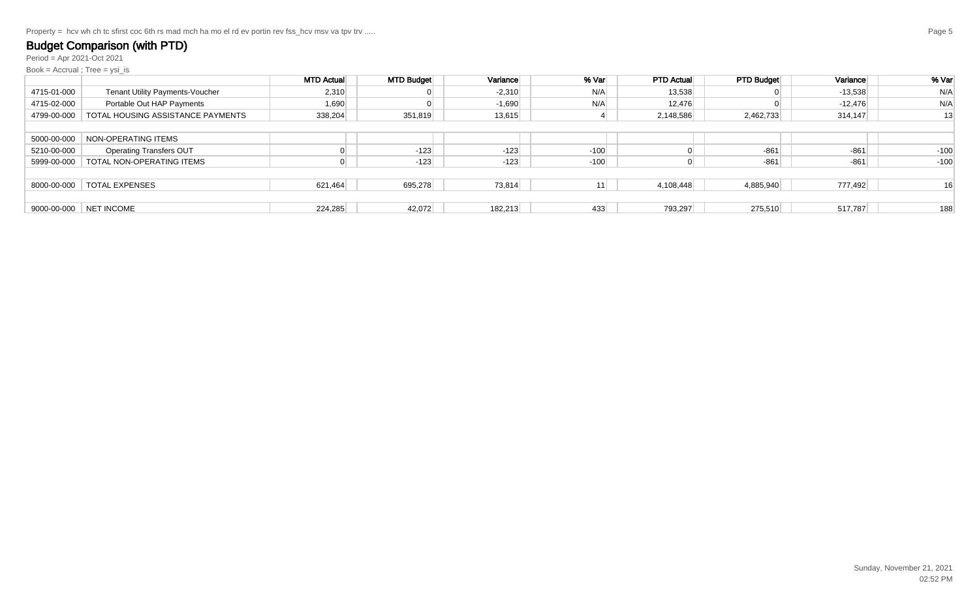Property = hcv wh ch tc sfirst coc 6th rs mad mch ha mo el rd ev portin rev fss\_hcv msv va tpv trv .....

### Budget Comparison (with PTD)

Period = Apr 2021-Oct 2021

|             |                                   | <b>MTD Actual</b> | <b>MTD Budget</b> | Variance | % Var  | <b>PTD Actual</b> | <b>PTD Budget</b> | Variance  | % Var  |
|-------------|-----------------------------------|-------------------|-------------------|----------|--------|-------------------|-------------------|-----------|--------|
| 4715-01-000 | Tenant Utility Payments-Voucher   | 2,310             |                   | $-2,310$ | N/A    | 13,538            |                   | $-13,538$ | N/A    |
| 4715-02-000 | Portable Out HAP Payments         | 1,690             |                   | $-1,690$ | N/A    | 12,476            |                   | $-12,476$ | N/A    |
| 4799-00-000 | TOTAL HOUSING ASSISTANCE PAYMENTS | 338,204           | 351,819           | 13,615   |        | 2,148,586         | 2,462,733         | 314,147   | 13     |
|             |                                   |                   |                   |          |        |                   |                   |           |        |
| 5000-00-000 | NON-OPERATING ITEMS               |                   |                   |          |        |                   |                   |           |        |
| 5210-00-000 | <b>Operating Transfers OUT</b>    |                   | $-123$            | $-123$   | $-100$ |                   | $-861$            | $-861$    | $-100$ |
| 5999-00-000 | TOTAL NON-OPERATING ITEMS         |                   | $-123$            | $-123$   | $-100$ |                   | $-861$            | $-861$    | $-100$ |
|             |                                   |                   |                   |          |        |                   |                   |           |        |
| 8000-00-000 | TOTAL EXPENSES                    | 621,464           | 695,278           | 73,814   | 11     | 4,108,448         | 4,885,940         | 777,492   | 16     |
|             |                                   |                   |                   |          |        |                   |                   |           |        |
|             | 9000-00-000 NET INCOME            | 224,285           | 42,072            | 182,213  | 433    | 793,297           | 275,510           | 517,787   | 188    |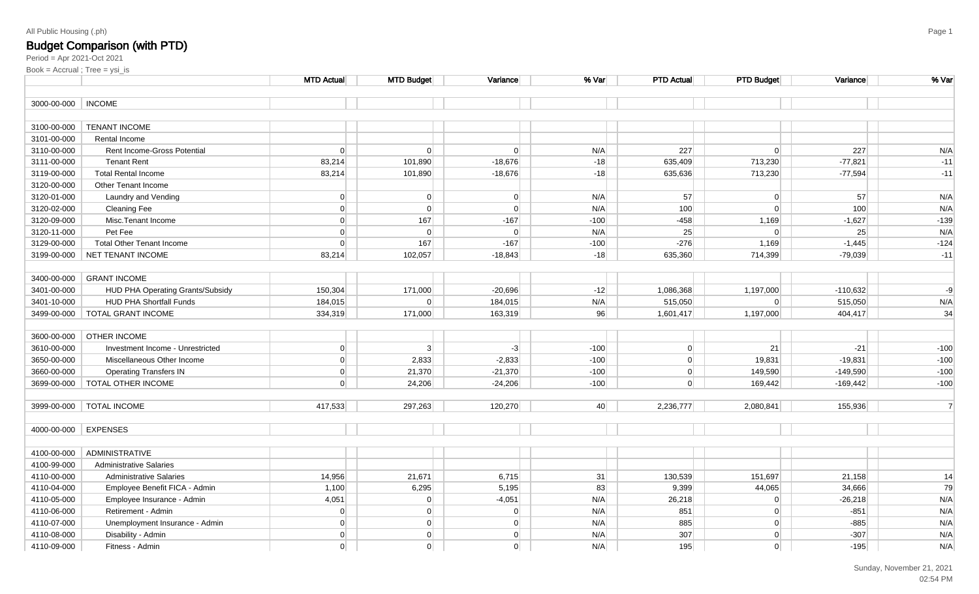# **Budget Comparison (with PTD)**<br><sub>Period = Apr 2021-Oct 2021</sub>

| 3000-00-000   INCOME<br>TENANT INCOME<br>3100-00-000<br>3101-00-000<br>Rental Income<br>3110-00-000<br> 0 <br>$\Omega$<br>N/A<br>227<br>Rent Income-Gross Potential<br>$\Omega$<br>$\Omega$<br>3111-00-000<br><b>Tenant Rent</b><br>83,214<br>101,890<br>$-18,676$<br>$-18$<br>713,230<br>635,409<br>3119-00-000<br><b>Total Rental Income</b><br>83,214<br>101,890<br>$-18,676$<br>$-18$<br>635,636<br>713,230<br>3120-00-000<br>Other Tenant Income<br>3120-01-000<br> 0 <br>$\overline{0}$<br> 0 <br>N/A<br>57<br>$\Omega$<br>Laundry and Vending<br> 0 <br>3120-02-000<br>$\overline{0}$<br>$\Omega$<br>N/A<br>100<br>$\Omega$<br><b>Cleaning Fee</b><br> 0 <br>167<br>3120-09-000<br>Misc. Tenant Income<br>$-167$<br>$-100$<br>$-458$<br>1,169<br> 0 <br>N/A<br>25<br>3120-11-000<br>Pet Fee<br>$\overline{0}$<br> 0 <br>$\overline{0}$<br> 0 <br>$-276$<br>3129-00-000<br>167<br>$-167$<br>$-100$<br>1,169<br><b>Total Other Tenant Income</b><br>83,214<br>635,360<br>714,399<br>3199-00-000<br>NET TENANT INCOME<br>102,057<br>$-18,843$<br>$-18$<br>3400-00-000<br><b>GRANT INCOME</b><br>HUD PHA Operating Grants/Subsidy<br>150,304<br>3401-00-000<br>171,000<br>$-20,696$<br>$-12$<br>1,086,368<br>1,197,000<br><b>HUD PHA Shortfall Funds</b><br>3401-10-000<br>184,015<br>$\overline{0}$<br>184,015<br>N/A<br>515,050<br>$\Omega$<br><b>TOTAL GRANT INCOME</b><br>334,319<br>171,000<br>163,319<br>96<br>1,197,000<br>3499-00-000<br>1,601,417<br>OTHER INCOME<br>3600-00-000<br> 0 <br>3 <sup>1</sup><br>$-3$<br>$-100$<br>3610-00-000<br>Investment Income - Unrestricted<br> 0 <br>21<br>3650-00-000<br> 0 <br>Miscellaneous Other Income<br>2,833<br>$-2,833$<br>$-100$<br>$\overline{0}$<br>19,831<br>3660-00-000<br> 0 <br>21,370<br>$-21,370$<br>$-100$<br>149,590<br><b>Operating Transfers IN</b><br> 0 <br> 0 <br><b>TOTAL OTHER INCOME</b><br>24,206<br>$-24,206$<br>$-100$<br>$\overline{0}$<br>3699-00-000<br>169,442<br><b>TOTAL INCOME</b><br>417,533<br>297,263<br>120,270<br>40<br>2,236,777<br>2,080,841<br>3999-00-000<br>4000-00-000 EXPENSES<br>ADMINISTRATIVE<br>4100-00-000<br>4100-99-000<br><b>Administrative Salaries</b><br>14,956<br>21,671<br>6,715<br>4110-00-000<br><b>Administrative Salaries</b><br>31<br>130,539<br>151,697 | Variance   | % Var          |
|------------------------------------------------------------------------------------------------------------------------------------------------------------------------------------------------------------------------------------------------------------------------------------------------------------------------------------------------------------------------------------------------------------------------------------------------------------------------------------------------------------------------------------------------------------------------------------------------------------------------------------------------------------------------------------------------------------------------------------------------------------------------------------------------------------------------------------------------------------------------------------------------------------------------------------------------------------------------------------------------------------------------------------------------------------------------------------------------------------------------------------------------------------------------------------------------------------------------------------------------------------------------------------------------------------------------------------------------------------------------------------------------------------------------------------------------------------------------------------------------------------------------------------------------------------------------------------------------------------------------------------------------------------------------------------------------------------------------------------------------------------------------------------------------------------------------------------------------------------------------------------------------------------------------------------------------------------------------------------------------------------------------------------------------------------------------------------------------------------------------------------------------------------------------------------------------------------------------------------------------------------------------------|------------|----------------|
|                                                                                                                                                                                                                                                                                                                                                                                                                                                                                                                                                                                                                                                                                                                                                                                                                                                                                                                                                                                                                                                                                                                                                                                                                                                                                                                                                                                                                                                                                                                                                                                                                                                                                                                                                                                                                                                                                                                                                                                                                                                                                                                                                                                                                                                                              |            |                |
|                                                                                                                                                                                                                                                                                                                                                                                                                                                                                                                                                                                                                                                                                                                                                                                                                                                                                                                                                                                                                                                                                                                                                                                                                                                                                                                                                                                                                                                                                                                                                                                                                                                                                                                                                                                                                                                                                                                                                                                                                                                                                                                                                                                                                                                                              |            |                |
|                                                                                                                                                                                                                                                                                                                                                                                                                                                                                                                                                                                                                                                                                                                                                                                                                                                                                                                                                                                                                                                                                                                                                                                                                                                                                                                                                                                                                                                                                                                                                                                                                                                                                                                                                                                                                                                                                                                                                                                                                                                                                                                                                                                                                                                                              |            |                |
|                                                                                                                                                                                                                                                                                                                                                                                                                                                                                                                                                                                                                                                                                                                                                                                                                                                                                                                                                                                                                                                                                                                                                                                                                                                                                                                                                                                                                                                                                                                                                                                                                                                                                                                                                                                                                                                                                                                                                                                                                                                                                                                                                                                                                                                                              | 227        | N/A            |
|                                                                                                                                                                                                                                                                                                                                                                                                                                                                                                                                                                                                                                                                                                                                                                                                                                                                                                                                                                                                                                                                                                                                                                                                                                                                                                                                                                                                                                                                                                                                                                                                                                                                                                                                                                                                                                                                                                                                                                                                                                                                                                                                                                                                                                                                              | $-77,821$  | $-11$          |
|                                                                                                                                                                                                                                                                                                                                                                                                                                                                                                                                                                                                                                                                                                                                                                                                                                                                                                                                                                                                                                                                                                                                                                                                                                                                                                                                                                                                                                                                                                                                                                                                                                                                                                                                                                                                                                                                                                                                                                                                                                                                                                                                                                                                                                                                              | $-77,594$  | $-11$          |
|                                                                                                                                                                                                                                                                                                                                                                                                                                                                                                                                                                                                                                                                                                                                                                                                                                                                                                                                                                                                                                                                                                                                                                                                                                                                                                                                                                                                                                                                                                                                                                                                                                                                                                                                                                                                                                                                                                                                                                                                                                                                                                                                                                                                                                                                              |            |                |
|                                                                                                                                                                                                                                                                                                                                                                                                                                                                                                                                                                                                                                                                                                                                                                                                                                                                                                                                                                                                                                                                                                                                                                                                                                                                                                                                                                                                                                                                                                                                                                                                                                                                                                                                                                                                                                                                                                                                                                                                                                                                                                                                                                                                                                                                              | 57         | N/A            |
|                                                                                                                                                                                                                                                                                                                                                                                                                                                                                                                                                                                                                                                                                                                                                                                                                                                                                                                                                                                                                                                                                                                                                                                                                                                                                                                                                                                                                                                                                                                                                                                                                                                                                                                                                                                                                                                                                                                                                                                                                                                                                                                                                                                                                                                                              | 100        | N/A            |
|                                                                                                                                                                                                                                                                                                                                                                                                                                                                                                                                                                                                                                                                                                                                                                                                                                                                                                                                                                                                                                                                                                                                                                                                                                                                                                                                                                                                                                                                                                                                                                                                                                                                                                                                                                                                                                                                                                                                                                                                                                                                                                                                                                                                                                                                              | $-1,627$   | $-139$         |
|                                                                                                                                                                                                                                                                                                                                                                                                                                                                                                                                                                                                                                                                                                                                                                                                                                                                                                                                                                                                                                                                                                                                                                                                                                                                                                                                                                                                                                                                                                                                                                                                                                                                                                                                                                                                                                                                                                                                                                                                                                                                                                                                                                                                                                                                              | 25         | N/A            |
|                                                                                                                                                                                                                                                                                                                                                                                                                                                                                                                                                                                                                                                                                                                                                                                                                                                                                                                                                                                                                                                                                                                                                                                                                                                                                                                                                                                                                                                                                                                                                                                                                                                                                                                                                                                                                                                                                                                                                                                                                                                                                                                                                                                                                                                                              | $-1,445$   | $-124$         |
|                                                                                                                                                                                                                                                                                                                                                                                                                                                                                                                                                                                                                                                                                                                                                                                                                                                                                                                                                                                                                                                                                                                                                                                                                                                                                                                                                                                                                                                                                                                                                                                                                                                                                                                                                                                                                                                                                                                                                                                                                                                                                                                                                                                                                                                                              | $-79,039$  | $-11$          |
|                                                                                                                                                                                                                                                                                                                                                                                                                                                                                                                                                                                                                                                                                                                                                                                                                                                                                                                                                                                                                                                                                                                                                                                                                                                                                                                                                                                                                                                                                                                                                                                                                                                                                                                                                                                                                                                                                                                                                                                                                                                                                                                                                                                                                                                                              |            |                |
|                                                                                                                                                                                                                                                                                                                                                                                                                                                                                                                                                                                                                                                                                                                                                                                                                                                                                                                                                                                                                                                                                                                                                                                                                                                                                                                                                                                                                                                                                                                                                                                                                                                                                                                                                                                                                                                                                                                                                                                                                                                                                                                                                                                                                                                                              |            |                |
|                                                                                                                                                                                                                                                                                                                                                                                                                                                                                                                                                                                                                                                                                                                                                                                                                                                                                                                                                                                                                                                                                                                                                                                                                                                                                                                                                                                                                                                                                                                                                                                                                                                                                                                                                                                                                                                                                                                                                                                                                                                                                                                                                                                                                                                                              | $-110,632$ | -9             |
|                                                                                                                                                                                                                                                                                                                                                                                                                                                                                                                                                                                                                                                                                                                                                                                                                                                                                                                                                                                                                                                                                                                                                                                                                                                                                                                                                                                                                                                                                                                                                                                                                                                                                                                                                                                                                                                                                                                                                                                                                                                                                                                                                                                                                                                                              | 515,050    | N/A            |
|                                                                                                                                                                                                                                                                                                                                                                                                                                                                                                                                                                                                                                                                                                                                                                                                                                                                                                                                                                                                                                                                                                                                                                                                                                                                                                                                                                                                                                                                                                                                                                                                                                                                                                                                                                                                                                                                                                                                                                                                                                                                                                                                                                                                                                                                              | 404,417    | 34             |
|                                                                                                                                                                                                                                                                                                                                                                                                                                                                                                                                                                                                                                                                                                                                                                                                                                                                                                                                                                                                                                                                                                                                                                                                                                                                                                                                                                                                                                                                                                                                                                                                                                                                                                                                                                                                                                                                                                                                                                                                                                                                                                                                                                                                                                                                              |            |                |
|                                                                                                                                                                                                                                                                                                                                                                                                                                                                                                                                                                                                                                                                                                                                                                                                                                                                                                                                                                                                                                                                                                                                                                                                                                                                                                                                                                                                                                                                                                                                                                                                                                                                                                                                                                                                                                                                                                                                                                                                                                                                                                                                                                                                                                                                              |            |                |
|                                                                                                                                                                                                                                                                                                                                                                                                                                                                                                                                                                                                                                                                                                                                                                                                                                                                                                                                                                                                                                                                                                                                                                                                                                                                                                                                                                                                                                                                                                                                                                                                                                                                                                                                                                                                                                                                                                                                                                                                                                                                                                                                                                                                                                                                              | $-21$      | $-100$         |
|                                                                                                                                                                                                                                                                                                                                                                                                                                                                                                                                                                                                                                                                                                                                                                                                                                                                                                                                                                                                                                                                                                                                                                                                                                                                                                                                                                                                                                                                                                                                                                                                                                                                                                                                                                                                                                                                                                                                                                                                                                                                                                                                                                                                                                                                              | $-19,831$  | $-100$         |
|                                                                                                                                                                                                                                                                                                                                                                                                                                                                                                                                                                                                                                                                                                                                                                                                                                                                                                                                                                                                                                                                                                                                                                                                                                                                                                                                                                                                                                                                                                                                                                                                                                                                                                                                                                                                                                                                                                                                                                                                                                                                                                                                                                                                                                                                              | $-149,590$ | $-100$         |
|                                                                                                                                                                                                                                                                                                                                                                                                                                                                                                                                                                                                                                                                                                                                                                                                                                                                                                                                                                                                                                                                                                                                                                                                                                                                                                                                                                                                                                                                                                                                                                                                                                                                                                                                                                                                                                                                                                                                                                                                                                                                                                                                                                                                                                                                              | $-169,442$ | $-100$         |
|                                                                                                                                                                                                                                                                                                                                                                                                                                                                                                                                                                                                                                                                                                                                                                                                                                                                                                                                                                                                                                                                                                                                                                                                                                                                                                                                                                                                                                                                                                                                                                                                                                                                                                                                                                                                                                                                                                                                                                                                                                                                                                                                                                                                                                                                              |            |                |
|                                                                                                                                                                                                                                                                                                                                                                                                                                                                                                                                                                                                                                                                                                                                                                                                                                                                                                                                                                                                                                                                                                                                                                                                                                                                                                                                                                                                                                                                                                                                                                                                                                                                                                                                                                                                                                                                                                                                                                                                                                                                                                                                                                                                                                                                              | 155,936    | $\overline{7}$ |
|                                                                                                                                                                                                                                                                                                                                                                                                                                                                                                                                                                                                                                                                                                                                                                                                                                                                                                                                                                                                                                                                                                                                                                                                                                                                                                                                                                                                                                                                                                                                                                                                                                                                                                                                                                                                                                                                                                                                                                                                                                                                                                                                                                                                                                                                              |            |                |
|                                                                                                                                                                                                                                                                                                                                                                                                                                                                                                                                                                                                                                                                                                                                                                                                                                                                                                                                                                                                                                                                                                                                                                                                                                                                                                                                                                                                                                                                                                                                                                                                                                                                                                                                                                                                                                                                                                                                                                                                                                                                                                                                                                                                                                                                              |            |                |
|                                                                                                                                                                                                                                                                                                                                                                                                                                                                                                                                                                                                                                                                                                                                                                                                                                                                                                                                                                                                                                                                                                                                                                                                                                                                                                                                                                                                                                                                                                                                                                                                                                                                                                                                                                                                                                                                                                                                                                                                                                                                                                                                                                                                                                                                              |            |                |
|                                                                                                                                                                                                                                                                                                                                                                                                                                                                                                                                                                                                                                                                                                                                                                                                                                                                                                                                                                                                                                                                                                                                                                                                                                                                                                                                                                                                                                                                                                                                                                                                                                                                                                                                                                                                                                                                                                                                                                                                                                                                                                                                                                                                                                                                              |            |                |
|                                                                                                                                                                                                                                                                                                                                                                                                                                                                                                                                                                                                                                                                                                                                                                                                                                                                                                                                                                                                                                                                                                                                                                                                                                                                                                                                                                                                                                                                                                                                                                                                                                                                                                                                                                                                                                                                                                                                                                                                                                                                                                                                                                                                                                                                              | 21,158     | 14             |
| 4110-04-000<br>Employee Benefit FICA - Admin<br>1,100<br>6,295<br>5,195<br>83<br>9,399<br>44,065                                                                                                                                                                                                                                                                                                                                                                                                                                                                                                                                                                                                                                                                                                                                                                                                                                                                                                                                                                                                                                                                                                                                                                                                                                                                                                                                                                                                                                                                                                                                                                                                                                                                                                                                                                                                                                                                                                                                                                                                                                                                                                                                                                             | 34,666     | 79             |
| 4110-05-000<br>4,051<br>$\overline{0}$<br>$-4,051$<br>N/A<br>26,218<br>Employee Insurance - Admin<br>$\Omega$                                                                                                                                                                                                                                                                                                                                                                                                                                                                                                                                                                                                                                                                                                                                                                                                                                                                                                                                                                                                                                                                                                                                                                                                                                                                                                                                                                                                                                                                                                                                                                                                                                                                                                                                                                                                                                                                                                                                                                                                                                                                                                                                                                | $-26,218$  | N/A            |
| 851<br>4110-06-000<br>Retirement - Admin<br> 0 <br>$\overline{0}$<br> 0 <br>N/A<br>$\overline{0}$                                                                                                                                                                                                                                                                                                                                                                                                                                                                                                                                                                                                                                                                                                                                                                                                                                                                                                                                                                                                                                                                                                                                                                                                                                                                                                                                                                                                                                                                                                                                                                                                                                                                                                                                                                                                                                                                                                                                                                                                                                                                                                                                                                            | $-851$     | N/A            |
| 0 <br>$\overline{0}$<br> 0 <br>N/A<br>4110-07-000<br>Unemployment Insurance - Admin<br>885<br>$\overline{0}$                                                                                                                                                                                                                                                                                                                                                                                                                                                                                                                                                                                                                                                                                                                                                                                                                                                                                                                                                                                                                                                                                                                                                                                                                                                                                                                                                                                                                                                                                                                                                                                                                                                                                                                                                                                                                                                                                                                                                                                                                                                                                                                                                                 | $-885$     | N/A            |
| 0 <br> 0 <br>307<br>4110-08-000<br>Disability - Admin<br>$\overline{0}$<br>N/A<br>$\Omega$                                                                                                                                                                                                                                                                                                                                                                                                                                                                                                                                                                                                                                                                                                                                                                                                                                                                                                                                                                                                                                                                                                                                                                                                                                                                                                                                                                                                                                                                                                                                                                                                                                                                                                                                                                                                                                                                                                                                                                                                                                                                                                                                                                                   | $-307$     | N/A            |
| 0 <br> 0 <br>N/A<br>4110-09-000<br>Fitness - Admin<br>$\overline{0}$<br>195<br>$\overline{0}$                                                                                                                                                                                                                                                                                                                                                                                                                                                                                                                                                                                                                                                                                                                                                                                                                                                                                                                                                                                                                                                                                                                                                                                                                                                                                                                                                                                                                                                                                                                                                                                                                                                                                                                                                                                                                                                                                                                                                                                                                                                                                                                                                                                | $-195$     | N/A            |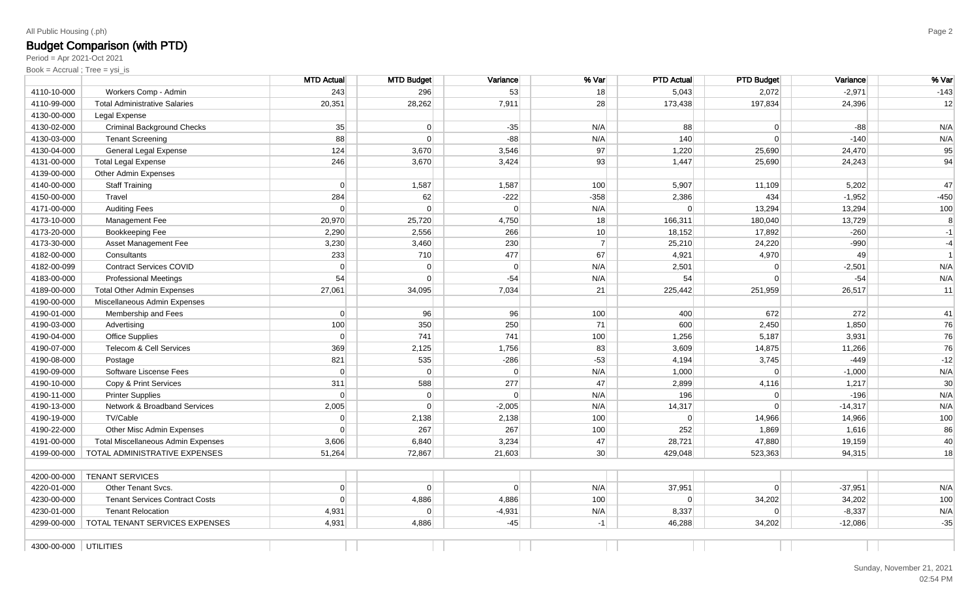# Budget Comparison (with PTD)

Period = Apr 2021-Oct 2021

|                       |                                           | <b>MTD Actual</b> | <b>MTD Budget</b> | Variance       | % Var           | <b>PTD Actual</b> | <b>PTD Budget</b> | Variance  | % Var          |
|-----------------------|-------------------------------------------|-------------------|-------------------|----------------|-----------------|-------------------|-------------------|-----------|----------------|
| 4110-10-000           | Workers Comp - Admin                      | 243               | 296               | 53             | 18              | 5,043             | 2,072             | $-2,971$  | $-143$         |
| 4110-99-000           | <b>Total Administrative Salaries</b>      | 20,351            | 28,262            | 7,911          | 28              | 173,438           | 197,834           | 24,396    | 12             |
| 4130-00-000           | Legal Expense                             |                   |                   |                |                 |                   |                   |           |                |
| 4130-02-000           | <b>Criminal Background Checks</b>         | 35                | $\Omega$          | $-35$          | N/A             | 88                | $\Omega$          | $-88$     | N/A            |
| 4130-03-000           | <b>Tenant Screening</b>                   | 88                | $\Omega$          | $-88$          | N/A             | 140               | $\Omega$          | $-140$    | N/A            |
| 4130-04-000           | General Legal Expense                     | 124               | 3,670             | 3,546          | 97              | 1,220             | 25,690            | 24,470    | 95             |
| 4131-00-000           | <b>Total Legal Expense</b>                | 246               | 3,670             | 3,424          | 93              | 1,447             | 25,690            | 24,243    | 94             |
| 4139-00-000           | Other Admin Expenses                      |                   |                   |                |                 |                   |                   |           |                |
| 4140-00-000           | <b>Staff Training</b>                     | $\Omega$          | 1,587             | 1,587          | 100             | 5,907             | 11,109            | 5,202     | 47             |
| 4150-00-000           | Travel                                    | 284               | 62                | $-222$         | $-358$          | 2,386             | 434               | $-1,952$  | $-450$         |
| 4171-00-000           | <b>Auditing Fees</b>                      | $\Omega$          | $\Omega$          | $\mathbf 0$    | N/A             | $\Omega$          | 13,294            | 13,294    | 100            |
| 4173-10-000           | Management Fee                            | 20,970            | 25,720            | 4,750          | 18              | 166,311           | 180,040           | 13,729    | 8              |
| 4173-20-000           | Bookkeeping Fee                           | 2,290             | 2,556             | 266            | 10 <sup>1</sup> | 18,152            | 17,892            | $-260$    | $-1$           |
| 4173-30-000           | Asset Management Fee                      | 3,230             | 3,460             | 230            | $\overline{7}$  | 25,210            | 24,220            | $-990$    | $-4$           |
| 4182-00-000           | Consultants                               | 233               | 710               | 477            | 67              | 4,921             | 4,970             | 49        | $\overline{1}$ |
| 4182-00-099           | <b>Contract Services COVID</b>            | $\Omega$          | $\Omega$          | $\Omega$       | N/A             | 2,501             | $\Omega$          | $-2,501$  | N/A            |
| 4183-00-000           | <b>Professional Meetings</b>              | 54                | $\Omega$          | $-54$          | N/A             | 54                | $\Omega$          | $-54$     | N/A            |
| 4189-00-000           | <b>Total Other Admin Expenses</b>         | 27,061            | 34,095            | 7,034          | 21              | 225,442           | 251,959           | 26,517    | 11             |
| 4190-00-000           | Miscellaneous Admin Expenses              |                   |                   |                |                 |                   |                   |           |                |
| 4190-01-000           | Membership and Fees                       | 0                 | 96                | 96             | 100             | 400               | 672               | 272       | 41             |
| 4190-03-000           | Advertising                               | 100               | 350               | 250            | 71              | 600               | 2,450             | 1,850     | 76             |
| 4190-04-000           | <b>Office Supplies</b>                    | $\Omega$          | 741               | 741            | 100             | 1,256             | 5,187             | 3,931     | 76             |
| 4190-07-000           | Telecom & Cell Services                   | 369               | 2,125             | 1,756          | 83              | 3,609             | 14,875            | 11,266    | 76             |
| 4190-08-000           | Postage                                   | 821               | 535               | $-286$         | $-53$           | 4,194             | 3,745             | $-449$    | $-12$          |
| 4190-09-000           | Software Liscense Fees                    | $\Omega$          | $\overline{0}$    | $\overline{0}$ | N/A             | 1,000             | $\mathbf 0$       | $-1,000$  | N/A            |
| 4190-10-000           | Copy & Print Services                     | 311               | 588               | 277            | 47              | 2,899             | 4,116             | 1,217     | 30             |
| 4190-11-000           | <b>Printer Supplies</b>                   | 0                 | $\overline{0}$    | $\overline{0}$ | N/A             | 196               | $\overline{0}$    | $-196$    | N/A            |
| 4190-13-000           | Network & Broadband Services              | 2,005             | $\Omega$          | $-2,005$       | N/A             | 14,317            | $\Omega$          | $-14,317$ | N/A            |
| 4190-19-000           | TV/Cable                                  | 0                 | 2,138             | 2,138          | 100             | $\Omega$          | 14,966            | 14,966    | 100            |
| 4190-22-000           | Other Misc Admin Expenses                 | $\Omega$          | 267               | 267            | 100             | 252               | 1,869             | 1,616     | 86             |
| 4191-00-000           | <b>Total Miscellaneous Admin Expenses</b> | 3,606             | 6,840             | 3,234          | 47              | 28,721            | 47,880            | 19,159    | 40             |
| 4199-00-000           | TOTAL ADMINISTRATIVE EXPENSES             | 51,264            | 72,867            | 21,603         | 30 <sup>2</sup> | 429,048           | 523,363           | 94,315    | 18             |
|                       |                                           |                   |                   |                |                 |                   |                   |           |                |
| 4200-00-000           | <b>TENANT SERVICES</b>                    |                   |                   |                |                 |                   |                   |           |                |
| 4220-01-000           | Other Tenant Svcs.                        | 0                 | $\Omega$          | $\Omega$       | N/A             | 37,951            | $\Omega$          | $-37,951$ | N/A            |
| 4230-00-000           | <b>Tenant Services Contract Costs</b>     | $\Omega$          | 4,886             | 4,886          | 100             | $\Omega$          | 34,202            | 34,202    | 100            |
| 4230-01-000           | <b>Tenant Relocation</b>                  | 4,931             | $\Omega$          | $-4,931$       | N/A             | 8,337             | $\Omega$          | $-8,337$  | N/A            |
| 4299-00-000           | TOTAL TENANT SERVICES EXPENSES            | 4,931             | 4,886             | $-45$          | $-1$            | 46,288            | 34,202            | $-12,086$ | $-35$          |
| 4300-00-000 UTILITIES |                                           |                   |                   |                |                 |                   |                   |           |                |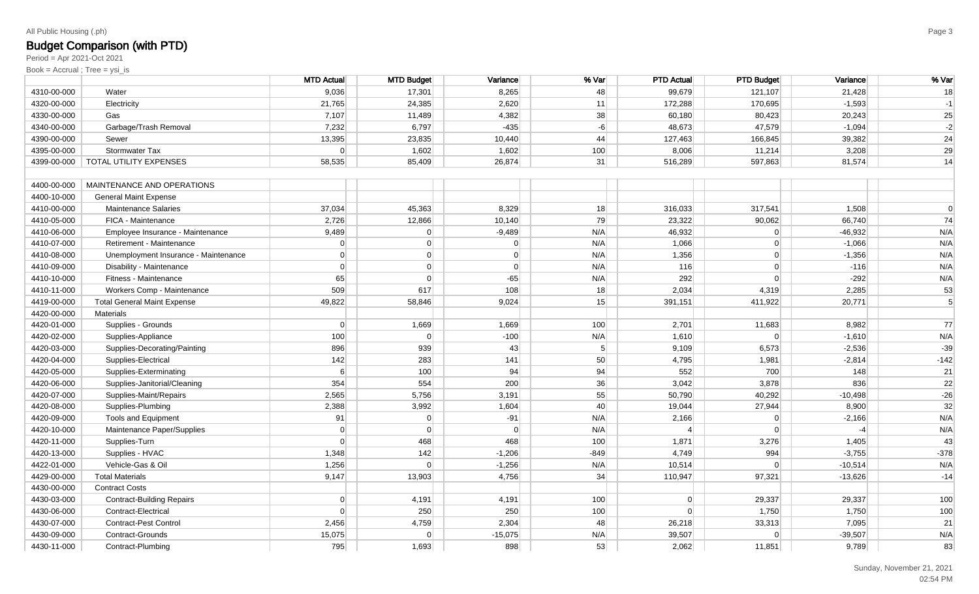# Budget Comparison (with PTD)

Period = Apr 2021-Oct 2021

|             |                                      | <b>MTD Actual</b> | <b>MTD Budget</b> | Variance       | % Var          | <b>PTD Actual</b> | <b>PTD Budget</b> | Variance  | % Var      |
|-------------|--------------------------------------|-------------------|-------------------|----------------|----------------|-------------------|-------------------|-----------|------------|
| 4310-00-000 | Water                                | 9,036             | 17,301            | 8,265          | 48             | 99,679            | 121,107           | 21,428    | 18         |
| 4320-00-000 | Electricity                          | 21,765            | 24,385            | 2,620          | 11             | 172,288           | 170,695           | $-1,593$  | $-1$       |
| 4330-00-000 | Gas                                  | 7,107             | 11,489            | 4,382          | 38             | 60,180            | 80,423            | 20,243    | 25         |
| 4340-00-000 | Garbage/Trash Removal                | 7,232             | 6,797             | $-435$         | $-6$           | 48,673            | 47,579            | $-1,094$  | $-2$       |
| 4390-00-000 | Sewer                                | 13,395            | 23,835            | 10,440         | 44             | 127,463           | 166,845           | 39,382    | 24         |
| 4395-00-000 | Stormwater Tax                       | $\Omega$          | 1,602             | 1,602          | 100            | 8,006             | 11,214            | 3,208     | 29         |
| 4399-00-000 | TOTAL UTILITY EXPENSES               | 58,535            | 85,409            | 26,874         | 31             | 516,289           | 597,863           | 81,574    | 14         |
| 4400-00-000 | MAINTENANCE AND OPERATIONS           |                   |                   |                |                |                   |                   |           |            |
| 4400-10-000 | <b>General Maint Expense</b>         |                   |                   |                |                |                   |                   |           |            |
| 4410-00-000 | <b>Maintenance Salaries</b>          | 37,034            | 45,363            | 8,329          | 18             | 316,033           | 317,541           | 1,508     | $\Omega$   |
| 4410-05-000 | FICA - Maintenance                   | 2,726             | 12,866            | 10,140         | 79             | 23,322            | 90,062            | 66,740    | 74         |
| 4410-06-000 | Employee Insurance - Maintenance     | 9,489             | $\overline{0}$    | $-9,489$       | N/A            | 46,932            | $\overline{0}$    | $-46,932$ | N/A        |
| 4410-07-000 | Retirement - Maintenance             | $\Omega$          | $\overline{0}$    | 0              | N/A            | 1,066             | $\overline{0}$    | $-1,066$  | N/A        |
| 4410-08-000 | Unemployment Insurance - Maintenance | $\Omega$          | $\overline{0}$    | $\overline{0}$ | N/A            | 1,356             | $\overline{0}$    | $-1,356$  | N/A        |
| 4410-09-000 | Disability - Maintenance             | $\Omega$          | $\overline{0}$    | $\Omega$       | N/A            | 116               | $\overline{0}$    | $-116$    | N/A        |
| 4410-10-000 | Fitness - Maintenance                | 65                | $\Omega$          | $-65$          | N/A            | 292               | $\overline{0}$    | $-292$    | N/A        |
| 4410-11-000 | Workers Comp - Maintenance           | 509               | 617               | 108            | 18             | 2,034             | 4,319             | 2,285     | 53         |
| 4419-00-000 | <b>Total General Maint Expense</b>   | 49,822            | 58,846            | 9,024          | 15             | 391,151           | 411,922           | 20,771    | $\sqrt{5}$ |
| 4420-00-000 | Materials                            |                   |                   |                |                |                   |                   |           |            |
| 4420-01-000 | Supplies - Grounds                   | $\Omega$          | 1,669             | 1,669          | 100            | 2,701             | 11,683            | 8,982     | 77         |
| 4420-02-000 | Supplies-Appliance                   | 100               | $\Omega$          | $-100$         | N/A            | 1,610             | $\Omega$          | $-1,610$  | N/A        |
| 4420-03-000 | Supplies-Decorating/Painting         | 896               | 939               | 43             | 5 <sup>1</sup> | 9,109             | 6,573             | $-2,536$  | $-39$      |
| 4420-04-000 | Supplies-Electrical                  | 142               | 283               | 141            | 50             | 4,795             | 1,981             | $-2,814$  | $-142$     |
| 4420-05-000 | Supplies-Exterminating               | 6                 | 100               | 94             | 94             | 552               | 700               | 148       | 21         |
| 4420-06-000 | Supplies-Janitorial/Cleaning         | 354               | 554               | 200            | 36             | 3,042             | 3,878             | 836       | 22         |
| 4420-07-000 | Supplies-Maint/Repairs               | 2,565             | 5,756             | 3,191          | 55             | 50,790            | 40,292            | $-10,498$ | $-26$      |
| 4420-08-000 | Supplies-Plumbing                    | 2,388             | 3,992             | 1,604          | 40             | 19,044            | 27,944            | 8,900     | 32         |
| 4420-09-000 | Tools and Equipment                  | 91                | $\overline{0}$    | $-91$          | N/A            | 2,166             | $\Omega$          | $-2,166$  | N/A        |
| 4420-10-000 | Maintenance Paper/Supplies           | $\Omega$          | $\Omega$          | $\Omega$       | N/A            |                   | $\Omega$          | $-4$      | N/A        |
| 4420-11-000 | Supplies-Turn                        | $\Omega$          | 468               | 468            | 100            | 1,871             | 3,276             | 1,405     | 43         |
| 4420-13-000 | Supplies - HVAC                      | 1,348             | 142               | $-1,206$       | $-849$         | 4,749             | 994               | $-3,755$  | $-378$     |
| 4422-01-000 | Vehicle-Gas & Oil                    | 1,256             | $\Omega$          | $-1,256$       | N/A            | 10,514            | $\Omega$          | $-10,514$ | N/A        |
| 4429-00-000 | <b>Total Materials</b>               | 9,147             | 13,903            | 4,756          | 34             | 110,947           | 97,321            | $-13,626$ | $-14$      |
| 4430-00-000 | <b>Contract Costs</b>                |                   |                   |                |                |                   |                   |           |            |
| 4430-03-000 | <b>Contract-Building Repairs</b>     | $\Omega$          | 4,191             | 4,191          | 100            | $\Omega$          | 29,337            | 29,337    | 100        |
| 4430-06-000 | Contract-Electrical                  | $\Omega$          | 250               | 250            | 100            | 0                 | 1,750             | 1,750     | 100        |
| 4430-07-000 | <b>Contract-Pest Control</b>         | 2,456             | 4,759             | 2,304          | 48             | 26,218            | 33,313            | 7,095     | 21         |
| 4430-09-000 | Contract-Grounds                     | 15,075            | $\Omega$          | $-15,075$      | N/A            | 39,507            | $\Omega$          | $-39,507$ | N/A        |
| 4430-11-000 | Contract-Plumbing                    | 795               | 1,693             | 898            | 53             | 2,062             | 11,851            | 9,789     | 83         |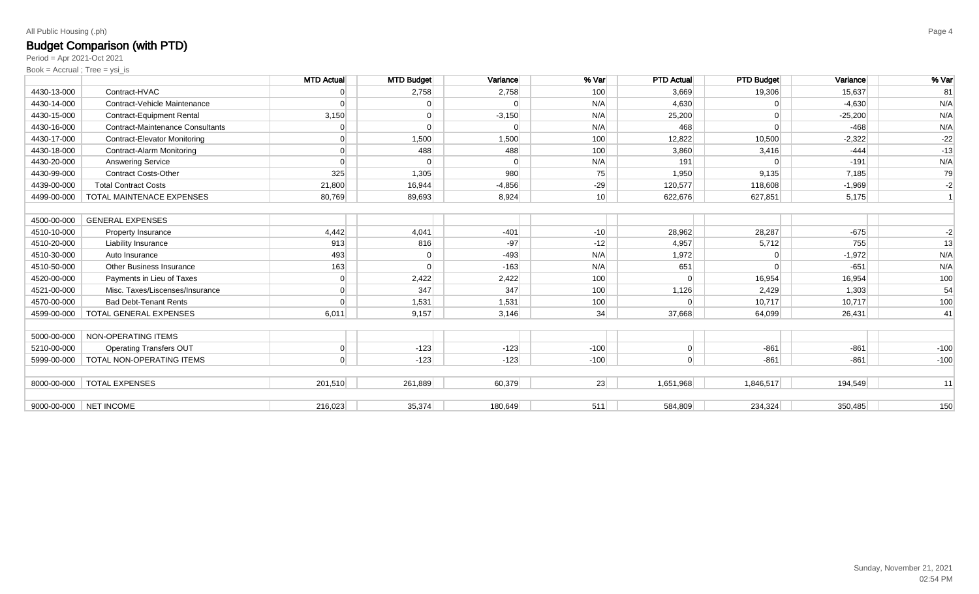### Budget Comparison (with PTD)

Period = Apr 2021-Oct 2021

|             |                                         | <b>MTD Actual</b> | <b>MTD Budget</b> | Variance | % Var           | <b>PTD Actual</b> | <b>PTD Budget</b> | Variance  | % Var  |
|-------------|-----------------------------------------|-------------------|-------------------|----------|-----------------|-------------------|-------------------|-----------|--------|
| 4430-13-000 | Contract-HVAC                           |                   | 2,758             | 2,758    | 100             | 3,669             | 19,306            | 15,637    | 81     |
| 4430-14-000 | Contract-Vehicle Maintenance            | $\Omega$          |                   | $\Omega$ | N/A             | 4,630             | $\Omega$          | $-4,630$  | N/A    |
| 4430-15-000 | <b>Contract-Equipment Rental</b>        | 3,150             | $\Omega$          | $-3,150$ | N/A             | 25,200            | $\Omega$          | $-25,200$ | N/A    |
| 4430-16-000 | <b>Contract-Maintenance Consultants</b> |                   | $\Omega$          |          | N/A             | 468               |                   | $-468$    | N/A    |
| 4430-17-000 | <b>Contract-Elevator Monitoring</b>     | $\Omega$          | 1,500             | 1,500    | 100             | 12,822            | 10,500            | $-2,322$  | $-22$  |
| 4430-18-000 | <b>Contract-Alarm Monitoring</b>        | $\Omega$          | 488               | 488      | 100             | 3,860             | 3,416             | $-444$    | $-13$  |
| 4430-20-000 | Answering Service                       | $\Omega$          |                   |          | N/A             | 191               |                   | $-191$    | N/A    |
| 4430-99-000 | <b>Contract Costs-Other</b>             | 325               | 1,305             | 980      | 75              | 1,950             | 9,135             | 7,185     | 79     |
| 4439-00-000 | <b>Total Contract Costs</b>             | 21,800            | 16,944            | $-4,856$ | $-29$           | 120,577           | 118,608           | $-1,969$  | $-2$   |
| 4499-00-000 | <b>TOTAL MAINTENACE EXPENSES</b>        | 80,769            | 89,693            | 8,924    | 10 <sup>1</sup> | 622,676           | 627,851           | 5,175     |        |
|             |                                         |                   |                   |          |                 |                   |                   |           |        |
| 4500-00-000 | <b>GENERAL EXPENSES</b>                 |                   |                   |          |                 |                   |                   |           |        |
| 4510-10-000 | <b>Property Insurance</b>               | 4,442             | 4,041             | $-401$   | $-10$           | 28,962            | 28,287            | $-675$    | $-2$   |
| 4510-20-000 | <b>Liability Insurance</b>              | 913               | 816               | $-97$    | $-12$           | 4,957             | 5,712             | 755       | 13     |
| 4510-30-000 | Auto Insurance                          | 493               | $\Omega$          | $-493$   | N/A             | 1,972             |                   | $-1,972$  | N/A    |
| 4510-50-000 | Other Business Insurance                | 163               |                   | $-163$   | N/A             | 651               |                   | $-651$    | N/A    |
| 4520-00-000 | Payments in Lieu of Taxes               | $\overline{0}$    | 2,422             | 2,422    | 100             |                   | 16,954            | 16,954    | 100    |
| 4521-00-000 | Misc. Taxes/Liscenses/Insurance         | $\Omega$          | 347               | 347      | 100             | 1,126             | 2,429             | 1,303     | 54     |
| 4570-00-000 | <b>Bad Debt-Tenant Rents</b>            |                   | 1,531             | 1,531    | 100             |                   | 10,717            | 10,717    | 100    |
| 4599-00-000 | TOTAL GENERAL EXPENSES                  | 6,011             | 9,157             | 3,146    | 34              | 37,668            | 64,099            | 26,431    | 41     |
|             |                                         |                   |                   |          |                 |                   |                   |           |        |
| 5000-00-000 | <b>NON-OPERATING ITEMS</b>              |                   |                   |          |                 |                   |                   |           |        |
| 5210-00-000 | <b>Operating Transfers OUT</b>          | 0                 | $-123$            | $-123$   | $-100$          | $\mathbf 0$       | $-861$            | $-861$    | $-100$ |
| 5999-00-000 | TOTAL NON-OPERATING ITEMS               | $\Omega$          | $-123$            | $-123$   | $-100$          | $\Omega$          | $-861$            | $-861$    | $-100$ |
|             |                                         |                   |                   |          |                 |                   |                   |           |        |
| 8000-00-000 | <b>TOTAL EXPENSES</b>                   | 201,510           | 261,889           | 60,379   | 23              | 1,651,968         | 1,846,517         | 194,549   | 11     |
|             |                                         |                   |                   |          |                 |                   |                   |           |        |
|             | 9000-00-000 NET INCOME                  | 216.023           | 35.374            | 180.649  | 511             | 584.809           | 234.324           | 350.485   | 150    |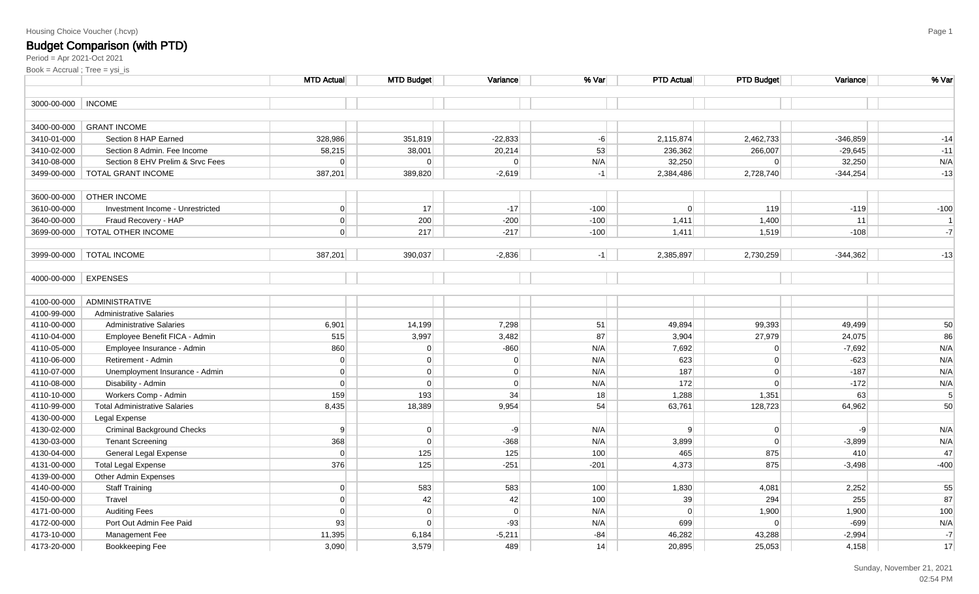#### Housing Choice Voucher (.hcvp)

### Budget Comparison (with PTD)

|                      |                                      | <b>MTD Actual</b> | <b>MTD Budget</b> | Variance  | % Var  | <b>PTD Actual</b> | <b>PTD Budget</b> | Variance   | % Var          |
|----------------------|--------------------------------------|-------------------|-------------------|-----------|--------|-------------------|-------------------|------------|----------------|
| 3000-00-000   INCOME |                                      |                   |                   |           |        |                   |                   |            |                |
|                      |                                      |                   |                   |           |        |                   |                   |            |                |
| 3400-00-000          | <b>GRANT INCOME</b>                  |                   |                   |           |        |                   |                   |            |                |
| 3410-01-000          | Section 8 HAP Earned                 | 328,986           | 351,819           | $-22,833$ | $-6$   | 2,115,874         | 2,462,733         | $-346,859$ | $-14$          |
| 3410-02-000          | Section 8 Admin. Fee Income          | 58,215            | 38,001            | 20,214    | 53     | 236,362           | 266,007           | $-29,645$  | $-11$          |
| 3410-08-000          | Section 8 EHV Prelim & Srvc Fees     | $\overline{0}$    | $\Omega$          | $\Omega$  | N/A    | 32,250            | $\Omega$          | 32,250     | N/A            |
|                      | 3499-00-000   TOTAL GRANT INCOME     | 387,201           | 389,820           | $-2,619$  | $-1$   | 2,384,486         | 2,728,740         | $-344,254$ | $-13$          |
|                      |                                      |                   |                   |           |        |                   |                   |            |                |
| 3600-00-000          | <b>OTHER INCOME</b>                  |                   |                   |           |        |                   |                   |            |                |
| 3610-00-000          | Investment Income - Unrestricted     | $\overline{0}$    | 17                | $-17$     | $-100$ | $\Omega$          | 119               | $-119$     | $-100$         |
| 3640-00-000          | Fraud Recovery - HAP                 | $\overline{0}$    | 200               | $-200$    | $-100$ | 1,411             | 1,400             | 11         | $\overline{1}$ |
|                      | 3699-00-000   TOTAL OTHER INCOME     | $\Omega$          | 217               | $-217$    | $-100$ | 1,411             | 1,519             | $-108$     | $-7$           |
|                      |                                      |                   |                   |           |        |                   |                   |            |                |
| 3999-00-000          | TOTAL INCOME                         | 387,201           | 390,037           | $-2,836$  | $-1$   | 2,385,897         | 2,730,259         | $-344,362$ | $-13$          |
|                      |                                      |                   |                   |           |        |                   |                   |            |                |
| 4000-00-000          | <b>EXPENSES</b>                      |                   |                   |           |        |                   |                   |            |                |
|                      |                                      |                   |                   |           |        |                   |                   |            |                |
| 4100-00-000          | ADMINISTRATIVE                       |                   |                   |           |        |                   |                   |            |                |
| 4100-99-000          | <b>Administrative Salaries</b>       |                   |                   |           |        |                   |                   |            |                |
| 4110-00-000          | <b>Administrative Salaries</b>       | 6,901             | 14,199            | 7,298     | 51     | 49,894            | 99,393            | 49,499     | 50             |
| 4110-04-000          | Employee Benefit FICA - Admin        | 515               | 3,997             | 3,482     | 87     | 3,904             | 27,979            | 24,075     | 86             |
| 4110-05-000          | Employee Insurance - Admin           | 860               | $\overline{0}$    | $-860$    | N/A    | 7,692             | $\overline{0}$    | $-7,692$   | N/A            |
| 4110-06-000          | Retirement - Admin                   | $\overline{0}$    | $\overline{0}$    | $\Omega$  | N/A    | 623               | $\Omega$          | $-623$     | N/A            |
| 4110-07-000          | Unemployment Insurance - Admin       | $\Omega$          | $\overline{0}$    | $\Omega$  | N/A    | 187               | 0                 | $-187$     | N/A            |
| 4110-08-000          | Disability - Admin                   | 0                 | $\overline{0}$    | $\Omega$  | N/A    | 172               | 0                 | $-172$     | N/A            |
| 4110-10-000          | Workers Comp - Admin                 | 159               | 193               | 34        | 18     | 1,288             | 1,351             | 63         | 5              |
| 4110-99-000          | <b>Total Administrative Salaries</b> | 8,435             | 18,389            | 9,954     | 54     | 63,761            | 128,723           | 64,962     | 50             |
| 4130-00-000          | Legal Expense                        |                   |                   |           |        |                   |                   |            |                |
| 4130-02-000          | <b>Criminal Background Checks</b>    | 9                 | $\overline{0}$    | $-9$      | N/A    | 9                 | 0                 | $-9$       | N/A            |
| 4130-03-000          | <b>Tenant Screening</b>              | 368               | $\overline{0}$    | $-368$    | N/A    | 3,899             | 0                 | $-3,899$   | N/A            |
| 4130-04-000          | General Legal Expense                | $\overline{0}$    | 125               | 125       | 100    | 465               | 875               | 410        | 47             |
| 4131-00-000          | <b>Total Legal Expense</b>           | 376               | 125               | $-251$    | $-201$ | 4,373             | 875               | $-3,498$   | $-400$         |
| 4139-00-000          | Other Admin Expenses                 |                   |                   |           |        |                   |                   |            |                |
| 4140-00-000          | <b>Staff Training</b>                | $\overline{0}$    | 583               | 583       | 100    | 1,830             | 4,081             | 2,252      | 55             |
| 4150-00-000          | Travel                               | $\Omega$          | 42                | 42        | 100    | 39                | 294               | 255        | 87             |
| 4171-00-000          | <b>Auditing Fees</b>                 | $\Omega$          | $\overline{0}$    | $\Omega$  | N/A    | $\overline{0}$    | 1,900             | 1,900      | 100            |
| 4172-00-000          | Port Out Admin Fee Paid              | 93                | $\overline{0}$    | $-93$     | N/A    | 699               | 0                 | $-699$     | N/A            |
| 4173-10-000          | Management Fee                       | 11,395            | 6,184             | $-5,211$  | $-84$  | 46,282            | 43,288            | $-2,994$   | $-7$           |
| 4173-20-000          | Bookkeeping Fee                      | 3,090             | 3,579             | 489       | 14     | 20,895            | 25,053            | 4,158      | 17             |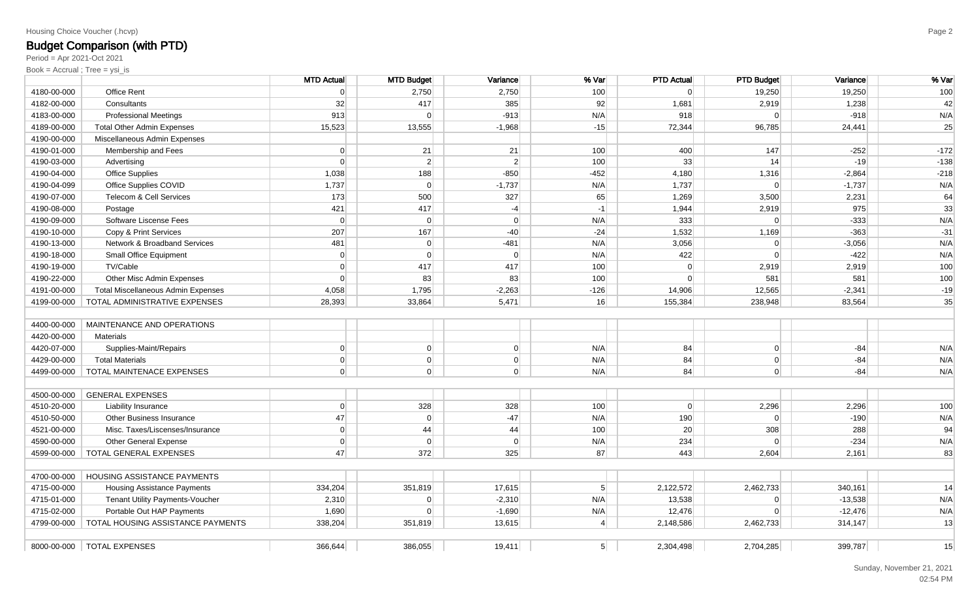#### Housing Choice Voucher (.hcvp)

# Budget Comparison (with PTD)

Period = Apr 2021-Oct 2021

|             |                                           | <b>MTD Actual</b> | <b>MTD Budget</b> | Variance       | % Var          | <b>PTD Actual</b> | <b>PTD Budget</b> | Variance  | % Var  |
|-------------|-------------------------------------------|-------------------|-------------------|----------------|----------------|-------------------|-------------------|-----------|--------|
| 4180-00-000 | <b>Office Rent</b>                        | 0                 | 2,750             | 2,750          | 100            | $\Omega$          | 19,250            | 19,250    | 100    |
| 4182-00-000 | Consultants                               | 32                | 417               | 385            | 92             | 1,681             | 2,919             | 1,238     | 42     |
| 4183-00-000 | <b>Professional Meetings</b>              | 913               | $\Omega$          | $-913$         | N/A            | 918               | $\Omega$          | $-918$    | N/A    |
| 4189-00-000 | <b>Total Other Admin Expenses</b>         | 15,523            | 13,555            | $-1,968$       | $-15$          | 72,344            | 96,785            | 24,441    | 25     |
| 4190-00-000 | Miscellaneous Admin Expenses              |                   |                   |                |                |                   |                   |           |        |
| 4190-01-000 | Membership and Fees                       | 0                 | 21                | 21             | 100            | 400               | 147               | $-252$    | $-172$ |
| 4190-03-000 | Advertising                               | $\overline{0}$    | 2 <sup>2</sup>    | $2\vert$       | 100            | 33                | 14                | $-19$     | $-138$ |
| 4190-04-000 | Office Supplies                           | 1,038             | 188               | $-850$         | $-452$         | 4,180             | 1,316             | $-2,864$  | $-218$ |
| 4190-04-099 | Office Supplies COVID                     | 1,737             | $\overline{0}$    | $-1,737$       | N/A            | 1,737             | $\Omega$          | $-1,737$  | N/A    |
| 4190-07-000 | <b>Telecom &amp; Cell Services</b>        | 173               | 500               | 327            | 65             | 1,269             | 3,500             | 2,231     | 64     |
| 4190-08-000 | Postage                                   | 421               | 417               | $-4$           | $-1$           | 1,944             | 2,919             | 975       | 33     |
| 4190-09-000 | Software Liscense Fees                    | $\overline{0}$    | $\overline{0}$    | $\overline{0}$ | N/A            | 333               | $\Omega$          | $-333$    | N/A    |
| 4190-10-000 | Copy & Print Services                     | 207               | 167               | $-40$          | $-24$          | 1,532             | 1,169             | $-363$    | $-31$  |
| 4190-13-000 | Network & Broadband Services              | 481               | $\overline{0}$    | $-481$         | N/A            | 3,056             | $\Omega$          | $-3,056$  | N/A    |
| 4190-18-000 | Small Office Equipment                    | 0                 | $\Omega$          | $\Omega$       | N/A            | 422               | $\Omega$          | $-422$    | N/A    |
| 4190-19-000 | TV/Cable                                  | $\overline{0}$    | 417               | 417            | 100            | $\Omega$          | 2,919             | 2,919     | 100    |
| 4190-22-000 | Other Misc Admin Expenses                 | $\Omega$          | 83                | 83             | 100            | $\Omega$          | 581               | 581       | 100    |
| 4191-00-000 | <b>Total Miscellaneous Admin Expenses</b> | 4,058             | 1,795             | $-2,263$       | $-126$         | 14,906            | 12,565            | $-2,341$  | $-19$  |
| 4199-00-000 | TOTAL ADMINISTRATIVE EXPENSES             | 28,393            | 33,864            | 5,471          | 16             | 155,384           | 238,948           | 83,564    | 35     |
|             |                                           |                   |                   |                |                |                   |                   |           |        |
| 4400-00-000 | MAINTENANCE AND OPERATIONS                |                   |                   |                |                |                   |                   |           |        |
| 4420-00-000 | <b>Materials</b>                          |                   |                   |                |                |                   |                   |           |        |
| 4420-07-000 | Supplies-Maint/Repairs                    | $\overline{0}$    | $\overline{0}$    | $\overline{0}$ | N/A            | 84                | $\overline{0}$    | $-84$     | N/A    |
| 4429-00-000 | <b>Total Materials</b>                    | 0                 | $\overline{0}$    | $\overline{0}$ | N/A            | 84                | $\overline{0}$    | $-84$     | N/A    |
| 4499-00-000 | TOTAL MAINTENACE EXPENSES                 | 0                 | $\overline{0}$    | 0              | N/A            | 84                | $\overline{0}$    | $-84$     | N/A    |
|             |                                           |                   |                   |                |                |                   |                   |           |        |
| 4500-00-000 | <b>GENERAL EXPENSES</b>                   |                   |                   |                |                |                   |                   |           |        |
| 4510-20-000 | Liability Insurance                       | $\Omega$          | 328               | 328            | 100            | $\overline{0}$    | 2,296             | 2,296     | 100    |
| 4510-50-000 | <b>Other Business Insurance</b>           | 47                | 0                 | $-47$          | N/A            | 190               | $\Omega$          | $-190$    | N/A    |
| 4521-00-000 | Misc. Taxes/Liscenses/Insurance           | 0                 | 44                | 44             | 100            | 20                | 308               | 288       | 94     |
| 4590-00-000 | Other General Expense                     | $\overline{0}$    | $\overline{0}$    | $\Omega$       | N/A            | 234               | $\Omega$          | $-234$    | N/A    |
| 4599-00-000 | TOTAL GENERAL EXPENSES                    | 47                | 372               | 325            | 87             | 443               | 2,604             | 2,161     | 83     |
|             |                                           |                   |                   |                |                |                   |                   |           |        |
| 4700-00-000 | HOUSING ASSISTANCE PAYMENTS               |                   |                   |                |                |                   |                   |           |        |
| 4715-00-000 | <b>Housing Assistance Payments</b>        | 334,204           | 351,819           | 17,615         | 5 <sup>1</sup> | 2,122,572         | 2,462,733         | 340,161   | 14     |
| 4715-01-000 | Tenant Utility Payments-Voucher           | 2,310             | $\overline{0}$    | $-2,310$       | N/A            | 13,538            | $\Omega$          | $-13,538$ | N/A    |
| 4715-02-000 | Portable Out HAP Payments                 | 1,690             | $\Omega$          | $-1,690$       | N/A            | 12,476            | $\Omega$          | $-12,476$ | N/A    |
| 4799-00-000 | TOTAL HOUSING ASSISTANCE PAYMENTS         | 338,204           | 351,819           | 13,615         | $\overline{4}$ | 2,148,586         | 2,462,733         | 314,147   | 13     |
|             |                                           |                   |                   |                |                |                   |                   |           |        |
|             | 8000-00-000   TOTAL EXPENSES              | 366,644           | 386,055           | 19,411         | 5 <sup>2</sup> | 2,304,498         | 2,704,285         | 399,787   | 15     |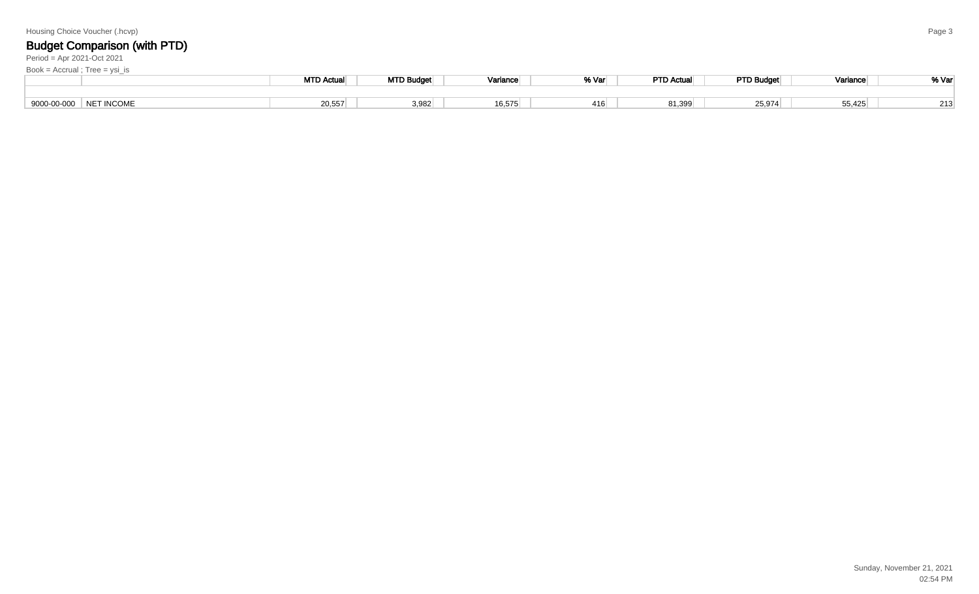|  |  | Housing Choice Voucher (.hcvp) |  |  |
|--|--|--------------------------------|--|--|
|--|--|--------------------------------|--|--|

Period = Apr 2021-Oct 2021

MTD Actual MTD Budget | Variance | % Var PTD Actual PTD Budget | Variance | % Var 9000-00-000 NET INCOMEE 20,557 | 3,982 | 16,575 | 416 | 81,399 | 25,974 | 55,425 | 213 Book = Accrual ; Tree = ysi\_is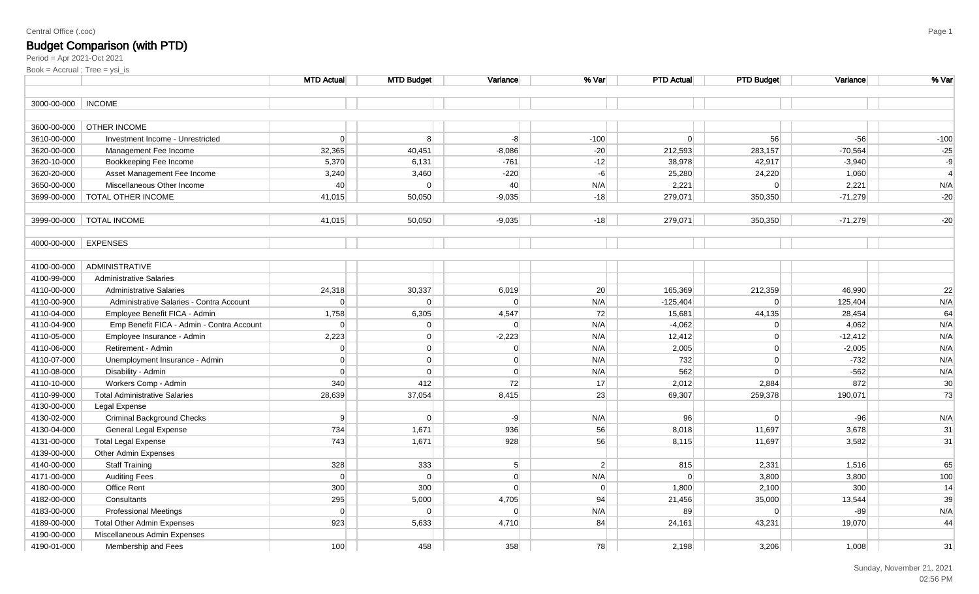#### Central Office (.coc)

### Budget Comparison (with PTD)

|             |                                           | <b>MTD Actual</b> | <b>MTD Budget</b> | Variance       | % Var            | <b>PTD Actual</b> | <b>PTD Budget</b> | Variance  | % Var           |
|-------------|-------------------------------------------|-------------------|-------------------|----------------|------------------|-------------------|-------------------|-----------|-----------------|
| 3000-00-000 | <b>INCOME</b>                             |                   |                   |                |                  |                   |                   |           |                 |
|             |                                           |                   |                   |                |                  |                   |                   |           |                 |
| 3600-00-000 | <b>OTHER INCOME</b>                       |                   |                   |                |                  |                   |                   |           |                 |
| 3610-00-000 | Investment Income - Unrestricted          | $\overline{0}$    | 8                 | $-8$           | $-100$           | 0                 | 56                | $-56$     | $-100$          |
| 3620-00-000 | Management Fee Income                     | 32,365            | 40,451            | $-8,086$       | $-20$            | 212,593           | 283,157           | $-70,564$ | $-25$           |
| 3620-10-000 | Bookkeeping Fee Income                    | 5,370             | 6,131             | $-761$         | $-12$            | 38,978            | 42,917            | $-3,940$  | $-9$            |
| 3620-20-000 | Asset Management Fee Income               | 3,240             | 3,460             | $-220$         | $-6$             | 25,280            | 24,220            | 1,060     | $\overline{4}$  |
| 3650-00-000 | Miscellaneous Other Income                | 40                | $\Omega$          | 40             | N/A              | 2,221             | $\Omega$          | 2,221     | N/A             |
| 3699-00-000 | TOTAL OTHER INCOME                        | 41,015            | 50,050            | $-9,035$       | $-18$            | 279,071           | 350,350           | $-71,279$ | $-20$           |
|             |                                           |                   |                   |                |                  |                   |                   |           |                 |
| 3999-00-000 | <b>TOTAL INCOME</b>                       | 41,015            | 50,050            | $-9,035$       | $-18$            | 279,071           | 350,350           | $-71,279$ | $-20$           |
| 4000-00-000 | <b>EXPENSES</b>                           |                   |                   |                |                  |                   |                   |           |                 |
|             |                                           |                   |                   |                |                  |                   |                   |           |                 |
| 4100-00-000 | ADMINISTRATIVE                            |                   |                   |                |                  |                   |                   |           |                 |
| 4100-99-000 | <b>Administrative Salaries</b>            |                   |                   |                |                  |                   |                   |           |                 |
| 4110-00-000 | <b>Administrative Salaries</b>            | 24,318            | 30,337            | 6,019          | 20               | 165,369           | 212,359           | 46,990    | 22              |
| 4110-00-900 | Administrative Salaries - Contra Account  | $\overline{0}$    | $\Omega$          | 0              | N/A              | $-125,404$        | 0                 | 125,404   | N/A             |
| 4110-04-000 | Employee Benefit FICA - Admin             | 1,758             | 6,305             | 4,547          | 72               | 15,681            | 44,135            | 28,454    | 64              |
| 4110-04-900 | Emp Benefit FICA - Admin - Contra Account | $\overline{0}$    | $\overline{0}$    | $\Omega$       | N/A              | $-4,062$          | $\Omega$          | 4,062     | N/A             |
| 4110-05-000 | Employee Insurance - Admin                | 2,223             | $\overline{0}$    | $-2,223$       | N/A              | 12,412            | $\overline{0}$    | $-12,412$ | N/A             |
| 4110-06-000 | Retirement - Admin                        | $\overline{0}$    | $\overline{0}$    | 0              | N/A              | 2,005             | $\overline{0}$    | $-2,005$  | N/A             |
| 4110-07-000 | Unemployment Insurance - Admin            | $\overline{0}$    | $\overline{0}$    | 0              | N/A              | 732               | $\overline{0}$    | $-732$    | N/A             |
| 4110-08-000 | Disability - Admin                        | $\overline{0}$    | $\overline{0}$    | 0              | N/A              | 562               | $\Omega$          | $-562$    | N/A             |
| 4110-10-000 | Workers Comp - Admin                      | 340               | 412               | 72             | 17               | 2,012             | 2,884             | 872       | 30 <sup>°</sup> |
| 4110-99-000 | <b>Total Administrative Salaries</b>      | 28,639            | 37,054            | 8,415          | 23               | 69,307            | 259,378           | 190,071   | 73              |
| 4130-00-000 | Legal Expense                             |                   |                   |                |                  |                   |                   |           |                 |
| 4130-02-000 | <b>Criminal Background Checks</b>         | 9                 | $\Omega$          | $-9$           | N/A              | 96                | $\Omega$          | $-96$     | N/A             |
| 4130-04-000 | General Legal Expense                     | 734               | 1,671             | 936            | 56               | 8,018             | 11,697            | 3,678     | 31              |
| 4131-00-000 | <b>Total Legal Expense</b>                | 743               | 1,671             | 928            | 56               | 8,115             | 11,697            | 3,582     | 31              |
| 4139-00-000 | Other Admin Expenses                      |                   |                   |                |                  |                   |                   |           |                 |
| 4140-00-000 | <b>Staff Training</b>                     | 328               | 333               | 5 <sup>5</sup> | $\left  \right $ | 815               | 2,331             | 1,516     | 65              |
| 4171-00-000 | <b>Auditing Fees</b>                      | $\overline{0}$    | $\Omega$          | 0              | N/A              | $\overline{0}$    | 3,800             | 3,800     | 100             |
| 4180-00-000 | <b>Office Rent</b>                        | 300               | 300               | 0              | 0                | 1,800             | 2,100             | 300       | 14              |
| 4182-00-000 | Consultants                               | 295               | 5,000             | 4,705          | 94               | 21,456            | 35,000            | 13,544    | 39              |
| 4183-00-000 | <b>Professional Meetings</b>              | 0                 | $\Omega$          | 0              | N/A              | 89                | $\Omega$          | $-89$     | N/A             |
| 4189-00-000 | <b>Total Other Admin Expenses</b>         | 923               | 5,633             | 4,710          | 84               | 24,161            | 43,231            | 19,070    | 44              |
| 4190-00-000 | Miscellaneous Admin Expenses              |                   |                   |                |                  |                   |                   |           |                 |
| 4190-01-000 | Membership and Fees                       | 100               | 458               | 358            | 78               | 2,198             | 3,206             | 1,008     | 31              |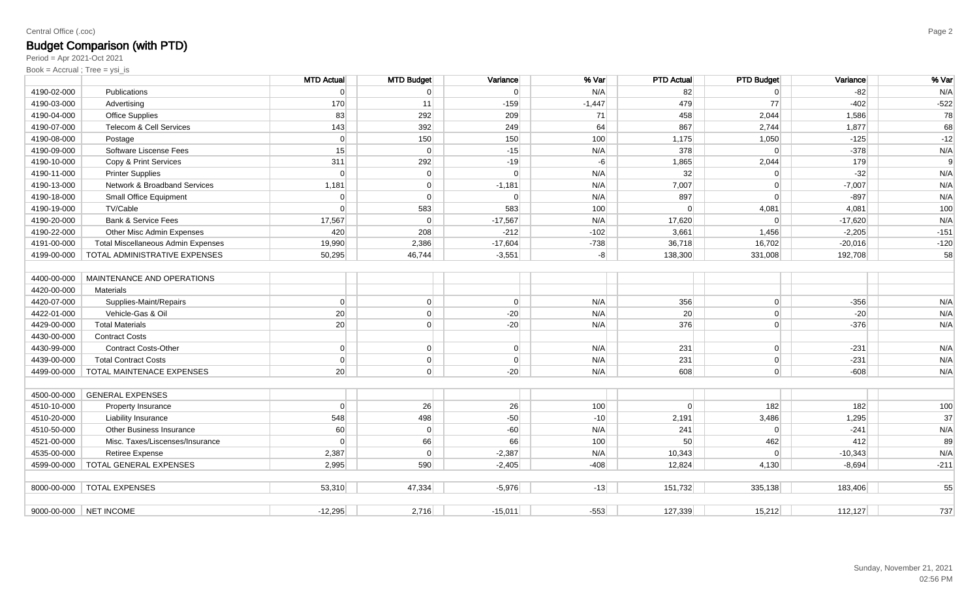#### Central Office (.coc)

# Budget Comparison (with PTD)

Period = Apr 2021-Oct 2021

|             |                                           | <b>MTD Actual</b> | <b>MTD Budget</b> | Variance       | % Var    | <b>PTD Actual</b> | <b>PTD Budget</b> | Variance  | % Var  |
|-------------|-------------------------------------------|-------------------|-------------------|----------------|----------|-------------------|-------------------|-----------|--------|
| 4190-02-000 | <b>Publications</b>                       | $\Omega$          | $\Omega$          | $\Omega$       | N/A      | 82                | $\Omega$          | $-82$     | N/A    |
| 4190-03-000 | Advertising                               | 170               | 11                | $-159$         | $-1,447$ | 479               | 77                | $-402$    | $-522$ |
| 4190-04-000 | <b>Office Supplies</b>                    | 83                | 292               | 209            | 71       | 458               | 2,044             | 1,586     | 78     |
| 4190-07-000 | Telecom & Cell Services                   | 143               | 392               | 249            | 64       | 867               | 2,744             | 1,877     | 68     |
| 4190-08-000 | Postage                                   | $\Omega$          | 150               | 150            | 100      | 1,175             | 1,050             | $-125$    | $-12$  |
| 4190-09-000 | Software Liscense Fees                    | 15                | $\Omega$          | $-15$          | N/A      | 378               | $\Omega$          | $-378$    | N/A    |
| 4190-10-000 | Copy & Print Services                     | 311               | 292               | $-19$          | $-6$     | 1,865             | 2,044             | 179       | 9      |
| 4190-11-000 | <b>Printer Supplies</b>                   | $\Omega$          | $\overline{0}$    | $\Omega$       | N/A      | 32                | $\Omega$          | $-32$     | N/A    |
| 4190-13-000 | Network & Broadband Services              | 1,181             | $\overline{0}$    | $-1,181$       | N/A      | 7,007             | $\Omega$          | $-7,007$  | N/A    |
| 4190-18-000 | Small Office Equipment                    | $\Omega$          | $\Omega$          | $\Omega$       | N/A      | 897               | $\Omega$          | $-897$    | N/A    |
| 4190-19-000 | TV/Cable                                  | $\Omega$          | 583               | 583            | 100      | $\Omega$          | 4,081             | 4,081     | 100    |
| 4190-20-000 | <b>Bank &amp; Service Fees</b>            | 17,567            | $\Omega$          | $-17,567$      | N/A      | 17,620            | $\Omega$          | $-17,620$ | N/A    |
| 4190-22-000 | Other Misc Admin Expenses                 | 420               | 208               | $-212$         | $-102$   | 3,661             | 1,456             | $-2,205$  | $-151$ |
| 4191-00-000 | <b>Total Miscellaneous Admin Expenses</b> | 19,990            | 2,386             | $-17,604$      | $-738$   | 36,718            | 16,702            | $-20,016$ | $-120$ |
| 4199-00-000 | TOTAL ADMINISTRATIVE EXPENSES             | 50,295            | 46,744            | $-3,551$       | $-8$     | 138,300           | 331,008           | 192,708   | 58     |
|             |                                           |                   |                   |                |          |                   |                   |           |        |
| 4400-00-000 | MAINTENANCE AND OPERATIONS                |                   |                   |                |          |                   |                   |           |        |
| 4420-00-000 | Materials                                 |                   |                   |                |          |                   |                   |           |        |
| 4420-07-000 | Supplies-Maint/Repairs                    | $\overline{0}$    | $\overline{0}$    | $\overline{0}$ | N/A      | 356               | $\overline{0}$    | $-356$    | N/A    |
| 4422-01-000 | Vehicle-Gas & Oil                         | 20                | $\overline{0}$    | $-20$          | N/A      | 20                | $\Omega$          | $-20$     | N/A    |
| 4429-00-000 | <b>Total Materials</b>                    | 20                | $\overline{0}$    | $-20$          | N/A      | 376               | $\Omega$          | $-376$    | N/A    |
| 4430-00-000 | <b>Contract Costs</b>                     |                   |                   |                |          |                   |                   |           |        |
| 4430-99-000 | <b>Contract Costs-Other</b>               | $\overline{0}$    | $\overline{0}$    | $\overline{0}$ | N/A      | 231               | $\overline{0}$    | $-231$    | N/A    |
| 4439-00-000 | <b>Total Contract Costs</b>               | $\Omega$          | $\overline{0}$    | $\Omega$       | N/A      | 231               | $\Omega$          | $-231$    | N/A    |
| 4499-00-000 | TOTAL MAINTENACE EXPENSES                 | 20                | $\overline{0}$    | $-20$          | N/A      | 608               | $\overline{0}$    | $-608$    | N/A    |
|             |                                           |                   |                   |                |          |                   |                   |           |        |
| 4500-00-000 | <b>GENERAL EXPENSES</b>                   |                   |                   |                |          |                   |                   |           |        |
| 4510-10-000 | Property Insurance                        | $\Omega$          | 26                | 26             | 100      | $\Omega$          | 182               | 182       | 100    |
| 4510-20-000 | Liability Insurance                       | 548               | 498               | $-50$          | $-10$    | 2,191             | 3,486             | 1,295     | 37     |
| 4510-50-000 | <b>Other Business Insurance</b>           | 60                | $\Omega$          | $-60$          | N/A      | 241               | $\Omega$          | $-241$    | N/A    |
| 4521-00-000 | Misc. Taxes/Liscenses/Insurance           | $\Omega$          | 66                | 66             | 100      | 50                | 462               | 412       | 89     |
| 4535-00-000 | Retiree Expense                           | 2,387             | $\Omega$          | $-2,387$       | N/A      | 10,343            |                   | $-10,343$ | N/A    |
| 4599-00-000 | TOTAL GENERAL EXPENSES                    | 2,995             | 590               | $-2,405$       | $-408$   | 12,824            | 4,130             | $-8,694$  | $-211$ |
|             |                                           |                   |                   |                |          |                   |                   |           |        |
| 8000-00-000 | <b>TOTAL EXPENSES</b>                     | 53,310            | 47.334            | $-5.976$       | $-13$    | 151,732           | 335,138           | 183,406   | 55     |
|             | 9000-00-000 NET INCOME                    | $-12.295$         | 2.716             | $-15,011$      | $-553$   | 127,339           | 15,212            | 112,127   | 737    |
|             |                                           |                   |                   |                |          |                   |                   |           |        |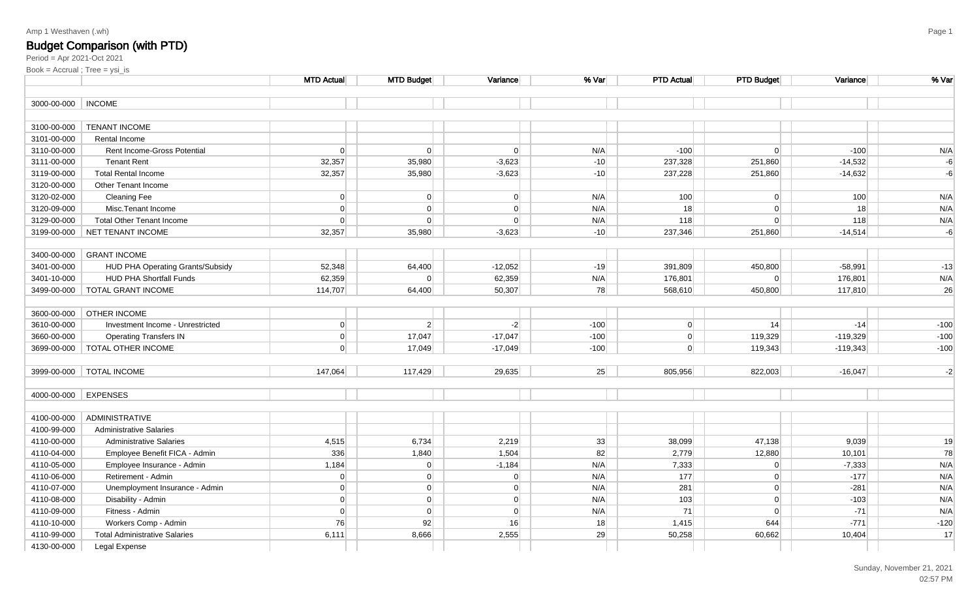### Budget Comparison (with PTD)

|             |                                      | <b>MTD Actual</b> | <b>MTD Budget</b> | Variance  | % Var  | <b>PTD Actual</b> | <b>PTD Budget</b> | Variance   | % Var  |
|-------------|--------------------------------------|-------------------|-------------------|-----------|--------|-------------------|-------------------|------------|--------|
| 3000-00-000 | <b>INCOME</b>                        |                   |                   |           |        |                   |                   |            |        |
|             |                                      |                   |                   |           |        |                   |                   |            |        |
| 3100-00-000 | <b>TENANT INCOME</b>                 |                   |                   |           |        |                   |                   |            |        |
| 3101-00-000 | Rental Income                        |                   |                   |           |        |                   |                   |            |        |
| 3110-00-000 | Rent Income-Gross Potential          | $\overline{0}$    | 0                 | 0         | N/A    | $-100$            | 0                 | $-100$     | N/A    |
| 3111-00-000 | <b>Tenant Rent</b>                   | 32,357            | 35,980            | $-3,623$  | $-10$  | 237,328           | 251,860           | $-14,532$  | $-6$   |
| 3119-00-000 | <b>Total Rental Income</b>           | 32,357            | 35,980            | $-3,623$  | $-10$  | 237,228           | 251,860           | $-14,632$  | $-6$   |
| 3120-00-000 | Other Tenant Income                  |                   |                   |           |        |                   |                   |            |        |
| 3120-02-000 | <b>Cleaning Fee</b>                  | 0                 | $\overline{0}$    | 0         | N/A    | 100               | 0                 | 100        | N/A    |
| 3120-09-000 | Misc.Tenant Income                   | $\Omega$          | 0                 | 0         | N/A    | 18                | 0                 | 18         | N/A    |
| 3129-00-000 | <b>Total Other Tenant Income</b>     | $\Omega$          | $\overline{0}$    | 0         | N/A    | 118               | 0                 | 118        | N/A    |
| 3199-00-000 | <b>NET TENANT INCOME</b>             | 32,357            | 35,980            | $-3,623$  | $-10$  | 237,346           | 251,860           | $-14,514$  | $-6$   |
|             |                                      |                   |                   |           |        |                   |                   |            |        |
| 3400-00-000 | <b>GRANT INCOME</b>                  |                   |                   |           |        |                   |                   |            |        |
| 3401-00-000 | HUD PHA Operating Grants/Subsidy     | 52,348            | 64,400            | $-12,052$ | $-19$  | 391,809           | 450,800           | $-58,991$  | $-13$  |
| 3401-10-000 | <b>HUD PHA Shortfall Funds</b>       | 62,359            | $\overline{0}$    | 62,359    | N/A    | 176,801           | 0                 | 176,801    | N/A    |
| 3499-00-000 | <b>TOTAL GRANT INCOME</b>            | 114,707           | 64,400            | 50,307    | 78     | 568,610           | 450,800           | 117,810    | 26     |
|             |                                      |                   |                   |           |        |                   |                   |            |        |
| 3600-00-000 | <b>OTHER INCOME</b>                  |                   |                   |           |        |                   |                   |            |        |
| 3610-00-000 | Investment Income - Unrestricted     | 0                 | $\vert$ 2         | $-2$      | $-100$ | 0                 | 14                | $-14$      | $-100$ |
| 3660-00-000 | <b>Operating Transfers IN</b>        | 0                 | 17,047            | $-17,047$ | $-100$ | $\overline{0}$    | 119,329           | $-119,329$ | $-100$ |
| 3699-00-000 | <b>TOTAL OTHER INCOME</b>            | $\Omega$          | 17,049            | $-17,049$ | $-100$ | $\Omega$          | 119,343           | $-119,343$ | $-100$ |
|             |                                      |                   |                   |           |        |                   |                   |            |        |
| 3999-00-000 | <b>TOTAL INCOME</b>                  | 147,064           | 117,429           | 29,635    | 25     | 805,956           | 822,003           | $-16,047$  | $-2$   |
|             |                                      |                   |                   |           |        |                   |                   |            |        |
| 4000-00-000 | <b>EXPENSES</b>                      |                   |                   |           |        |                   |                   |            |        |
|             |                                      |                   |                   |           |        |                   |                   |            |        |
| 4100-00-000 | ADMINISTRATIVE                       |                   |                   |           |        |                   |                   |            |        |
| 4100-99-000 | <b>Administrative Salaries</b>       |                   |                   |           |        |                   |                   |            |        |
| 4110-00-000 | <b>Administrative Salaries</b>       | 4,515             | 6,734             | 2,219     | 33     | 38,099            | 47,138            | 9,039      | 19     |
| 4110-04-000 | Employee Benefit FICA - Admin        | 336               | 1,840             | 1,504     | 82     | 2,779             | 12,880            | 10,101     | 78     |
| 4110-05-000 | Employee Insurance - Admin           | 1,184             | 0                 | $-1,184$  | N/A    | 7,333             | 0                 | $-7,333$   | N/A    |
| 4110-06-000 | Retirement - Admin                   | $\Omega$          | 0                 | 0         | N/A    | 177               | 0                 | $-177$     | N/A    |
| 4110-07-000 | Unemployment Insurance - Admin       | $\Omega$          | 0                 | 0         | N/A    | 281               | 0                 | $-281$     | N/A    |
| 4110-08-000 | Disability - Admin                   | $\Omega$          | 0                 | 0         | N/A    | 103               | 0                 | $-103$     | N/A    |
| 4110-09-000 | Fitness - Admin                      | $\overline{0}$    | 0                 | 0         | N/A    | 71                | 0                 | $-71$      | N/A    |
| 4110-10-000 | Workers Comp - Admin                 | 76                | 92                | 16        | 18     | 1,415             | 644               | $-771$     | $-120$ |
| 4110-99-000 | <b>Total Administrative Salaries</b> | 6,111             | 8,666             | 2,555     | 29     | 50,258            | 60,662            | 10,404     | 17     |
| 4130-00-000 | Legal Expense                        |                   |                   |           |        |                   |                   |            |        |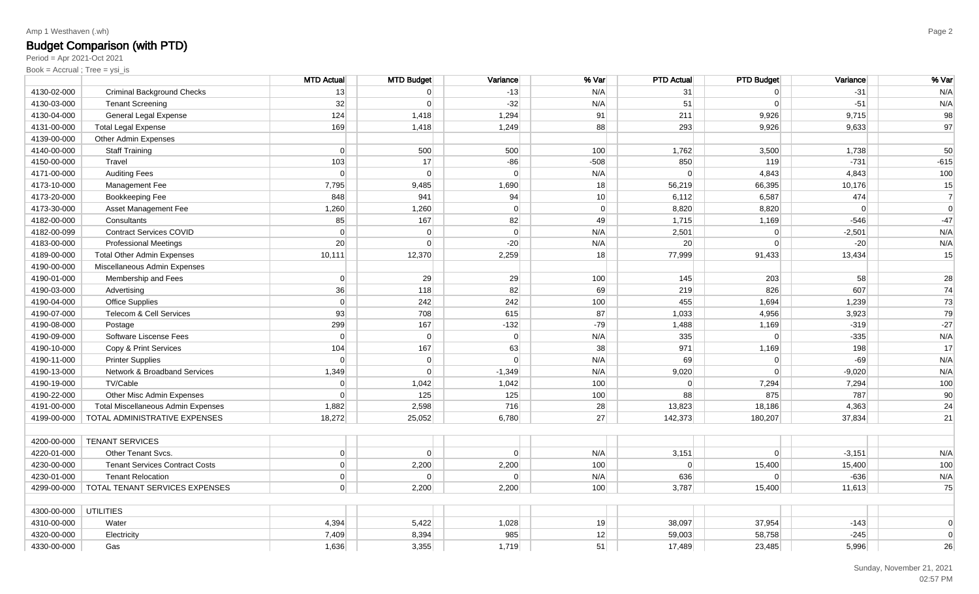### Budget Comparison (with PTD)

Period = Apr 2021-Oct 2021

|             |                                           | <b>MTD Actual</b> | <b>MTD Budget</b> | Variance       | % Var          | <b>PTD Actual</b> | <b>PTD Budget</b> | Variance       | % Var          |
|-------------|-------------------------------------------|-------------------|-------------------|----------------|----------------|-------------------|-------------------|----------------|----------------|
| 4130-02-000 | <b>Criminal Background Checks</b>         | 13                | $\Omega$          | $-13$          | N/A            | 31                | $\Omega$          | $-31$          | N/A            |
| 4130-03-000 | <b>Tenant Screening</b>                   | 32                | $\mathbf 0$       | $-32$          | N/A            | 51                | $\overline{0}$    | $-51$          | N/A            |
| 4130-04-000 | General Legal Expense                     | 124               | 1,418             | 1,294          | 91             | 211               | 9,926             | 9,715          | 98             |
| 4131-00-000 | <b>Total Legal Expense</b>                | 169               | 1,418             | 1,249          | 88             | 293               | 9,926             | 9,633          | 97             |
| 4139-00-000 | Other Admin Expenses                      |                   |                   |                |                |                   |                   |                |                |
| 4140-00-000 | <b>Staff Training</b>                     | 0                 | 500               | 500            | 100            | 1,762             | 3,500             | 1,738          | 50             |
| 4150-00-000 | Travel                                    | 103               | 17                | $-86$          | $-508$         | 850               | 119               | $-731$         | $-615$         |
| 4171-00-000 | <b>Auditing Fees</b>                      | $\Omega$          | $\Omega$          | $\Omega$       | N/A            | $\overline{0}$    | 4,843             | 4,843          | 100            |
| 4173-10-000 | Management Fee                            | 7,795             | 9,485             | 1,690          | 18             | 56,219            | 66,395            | 10,176         | 15             |
| 4173-20-000 | Bookkeeping Fee                           | 848               | 941               | 94             | 10             | 6,112             | 6,587             | 474            | $\overline{7}$ |
| 4173-30-000 | Asset Management Fee                      | 1,260             | 1,260             | $\Omega$       | $\overline{0}$ | 8,820             | 8,820             | $\overline{0}$ | $\mathbf 0$    |
| 4182-00-000 | Consultants                               | 85                | 167               | 82             | 49             | 1,715             | 1,169             | $-546$         | $-47$          |
| 4182-00-099 | <b>Contract Services COVID</b>            | $\Omega$          | $\Omega$          | $\Omega$       | N/A            | 2,501             | $\Omega$          | $-2,501$       | N/A            |
| 4183-00-000 | <b>Professional Meetings</b>              | 20                | $\Omega$          | $-20$          | N/A            | 20                | $\Omega$          | $-20$          | N/A            |
| 4189-00-000 | <b>Total Other Admin Expenses</b>         | 10,111            | 12,370            | 2,259          | 18             | 77,999            | 91,433            | 13,434         | 15             |
| 4190-00-000 | Miscellaneous Admin Expenses              |                   |                   |                |                |                   |                   |                |                |
| 4190-01-000 | Membership and Fees                       | $\overline{0}$    | 29                | 29             | 100            | 145               | 203               | 58             | 28             |
| 4190-03-000 | Advertising                               | 36                | 118               | 82             | 69             | 219               | 826               | 607            | 74             |
| 4190-04-000 | Office Supplies                           | 0                 | 242               | 242            | 100            | 455               | 1,694             | 1,239          | 73             |
| 4190-07-000 | Telecom & Cell Services                   | 93                | 708               | 615            | 87             | 1,033             | 4,956             | 3,923          | 79             |
| 4190-08-000 | Postage                                   | 299               | 167               | $-132$         | $-79$          | 1,488             | 1,169             | $-319$         | $-27$          |
| 4190-09-000 | Software Liscense Fees                    | $\Omega$          | $\mathbf 0$       | $\overline{0}$ | N/A            | 335               | $\Omega$          | $-335$         | N/A            |
| 4190-10-000 | Copy & Print Services                     | 104               | 167               | 63             | 38             | 971               | 1,169             | 198            | 17             |
| 4190-11-000 | <b>Printer Supplies</b>                   | $\overline{0}$    | 0                 | $\Omega$       | N/A            | 69                | $\overline{0}$    | $-69$          | N/A            |
| 4190-13-000 | Network & Broadband Services              | 1,349             | $\Omega$          | $-1,349$       | N/A            | 9,020             | $\Omega$          | $-9,020$       | N/A            |
| 4190-19-000 | TV/Cable                                  | $\overline{0}$    | 1,042             | 1,042          | 100            | $\Omega$          | 7,294             | 7,294          | 100            |
| 4190-22-000 | Other Misc Admin Expenses                 | $\Omega$          | 125               | 125            | 100            | 88                | 875               | 787            | 90             |
| 4191-00-000 | <b>Total Miscellaneous Admin Expenses</b> | 1,882             | 2,598             | 716            | 28             | 13,823            | 18,186            | 4,363          | 24             |
| 4199-00-000 | TOTAL ADMINISTRATIVE EXPENSES             | 18,272            | 25,052            | 6,780          | 27             | 142,373           | 180,207           | 37,834         | 21             |
|             |                                           |                   |                   |                |                |                   |                   |                |                |
| 4200-00-000 | <b>TENANT SERVICES</b>                    |                   |                   |                |                |                   |                   |                |                |
| 4220-01-000 | Other Tenant Svcs.                        | $\overline{0}$    | $\Omega$          | $\Omega$       | N/A            | 3,151             | $\overline{0}$    | $-3,151$       | N/A            |
| 4230-00-000 | <b>Tenant Services Contract Costs</b>     | 0                 | 2,200             | 2,200          | 100            | $\Omega$          | 15,400            | 15,400         | 100            |
| 4230-01-000 | <b>Tenant Relocation</b>                  | $\overline{0}$    | $\overline{0}$    | $\Omega$       | N/A            | 636               | $\overline{0}$    | $-636$         | N/A            |
| 4299-00-000 | TOTAL TENANT SERVICES EXPENSES            | $\Omega$          | 2,200             | 2,200          | 100            | 3,787             | 15,400            | 11,613         | 75             |
| 4300-00-000 | <b>UTILITIES</b>                          |                   |                   |                |                |                   |                   |                |                |
| 4310-00-000 | Water                                     | 4,394             | 5,422             | 1,028          | 19             | 38,097            | 37,954            | $-143$         | $\mathbf 0$    |
| 4320-00-000 | Electricity                               | 7,409             | 8,394             | 985            | 12             | 59,003            | 58,758            | $-245$         | $\mathbf 0$    |
| 4330-00-000 | Gas                                       | 1,636             | 3,355             | 1,719          | 51             | 17,489            | 23,485            | 5,996          | 26             |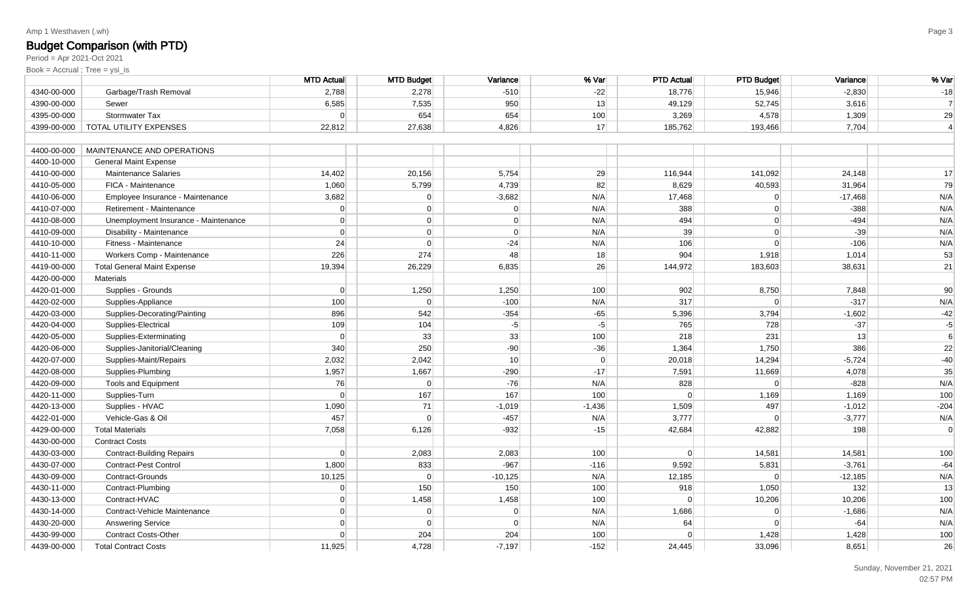### Budget Comparison (with PTD)

Period = Apr 2021-Oct 2021

|             |                                      | <b>MTD Actual</b> | <b>MTD Budget</b> | Variance        | % Var    | <b>PTD Actual</b> | <b>PTD Budget</b> | Variance  | % Var          |
|-------------|--------------------------------------|-------------------|-------------------|-----------------|----------|-------------------|-------------------|-----------|----------------|
| 4340-00-000 | Garbage/Trash Removal                | 2,788             | 2,278             | $-510$          | $-22$    | 18,776            | 15,946            | $-2,830$  | $-18$          |
| 4390-00-000 | Sewer                                | 6,585             | 7,535             | 950             | 13       | 49,129            | 52,745            | 3,616     | $\overline{7}$ |
| 4395-00-000 | <b>Stormwater Tax</b>                | $\Omega$          | 654               | 654             | 100      | 3,269             | 4,578             | 1,309     | 29             |
| 4399-00-000 | TOTAL UTILITY EXPENSES               | 22,812            | 27,638            | 4,826           | 17       | 185,762           | 193,466           | 7,704     | $\overline{4}$ |
|             |                                      |                   |                   |                 |          |                   |                   |           |                |
| 4400-00-000 | MAINTENANCE AND OPERATIONS           |                   |                   |                 |          |                   |                   |           |                |
| 4400-10-000 | <b>General Maint Expense</b>         |                   |                   |                 |          |                   |                   |           |                |
| 4410-00-000 | <b>Maintenance Salaries</b>          | 14,402            | 20,156            | 5,754           | 29       | 116,944           | 141,092           | 24,148    | 17             |
| 4410-05-000 | FICA - Maintenance                   | 1,060             | 5,799             | 4,739           | 82       | 8,629             | 40,593            | 31,964    | 79             |
| 4410-06-000 | Employee Insurance - Maintenance     | 3,682             | $\Omega$          | $-3,682$        | N/A      | 17,468            | 0                 | $-17,468$ | N/A            |
| 4410-07-000 | Retirement - Maintenance             | $\overline{0}$    | $\overline{0}$    | 0               | N/A      | 388               | 0                 | $-388$    | N/A            |
| 4410-08-000 | Unemployment Insurance - Maintenance | $\Omega$          | $\overline{0}$    | $\Omega$        | N/A      | 494               | $\overline{0}$    | $-494$    | N/A            |
| 4410-09-000 | Disability - Maintenance             | $\Omega$          | $\overline{0}$    | $\Omega$        | N/A      | 39                | $\Omega$          | $-39$     | N/A            |
| 4410-10-000 | Fitness - Maintenance                | 24                | $\overline{0}$    | $-24$           | N/A      | 106               | $\overline{0}$    | $-106$    | N/A            |
| 4410-11-000 | Workers Comp - Maintenance           | 226               | 274               | 48              | 18       | 904               | 1,918             | 1,014     | 53             |
| 4419-00-000 | <b>Total General Maint Expense</b>   | 19,394            | 26,229            | 6,835           | 26       | 144,972           | 183,603           | 38,631    | 21             |
| 4420-00-000 | <b>Materials</b>                     |                   |                   |                 |          |                   |                   |           |                |
| 4420-01-000 | Supplies - Grounds                   | $\Omega$          | 1,250             | 1,250           | 100      | 902               | 8,750             | 7,848     | 90             |
| 4420-02-000 | Supplies-Appliance                   | 100               | $\overline{0}$    | $-100$          | N/A      | 317               | $\Omega$          | $-317$    | N/A            |
| 4420-03-000 | Supplies-Decorating/Painting         | 896               | 542               | $-354$          | $-65$    | 5,396             | 3,794             | $-1,602$  | $-42$          |
| 4420-04-000 | Supplies-Electrical                  | 109               | 104               | $-5$            | $-5$     | 765               | 728               | $-37$     | $-5$           |
| 4420-05-000 | Supplies-Exterminating               | $\Omega$          | 33                | 33              | 100      | 218               | 231               | 13        | $6\phantom{a}$ |
| 4420-06-000 | Supplies-Janitorial/Cleaning         | 340               | 250               | $-90$           | $-36$    | 1,364             | 1,750             | 386       | 22             |
| 4420-07-000 | Supplies-Maint/Repairs               | 2,032             | 2,042             | 10 <sup>1</sup> | 0        | 20,018            | 14,294            | $-5,724$  | $-40$          |
| 4420-08-000 | Supplies-Plumbing                    | 1,957             | 1,667             | $-290$          | $-17$    | 7,591             | 11,669            | 4,078     | 35             |
| 4420-09-000 | <b>Tools and Equipment</b>           | 76                | $\overline{0}$    | $-76$           | N/A      | 828               | $\overline{0}$    | $-828$    | N/A            |
| 4420-11-000 | Supplies-Turn                        | $\Omega$          | 167               | 167             | 100      | $\overline{0}$    | 1,169             | 1,169     | 100            |
| 4420-13-000 | Supplies - HVAC                      | 1,090             | 71                | $-1,019$        | $-1,436$ | 1,509             | 497               | $-1,012$  | $-204$         |
| 4422-01-000 | Vehicle-Gas & Oil                    | 457               | $\Omega$          | $-457$          | N/A      | 3,777             | $\Omega$          | $-3,777$  | N/A            |
| 4429-00-000 | <b>Total Materials</b>               | 7,058             | 6,126             | $-932$          | $-15$    | 42,684            | 42,882            | 198       | $\mathbf 0$    |
| 4430-00-000 | <b>Contract Costs</b>                |                   |                   |                 |          |                   |                   |           |                |
| 4430-03-000 | <b>Contract-Building Repairs</b>     | $\overline{0}$    | 2,083             | 2,083           | 100      | $\overline{0}$    | 14,581            | 14,581    | 100            |
| 4430-07-000 | <b>Contract-Pest Control</b>         | 1,800             | 833               | $-967$          | $-116$   | 9,592             | 5,831             | $-3,761$  | $-64$          |
| 4430-09-000 | Contract-Grounds                     | 10,125            | $\Omega$          | $-10,125$       | N/A      | 12,185            | $\Omega$          | $-12,185$ | N/A            |
| 4430-11-000 | Contract-Plumbing                    | $\overline{0}$    | 150               | 150             | 100      | 918               | 1,050             | 132       | 13             |
| 4430-13-000 | Contract-HVAC                        | $\Omega$          | 1,458             | 1,458           | 100      | $\Omega$          | 10,206            | 10,206    | 100            |
| 4430-14-000 | Contract-Vehicle Maintenance         | $\Omega$          | $\overline{0}$    | $\Omega$        | N/A      | 1,686             | $\Omega$          | $-1,686$  | N/A            |
| 4430-20-000 | <b>Answering Service</b>             | $\Omega$          | $\Omega$          | $\Omega$        | N/A      | 64                | $\Omega$          | $-64$     | N/A            |
| 4430-99-000 | <b>Contract Costs-Other</b>          | $\Omega$          | 204               | 204             | 100      | $\Omega$          | 1,428             | 1,428     | 100            |
| 4439-00-000 | <b>Total Contract Costs</b>          | 11,925            | 4,728             | $-7,197$        | $-152$   | 24,445            | 33,096            | 8,651     | 26             |
|             |                                      |                   |                   |                 |          |                   |                   |           |                |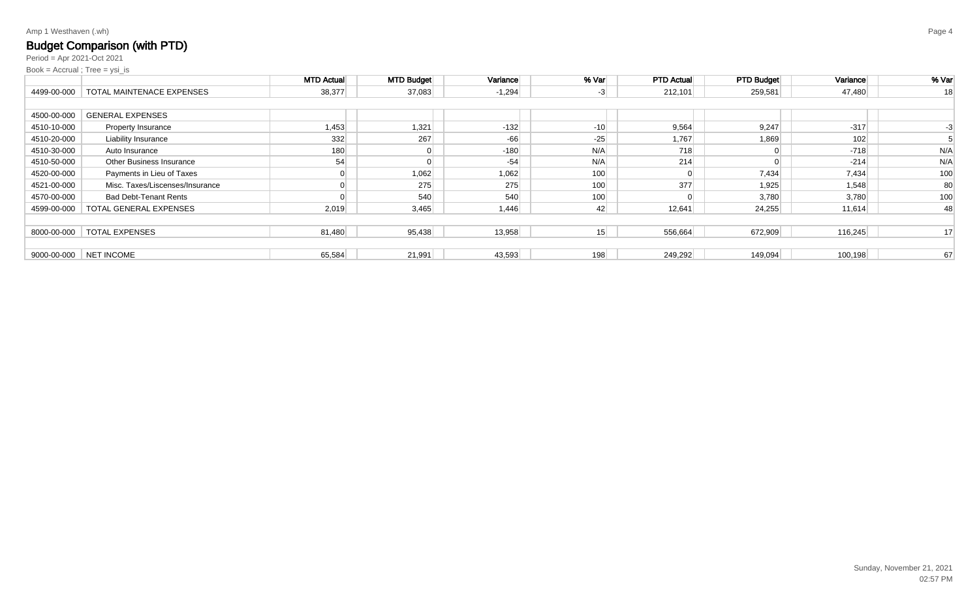# Budget Comparison (with PTD)

Period = Apr 2021-Oct 2021

|             |                                         | <b>MTD Actual</b> | <b>MTD Budget</b> | Variance | % Var | <b>PTD Actual</b> | <b>PTD Budget</b> | Variance | % Var |
|-------------|-----------------------------------------|-------------------|-------------------|----------|-------|-------------------|-------------------|----------|-------|
|             | 4499-00-000   TOTAL MAINTENACE EXPENSES | 38,377            | 37,083            | $-1,294$ | $-3$  | 212,101           | 259,581           | 47,480   | 18    |
|             |                                         |                   |                   |          |       |                   |                   |          |       |
| 4500-00-000 | <b>GENERAL EXPENSES</b>                 |                   |                   |          |       |                   |                   |          |       |
| 4510-10-000 | Property Insurance                      | 1,453             | 1,321             | $-132$   | $-10$ | 9,564             | 9,247             | $-317$   |       |
| 4510-20-000 | <b>Liability Insurance</b>              | 332               | 267               | $-66$    | $-25$ | 1,767             | 1,869             | 102      |       |
| 4510-30-000 | Auto Insurance                          | 180               | $\overline{0}$    | $-180$   | N/A   | 718               |                   | $-718$   | N/A   |
| 4510-50-000 | <b>Other Business Insurance</b>         | 54                | $\Omega$          | $-54$    | N/A   | 214               |                   | $-214$   | N/A   |
| 4520-00-000 | Payments in Lieu of Taxes               |                   | 1,062             | 1,062    | 100   |                   | 7,434             | 7,434    | 100   |
| 4521-00-000 | Misc. Taxes/Liscenses/Insurance         |                   | 275               | 275      | 100   | 377               | 1,925             | 1,548    | 80    |
| 4570-00-000 | <b>Bad Debt-Tenant Rents</b>            |                   | 540               | 540      | 100   |                   | 3,780             | 3,780    | 100   |
| 4599-00-000 | TOTAL GENERAL EXPENSES                  | 2,019             | 3,465             | 1,446    | 42    | 12,641            | 24,255            | 11,614   | 48    |
|             |                                         |                   |                   |          |       |                   |                   |          |       |
| 8000-00-000 | <b>TOTAL EXPENSES</b>                   | 81,480            | 95,438            | 13,958   | 15    | 556,664           | 672,909           | 116,245  | 17    |
|             |                                         |                   |                   |          |       |                   |                   |          |       |
| 9000-00-000 | NET INCOME                              | 65,584            | 21,991            | 43,593   | 198   | 249,292           | 149,094           | 100,198  | 67    |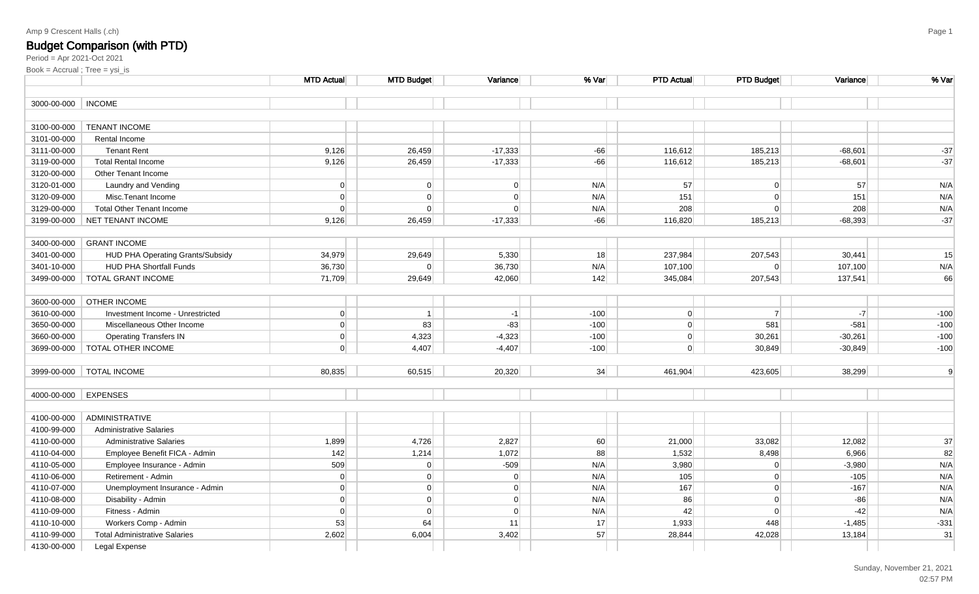### Budget Comparison (with PTD)

|             |                                      | <b>MTD Actual</b> | <b>MTD Budget</b> | Variance       | % Var  | <b>PTD Actual</b> | <b>PTD Budget</b> | Variance  | % Var  |
|-------------|--------------------------------------|-------------------|-------------------|----------------|--------|-------------------|-------------------|-----------|--------|
| 3000-00-000 | <b>INCOME</b>                        |                   |                   |                |        |                   |                   |           |        |
|             |                                      |                   |                   |                |        |                   |                   |           |        |
| 3100-00-000 | <b>TENANT INCOME</b>                 |                   |                   |                |        |                   |                   |           |        |
| 3101-00-000 | Rental Income                        |                   |                   |                |        |                   |                   |           |        |
| 3111-00-000 | <b>Tenant Rent</b>                   | 9,126             | 26,459            | $-17,333$      | $-66$  | 116,612           | 185,213           | $-68,601$ | $-37$  |
| 3119-00-000 | <b>Total Rental Income</b>           | 9,126             | 26,459            | $-17,333$      | $-66$  | 116,612           | 185,213           | $-68,601$ | $-37$  |
| 3120-00-000 | Other Tenant Income                  |                   |                   |                |        |                   |                   |           |        |
| 3120-01-000 | Laundry and Vending                  | $\Omega$          | $\overline{0}$    | 0              | N/A    | 57                | $\overline{0}$    | 57        | N/A    |
| 3120-09-000 | Misc.Tenant Income                   | $\Omega$          | $\Omega$          | $\overline{0}$ | N/A    | 151               | $\overline{0}$    | 151       | N/A    |
| 3129-00-000 | <b>Total Other Tenant Income</b>     | $\Omega$          | $\Omega$          | $\Omega$       | N/A    | 208               | $\overline{0}$    | 208       | N/A    |
| 3199-00-000 | NET TENANT INCOME                    | 9,126             | 26,459            | $-17,333$      | $-66$  | 116,820           | 185,213           | $-68,393$ | $-37$  |
|             |                                      |                   |                   |                |        |                   |                   |           |        |
| 3400-00-000 | <b>GRANT INCOME</b>                  |                   |                   |                |        |                   |                   |           |        |
| 3401-00-000 | HUD PHA Operating Grants/Subsidy     | 34,979            | 29,649            | 5,330          | 18     | 237,984           | 207,543           | 30,441    | 15     |
| 3401-10-000 | <b>HUD PHA Shortfall Funds</b>       | 36,730            | $\Omega$          | 36,730         | N/A    | 107,100           | $\overline{0}$    | 107,100   | N/A    |
| 3499-00-000 | <b>TOTAL GRANT INCOME</b>            | 71,709            | 29,649            | 42,060         | 142    | 345,084           | 207,543           | 137,541   | 66     |
| 3600-00-000 | <b>OTHER INCOME</b>                  |                   |                   |                |        |                   |                   |           |        |
| 3610-00-000 | Investment Income - Unrestricted     | $\overline{0}$    | $\overline{1}$    | $-1$           | $-100$ | $\overline{0}$    | $\overline{7}$    | $-7$      | $-100$ |
| 3650-00-000 | Miscellaneous Other Income           | $\overline{0}$    | 83                | $-83$          | $-100$ | 0                 | 581               | $-581$    | $-100$ |
| 3660-00-000 | <b>Operating Transfers IN</b>        | $\overline{0}$    | 4,323             | $-4,323$       | $-100$ | 0                 | 30,261            | $-30,261$ | $-100$ |
| 3699-00-000 | <b>TOTAL OTHER INCOME</b>            | $\Omega$          | 4,407             | $-4,407$       | $-100$ | $\Omega$          | 30,849            | $-30,849$ | $-100$ |
|             |                                      |                   |                   |                |        |                   |                   |           |        |
| 3999-00-000 | <b>TOTAL INCOME</b>                  | 80,835            | 60,515            | 20,320         | 34     | 461,904           | 423,605           | 38,299    | 9      |
|             |                                      |                   |                   |                |        |                   |                   |           |        |
| 4000-00-000 | <b>EXPENSES</b>                      |                   |                   |                |        |                   |                   |           |        |
|             |                                      |                   |                   |                |        |                   |                   |           |        |
| 4100-00-000 | ADMINISTRATIVE                       |                   |                   |                |        |                   |                   |           |        |
| 4100-99-000 | <b>Administrative Salaries</b>       |                   |                   |                |        |                   |                   |           |        |
| 4110-00-000 | <b>Administrative Salaries</b>       | 1,899             | 4,726             | 2,827          | 60     | 21,000            | 33,082            | 12,082    | 37     |
| 4110-04-000 | Employee Benefit FICA - Admin        | 142               | 1,214             | 1,072          | 88     | 1,532             | 8,498             | 6,966     | 82     |
| 4110-05-000 | Employee Insurance - Admin           | 509               | $\overline{0}$    | $-509$         | N/A    | 3,980             | $\overline{0}$    | $-3,980$  | N/A    |
| 4110-06-000 | Retirement - Admin                   | $\overline{0}$    | $\Omega$          | 0              | N/A    | 105               | 0                 | $-105$    | N/A    |
| 4110-07-000 | Unemployment Insurance - Admin       | $\Omega$          | $\overline{0}$    | 0              | N/A    | 167               | $\overline{0}$    | $-167$    | N/A    |
| 4110-08-000 | Disability - Admin                   | $\Omega$          | $\Omega$          | 0              | N/A    | 86                | 0                 | $-86$     | N/A    |
| 4110-09-000 | Fitness - Admin                      | $\Omega$          | $\Omega$          | 0              | N/A    | 42                | $\overline{0}$    | $-42$     | N/A    |
| 4110-10-000 | Workers Comp - Admin                 | 53                | 64                | 11             | 17     | 1,933             | 448               | $-1,485$  | $-331$ |
| 4110-99-000 | <b>Total Administrative Salaries</b> | 2,602             | 6,004             | 3,402          | 57     | 28,844            | 42,028            | 13,184    | 31     |
| 4130-00-000 | Legal Expense                        |                   |                   |                |        |                   |                   |           |        |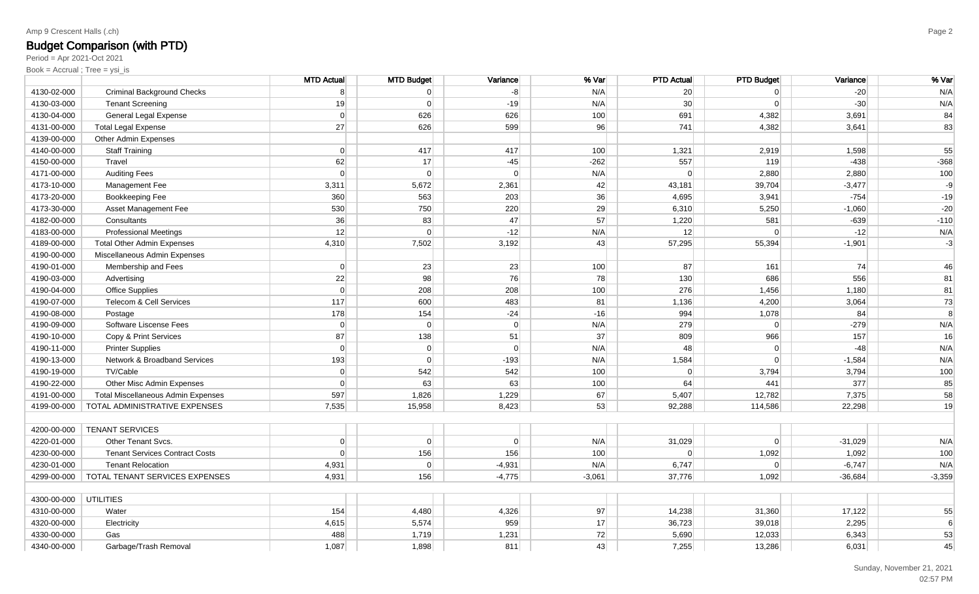## Budget Comparison (with PTD)

Period = Apr 2021-Oct 2021

|                       |                                           | <b>MTD Actual</b> | <b>MTD Budget</b> | Variance | % Var    | <b>PTD Actual</b> | <b>PTD Budget</b> | Variance  | % Var    |
|-----------------------|-------------------------------------------|-------------------|-------------------|----------|----------|-------------------|-------------------|-----------|----------|
| 4130-02-000           | <b>Criminal Background Checks</b>         | 8                 | $\Omega$          | $-8$     | N/A      | 20                | $\Omega$          | $-20$     | N/A      |
| 4130-03-000           | <b>Tenant Screening</b>                   | 19                | $\Omega$          | $-19$    | N/A      | 30                | $\Omega$          | $-30$     | N/A      |
| 4130-04-000           | General Legal Expense                     | $\Omega$          | 626               | 626      | 100      | 691               | 4,382             | 3,691     | 84       |
| 4131-00-000           | <b>Total Legal Expense</b>                | 27                | 626               | 599      | 96       | 741               | 4,382             | 3,641     | 83       |
| 4139-00-000           | Other Admin Expenses                      |                   |                   |          |          |                   |                   |           |          |
| 4140-00-000           | <b>Staff Training</b>                     | $\Omega$          | 417               | 417      | 100      | 1,321             | 2,919             | 1,598     | 55       |
| 4150-00-000           | Travel                                    | 62                | 17                | $-45$    | $-262$   | 557               | 119               | $-438$    | $-368$   |
| 4171-00-000           | <b>Auditing Fees</b>                      | $\Omega$          | $\Omega$          | $\Omega$ | N/A      | $\Omega$          | 2,880             | 2,880     | 100      |
| 4173-10-000           | Management Fee                            | 3,311             | 5,672             | 2,361    | 42       | 43,181            | 39,704            | $-3,477$  | -9       |
| 4173-20-000           | Bookkeeping Fee                           | 360               | 563               | 203      | 36       | 4,695             | 3,941             | $-754$    | $-19$    |
| 4173-30-000           | Asset Management Fee                      | 530               | 750               | 220      | 29       | 6,310             | 5,250             | $-1,060$  | $-20$    |
| 4182-00-000           | Consultants                               | 36                | 83                | 47       | 57       | 1,220             | 581               | $-639$    | $-110$   |
| 4183-00-000           | <b>Professional Meetings</b>              | 12                | $\Omega$          | $-12$    | N/A      | 12                | $\Omega$          | $-12$     | N/A      |
| 4189-00-000           | <b>Total Other Admin Expenses</b>         | 4,310             | 7,502             | 3,192    | 43       | 57,295            | 55,394            | $-1,901$  | $-3$     |
| 4190-00-000           | Miscellaneous Admin Expenses              |                   |                   |          |          |                   |                   |           |          |
| 4190-01-000           | Membership and Fees                       | $\Omega$          | 23                | 23       | 100      | 87                | 161               | 74        | 46       |
| 4190-03-000           | Advertising                               | 22                | 98                | 76       | 78       | 130               | 686               | 556       | 81       |
| 4190-04-000           | Office Supplies                           | $\Omega$          | 208               | 208      | 100      | 276               | 1,456             | 1,180     | 81       |
| 4190-07-000           | Telecom & Cell Services                   | 117               | 600               | 483      | 81       | 1,136             | 4,200             | 3,064     | 73       |
| 4190-08-000           | Postage                                   | 178               | 154               | $-24$    | $-16$    | 994               | 1,078             | 84        | 8        |
| 4190-09-000           | Software Liscense Fees                    | $\Omega$          | $\Omega$          | $\Omega$ | N/A      | 279               | $\Omega$          | $-279$    | N/A      |
| 4190-10-000           | Copy & Print Services                     | 87                | 138               | 51       | 37       | 809               | 966               | 157       | 16       |
| 4190-11-000           | <b>Printer Supplies</b>                   | $\Omega$          | $\overline{0}$    | $\Omega$ | N/A      | 48                | $\Omega$          | $-48$     | N/A      |
| 4190-13-000           | Network & Broadband Services              | 193               | $\Omega$          | $-193$   | N/A      | 1,584             | $\Omega$          | $-1,584$  | N/A      |
| 4190-19-000           | TV/Cable                                  | $\Omega$          | 542               | 542      | 100      | $\Omega$          | 3,794             | 3,794     | 100      |
| 4190-22-000           | Other Misc Admin Expenses                 | $\Omega$          | 63                | 63       | 100      | 64                | 441               | 377       | 85       |
| 4191-00-000           | <b>Total Miscellaneous Admin Expenses</b> | 597               | 1,826             | 1,229    | 67       | 5,407             | 12,782            | 7,375     | 58       |
| 4199-00-000           | TOTAL ADMINISTRATIVE EXPENSES             | 7,535             | 15,958            | 8,423    | 53       | 92,288            | 114,586           | 22,298    | 19       |
|                       |                                           |                   |                   |          |          |                   |                   |           |          |
| 4200-00-000           | <b>TENANT SERVICES</b>                    |                   |                   |          |          |                   |                   |           |          |
| 4220-01-000           | Other Tenant Svcs.                        | $\Omega$          | $\overline{0}$    | $\Omega$ | N/A      | 31,029            | $\Omega$          | $-31,029$ | N/A      |
| 4230-00-000           | <b>Tenant Services Contract Costs</b>     | $\Omega$          | 156               | 156      | 100      | $\Omega$          | 1,092             | 1,092     | 100      |
| 4230-01-000           | <b>Tenant Relocation</b>                  | 4,931             | $\Omega$          | $-4,931$ | N/A      | 6,747             | $\Omega$          | $-6,747$  | N/A      |
| 4299-00-000           | TOTAL TENANT SERVICES EXPENSES            | 4,931             | 156               | $-4,775$ | $-3,061$ | 37,776            | 1,092             | $-36,684$ | $-3,359$ |
|                       |                                           |                   |                   |          |          |                   |                   |           |          |
| 4300-00-000 UTILITIES |                                           |                   |                   |          |          |                   |                   |           |          |
| 4310-00-000           | Water                                     | 154               | 4,480             | 4,326    | 97       | 14,238            | 31,360            | 17,122    | 55       |
| 4320-00-000           | Electricity                               | 4,615             | 5,574             | 959      | 17       | 36,723            | 39,018            | 2,295     | 6        |
| 4330-00-000           | Gas                                       | 488               | 1,719             | 1,231    | 72       | 5,690             | 12,033            | 6,343     | 53       |
| 4340-00-000           | Garbage/Trash Removal                     | 1,087             | 1,898             | 811      | 43       | 7,255             | 13,286            | 6,031     | 45       |
|                       |                                           |                   |                   |          |          |                   |                   |           |          |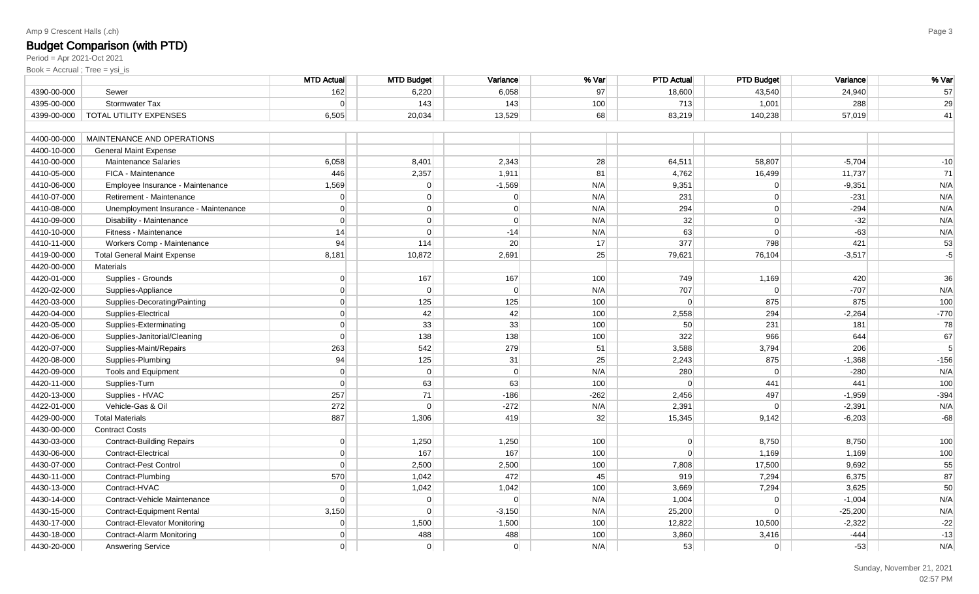## Budget Comparison (with PTD)

Period = Apr 2021-Oct 2021

|             |                                      | <b>MTD Actual</b> | <b>MTD Budget</b> | Variance | % Var  | <b>PTD Actual</b> | <b>PTD Budget</b> | Variance  | % Var  |
|-------------|--------------------------------------|-------------------|-------------------|----------|--------|-------------------|-------------------|-----------|--------|
| 4390-00-000 | Sewer                                | 162               | 6,220             | 6,058    | 97     | 18,600            | 43,540            | 24,940    | 57     |
| 4395-00-000 | Stormwater Tax                       | $\Omega$          | 143               | 143      | 100    | 713               | 1,001             | 288       | 29     |
| 4399-00-000 | TOTAL UTILITY EXPENSES               | 6,505             | 20,034            | 13,529   | 68     | 83,219            | 140,238           | 57,019    | 41     |
|             |                                      |                   |                   |          |        |                   |                   |           |        |
| 4400-00-000 | MAINTENANCE AND OPERATIONS           |                   |                   |          |        |                   |                   |           |        |
| 4400-10-000 | <b>General Maint Expense</b>         |                   |                   |          |        |                   |                   |           |        |
| 4410-00-000 | <b>Maintenance Salaries</b>          | 6,058             | 8,401             | 2,343    | 28     | 64,511            | 58,807            | $-5,704$  | $-10$  |
| 4410-05-000 | FICA - Maintenance                   | 446               | 2,357             | 1,911    | 81     | 4,762             | 16,499            | 11,737    | 71     |
| 4410-06-000 | Employee Insurance - Maintenance     | 1,569             | $\Omega$          | $-1,569$ | N/A    | 9,351             | $\overline{0}$    | $-9,351$  | N/A    |
| 4410-07-000 | Retirement - Maintenance             | $\Omega$          | $\overline{0}$    | $\Omega$ | N/A    | 231               | 0                 | $-231$    | N/A    |
| 4410-08-000 | Unemployment Insurance - Maintenance | $\Omega$          | $\overline{0}$    | $\Omega$ | N/A    | 294               | $\Omega$          | $-294$    | N/A    |
| 4410-09-000 | Disability - Maintenance             | $\Omega$          | $\overline{0}$    | $\Omega$ | N/A    | 32                | $\Omega$          | $-32$     | N/A    |
| 4410-10-000 | Fitness - Maintenance                | 14                | $\overline{0}$    | $-14$    | N/A    | 63                | $\overline{0}$    | $-63$     | N/A    |
| 4410-11-000 | Workers Comp - Maintenance           | 94                | 114               | 20       | 17     | 377               | 798               | 421       | 53     |
| 4419-00-000 | <b>Total General Maint Expense</b>   | 8,181             | 10,872            | 2,691    | 25     | 79,621            | 76,104            | $-3,517$  | $-5$   |
| 4420-00-000 | <b>Materials</b>                     |                   |                   |          |        |                   |                   |           |        |
| 4420-01-000 | Supplies - Grounds                   | $\Omega$          | 167               | 167      | 100    | 749               | 1,169             | 420       | 36     |
| 4420-02-000 | Supplies-Appliance                   | $\Omega$          | $\Omega$          | $\Omega$ | N/A    | 707               | $\Omega$          | $-707$    | N/A    |
| 4420-03-000 | Supplies-Decorating/Painting         | $\Omega$          | 125               | 125      | 100    | $\overline{0}$    | 875               | 875       | 100    |
| 4420-04-000 | Supplies-Electrical                  | $\Omega$          | 42                | 42       | 100    | 2,558             | 294               | $-2,264$  | $-770$ |
| 4420-05-000 | Supplies-Exterminating               | $\Omega$          | 33                | 33       | 100    | 50                | 231               | 181       | 78     |
| 4420-06-000 | Supplies-Janitorial/Cleaning         | $\Omega$          | 138               | 138      | 100    | 322               | 966               | 644       | 67     |
| 4420-07-000 | Supplies-Maint/Repairs               | 263               | 542               | 279      | 51     | 3,588             | 3,794             | 206       | 5      |
| 4420-08-000 | Supplies-Plumbing                    | 94                | 125               | 31       | 25     | 2,243             | 875               | $-1,368$  | $-156$ |
| 4420-09-000 | Tools and Equipment                  | $\overline{0}$    | $\overline{0}$    | 0        | N/A    | 280               | $\Omega$          | $-280$    | N/A    |
| 4420-11-000 | Supplies-Turn                        | $\Omega$          | 63                | 63       | 100    | $\Omega$          | 441               | 441       | 100    |
| 4420-13-000 | Supplies - HVAC                      | 257               | 71                | $-186$   | $-262$ | 2,456             | 497               | $-1,959$  | $-394$ |
| 4422-01-000 | Vehicle-Gas & Oil                    | 272               | $\Omega$          | $-272$   | N/A    | 2,391             | $\Omega$          | $-2,391$  | N/A    |
| 4429-00-000 | <b>Total Materials</b>               | 887               | 1,306             | 419      | 32     | 15,345            | 9,142             | $-6,203$  | $-68$  |
| 4430-00-000 | <b>Contract Costs</b>                |                   |                   |          |        |                   |                   |           |        |
| 4430-03-000 | <b>Contract-Building Repairs</b>     | 0                 | 1,250             | 1,250    | 100    | $\overline{0}$    | 8,750             | 8,750     | 100    |
| 4430-06-000 | <b>Contract-Electrical</b>           | $\Omega$          | 167               | 167      | 100    | $\Omega$          | 1,169             | 1,169     | 100    |
| 4430-07-000 | Contract-Pest Control                | $\Omega$          | 2,500             | 2,500    | 100    | 7,808             | 17,500            | 9,692     | 55     |
| 4430-11-000 | Contract-Plumbing                    | 570               | 1,042             | 472      | 45     | 919               | 7,294             | 6,375     | 87     |
| 4430-13-000 | Contract-HVAC                        | $\Omega$          | 1,042             | 1,042    | 100    | 3,669             | 7,294             | 3,625     | 50     |
| 4430-14-000 | Contract-Vehicle Maintenance         | $\Omega$          | $\overline{0}$    | 0        | N/A    | 1,004             | $\Omega$          | $-1,004$  | N/A    |
| 4430-15-000 | <b>Contract-Equipment Rental</b>     | 3,150             | $\overline{0}$    | $-3,150$ | N/A    | 25,200            | $\Omega$          | $-25,200$ | N/A    |
| 4430-17-000 | <b>Contract-Elevator Monitoring</b>  | $\Omega$          | 1,500             | 1,500    | 100    | 12,822            | 10,500            | $-2,322$  | $-22$  |
| 4430-18-000 | Contract-Alarm Monitoring            | $\Omega$          | 488               | 488      | 100    | 3,860             | 3,416             | $-444$    | $-13$  |
| 4430-20-000 | <b>Answering Service</b>             | $\Omega$          | $\overline{0}$    | 0        | N/A    | 53                | $\overline{0}$    | $-53$     | N/A    |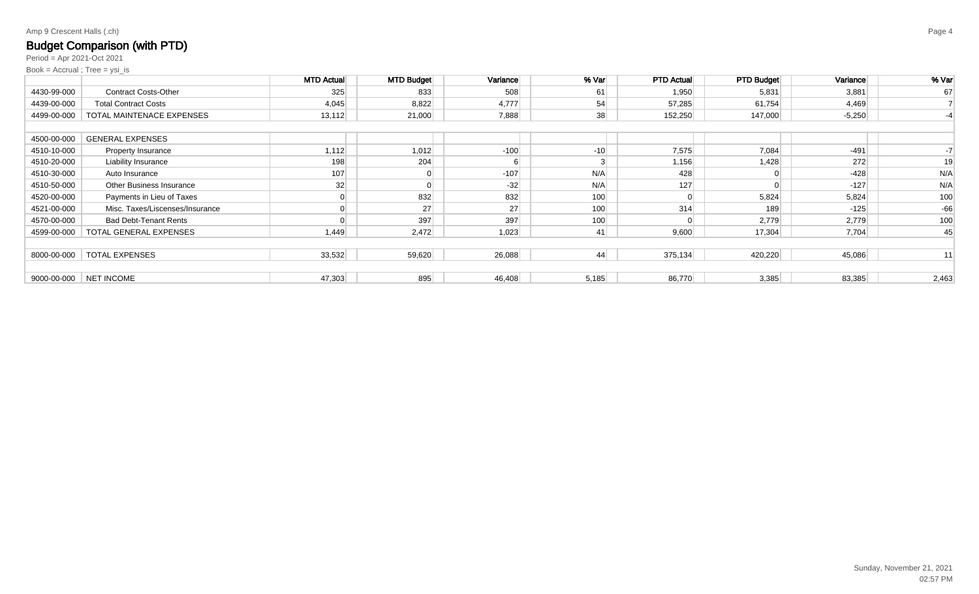# Budget Comparison (with PTD)

Period = Apr 2021-Oct 2021

|             |                                 | <b>MTD Actual</b> | <b>MTD Budget</b> | Variance | % Var | <b>PTD Actual</b> | <b>PTD Budget</b> | Variance | % Var |
|-------------|---------------------------------|-------------------|-------------------|----------|-------|-------------------|-------------------|----------|-------|
| 4430-99-000 | <b>Contract Costs-Other</b>     | 325               | 833               | 508      | 61    | 1,950             | 5,831             | 3,881    | 67    |
| 4439-00-000 | <b>Total Contract Costs</b>     | 4,045             | 8,822             | 4,777    | 54    | 57,285            | 61,754            | 4,469    |       |
| 4499-00-000 | TOTAL MAINTENACE EXPENSES       | 13,112            | 21,000            | 7,888    | 38    | 152,250           | 147,000           | $-5,250$ |       |
|             |                                 |                   |                   |          |       |                   |                   |          |       |
| 4500-00-000 | <b>GENERAL EXPENSES</b>         |                   |                   |          |       |                   |                   |          |       |
| 4510-10-000 | Property Insurance              | 1,112             | 1,012             | $-100$   | $-10$ | 7,575             | 7,084             | $-491$   |       |
| 4510-20-000 | <b>Liability Insurance</b>      | 198               | 204               |          | 3     | 1,156             | 1,428             | 272      | 19    |
| 4510-30-000 | Auto Insurance                  | 107               | $\mathbf{0}$      | $-107$   | N/A   | 428               |                   | $-428$   | N/A   |
| 4510-50-000 | <b>Other Business Insurance</b> | 32                | $\overline{0}$    | $-32$    | N/A   | 127               |                   | $-127$   | N/A   |
| 4520-00-000 | Payments in Lieu of Taxes       |                   | 832               | 832      | 100   |                   | 5,824             | 5,824    | 100   |
| 4521-00-000 | Misc. Taxes/Liscenses/Insurance |                   | 27                | 27       | 100   | 314               | 189               | $-125$   | $-66$ |
| 4570-00-000 | <b>Bad Debt-Tenant Rents</b>    |                   | 397               | 397      | 100   |                   | 2,779             | 2,779    | 100   |
| 4599-00-000 | TOTAL GENERAL EXPENSES          | 1,449             | 2,472             | 1,023    | 41    | 9,600             | 17,304            | 7,704    | 45    |
|             |                                 |                   |                   |          |       |                   |                   |          |       |
| 8000-00-000 | <b>TOTAL EXPENSES</b>           | 33,532            | 59,620            | 26,088   | 44    | 375,134           | 420,220           | 45,086   | 11    |
|             |                                 |                   |                   |          |       |                   |                   |          |       |
| 9000-00-000 | NET INCOME                      | 47,303            | 895               | 46,408   | 5,185 | 86,770            | 3,385             | 83,385   | 2,463 |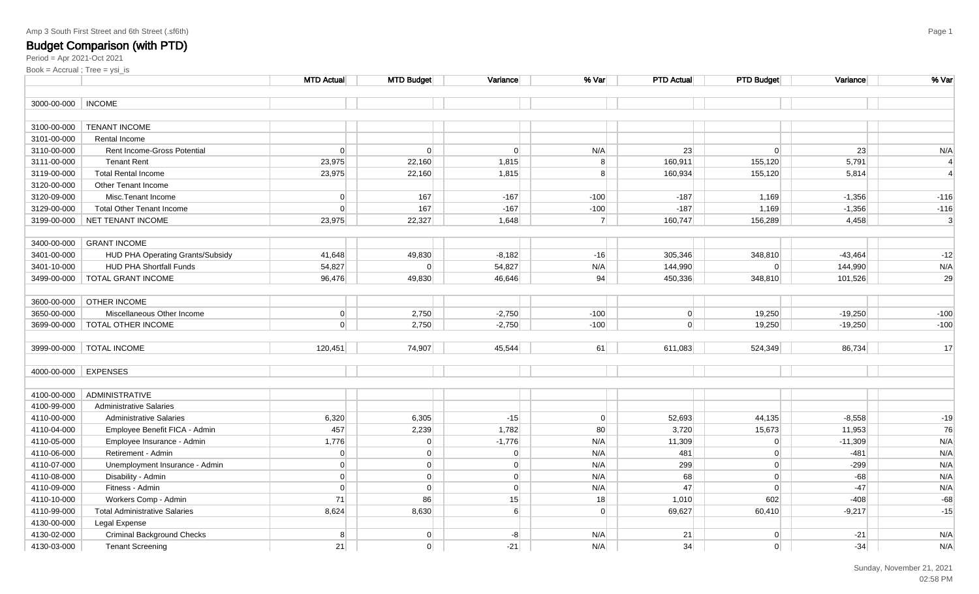Period = Apr 2021-Oct 2021Book = Accrual ; Tree = ysi\_is

|             |                                      | <b>MTD Actual</b> | <b>MTD Budget</b> | Variance       | % Var          | <b>PTD Actual</b> | <b>PTD Budget</b> | Variance  | % Var                     |
|-------------|--------------------------------------|-------------------|-------------------|----------------|----------------|-------------------|-------------------|-----------|---------------------------|
| 3000-00-000 | <b>INCOME</b>                        |                   |                   |                |                |                   |                   |           |                           |
|             |                                      |                   |                   |                |                |                   |                   |           |                           |
| 3100-00-000 | <b>TENANT INCOME</b>                 |                   |                   |                |                |                   |                   |           |                           |
| 3101-00-000 | Rental Income                        |                   |                   |                |                |                   |                   |           |                           |
| 3110-00-000 | Rent Income-Gross Potential          | $\Omega$          | $\overline{0}$    | $\overline{0}$ | N/A            | 23                | $\overline{0}$    | 23        | N/A                       |
| 3111-00-000 | <b>Tenant Rent</b>                   | 23,975            | 22,160            | 1,815          | 8 <sup>1</sup> | 160,911           | 155,120           | 5,791     | $\overline{4}$            |
| 3119-00-000 | <b>Total Rental Income</b>           | 23,975            | 22,160            | 1,815          | 8 <sup>1</sup> | 160,934           | 155,120           | 5,814     | $\overline{4}$            |
| 3120-00-000 | Other Tenant Income                  |                   |                   |                |                |                   |                   |           |                           |
| 3120-09-000 | Misc.Tenant Income                   | $\Omega$          | 167               | $-167$         | $-100$         | $-187$            | 1,169             | $-1,356$  | $-116$                    |
| 3129-00-000 | <b>Total Other Tenant Income</b>     | $\Omega$          | 167               | $-167$         | $-100$         | $-187$            | 1,169             | $-1,356$  | $-116$                    |
| 3199-00-000 | NET TENANT INCOME                    | 23,975            | 22,327            | 1,648          | $\overline{7}$ | 160,747           | 156,289           | 4,458     | $\ensuremath{\mathsf{3}}$ |
|             |                                      |                   |                   |                |                |                   |                   |           |                           |
| 3400-00-000 | <b>GRANT INCOME</b>                  |                   |                   |                |                |                   |                   |           |                           |
| 3401-00-000 | HUD PHA Operating Grants/Subsidy     | 41,648            | 49,830            | $-8,182$       | $-16$          | 305,346           | 348,810           | $-43,464$ | $-12$                     |
| 3401-10-000 | <b>HUD PHA Shortfall Funds</b>       | 54,827            | $\Omega$          | 54,827         | N/A            | 144,990           | $\overline{0}$    | 144,990   | N/A                       |
| 3499-00-000 | <b>TOTAL GRANT INCOME</b>            | 96,476            | 49,830            | 46,646         | 94             | 450,336           | 348,810           | 101,526   | 29                        |
| 3600-00-000 | <b>OTHER INCOME</b>                  |                   |                   |                |                |                   |                   |           |                           |
| 3650-00-000 | Miscellaneous Other Income           | $\overline{0}$    | 2,750             | $-2,750$       | $-100$         | 0                 | 19,250            | $-19,250$ | $-100$                    |
|             | 3699-00-000   TOTAL OTHER INCOME     | $\Omega$          | 2,750             | $-2,750$       | $-100$         | $\Omega$          | 19,250            | $-19,250$ | $-100$                    |
|             |                                      |                   |                   |                |                |                   |                   |           |                           |
|             | 3999-00-000   TOTAL INCOME           | 120,451           | 74,907            | 45,544         | 61             | 611,083           | 524,349           | 86,734    | 17                        |
| 4000-00-000 | <b>EXPENSES</b>                      |                   |                   |                |                |                   |                   |           |                           |
|             |                                      |                   |                   |                |                |                   |                   |           |                           |
| 4100-00-000 | ADMINISTRATIVE                       |                   |                   |                |                |                   |                   |           |                           |
| 4100-99-000 | <b>Administrative Salaries</b>       |                   |                   |                |                |                   |                   |           |                           |
| 4110-00-000 | <b>Administrative Salaries</b>       | 6,320             | 6,305             | $-15$          | $\overline{0}$ | 52,693            | 44,135            | $-8,558$  | $-19$                     |
| 4110-04-000 | Employee Benefit FICA - Admin        | 457               | 2,239             | 1,782          | 80             | 3,720             | 15,673            | 11,953    | 76                        |
| 4110-05-000 | Employee Insurance - Admin           | 1,776             | $\overline{0}$    | $-1,776$       | N/A            | 11,309            | $\overline{0}$    | $-11,309$ | N/A                       |
| 4110-06-000 | Retirement - Admin                   | $\Omega$          | $\overline{0}$    | $\overline{0}$ | N/A            | 481               | $\overline{0}$    | $-481$    | N/A                       |
| 4110-07-000 | Unemployment Insurance - Admin       | $\Omega$          | $\overline{0}$    | 0              | N/A            | 299               | $\overline{0}$    | $-299$    | N/A                       |
| 4110-08-000 | Disability - Admin                   | $\Omega$          | $\overline{0}$    | 0              | N/A            | 68                | $\overline{0}$    | $-68$     | N/A                       |
| 4110-09-000 | Fitness - Admin                      | $\Omega$          | $\overline{0}$    | 0              | N/A            | 47                | $\Omega$          | $-47$     | N/A                       |
| 4110-10-000 | Workers Comp - Admin                 | 71                | 86                | 15             | 18             | 1,010             | 602               | $-408$    | $-68$                     |
| 4110-99-000 | <b>Total Administrative Salaries</b> | 8,624             | 8,630             | 6 <sup>1</sup> | 0              | 69,627            | 60,410            | $-9,217$  | $-15$                     |
| 4130-00-000 | Legal Expense                        |                   |                   |                |                |                   |                   |           |                           |
| 4130-02-000 | <b>Criminal Background Checks</b>    | 8                 | $\overline{0}$    | $-8$           | N/A            | 21                | $\overline{0}$    | $-21$     | N/A                       |
| 4130-03-000 | <b>Tenant Screening</b>              | 21                | $\overline{0}$    | $-21$          | N/A            | 34                | 0                 | $-34$     | N/A                       |

en die oordeel van die 19de eeu n.C. In 19de eeu n.C. In 19de eeu n.C. In 19de eeu n.C. In 19de eeu n.C. In 19<br>Gebeure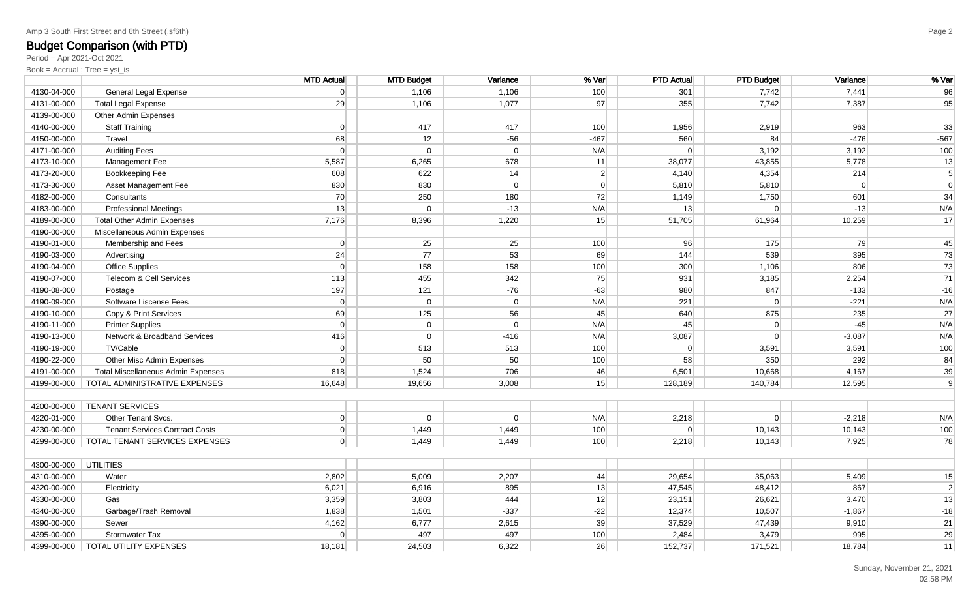Period = Apr 2021-Oct 2021

|                       |                                              | <b>MTD Actual</b> | <b>MTD Budget</b> | Variance | % Var          | <b>PTD Actual</b> | <b>PTD Budget</b> | Variance       | % Var          |
|-----------------------|----------------------------------------------|-------------------|-------------------|----------|----------------|-------------------|-------------------|----------------|----------------|
| 4130-04-000           | General Legal Expense                        | 0                 | 1,106             | 1,106    | 100            | 301               | 7,742             | 7,441          | 96             |
| 4131-00-000           | <b>Total Legal Expense</b>                   | 29                | 1,106             | 1,077    | 97             | 355               | 7,742             | 7,387          | 95             |
| 4139-00-000           | <b>Other Admin Expenses</b>                  |                   |                   |          |                |                   |                   |                |                |
| 4140-00-000           | <b>Staff Training</b>                        | 0                 | 417               | 417      | 100            | 1,956             | 2,919             | 963            | 33             |
| 4150-00-000           | Travel                                       | 68                | 12                | $-56$    | $-467$         | 560               | 84                | $-476$         | $-567$         |
| 4171-00-000           | <b>Auditing Fees</b>                         | 0                 | $\Omega$          | $\Omega$ | N/A            | $\Omega$          | 3,192             | 3,192          | 100            |
| 4173-10-000           | Management Fee                               | 5,587             | 6,265             | 678      | 11             | 38,077            | 43,855            | 5,778          | 13             |
| 4173-20-000           | Bookkeeping Fee                              | 608               | 622               | 14       | $\mathbf{2}$   | 4,140             | 4,354             | 214            | 5 <sub>5</sub> |
| 4173-30-000           | Asset Management Fee                         | 830               | 830               | $\Omega$ | $\overline{0}$ | 5,810             | 5,810             | $\overline{0}$ | $\overline{0}$ |
| 4182-00-000           | Consultants                                  | 70                | 250               | 180      | 72             | 1,149             | 1,750             | 601            | 34             |
| 4183-00-000           | <b>Professional Meetings</b>                 | 13                | $\Omega$          | $-13$    | N/A            | 13                | $\Omega$          | $-13$          | N/A            |
| 4189-00-000           | <b>Total Other Admin Expenses</b>            | 7,176             | 8,396             | 1,220    | 15             | 51,705            | 61,964            | 10,259         | 17             |
| 4190-00-000           | Miscellaneous Admin Expenses                 |                   |                   |          |                |                   |                   |                |                |
| 4190-01-000           | Membership and Fees                          | 0                 | 25                | 25       | 100            | 96                | 175               | 79             | 45             |
| 4190-03-000           | Advertising                                  | 24                | 77                | 53       | 69             | 144               | 539               | 395            | 73             |
| 4190-04-000           | <b>Office Supplies</b>                       | 0                 | 158               | 158      | 100            | 300               | 1,106             | 806            | 73             |
| 4190-07-000           | Telecom & Cell Services                      | 113               | 455               | 342      | 75             | 931               | 3,185             | 2,254          | 71             |
| 4190-08-000           | Postage                                      | 197               | 121               | $-76$    | $-63$          | 980               | 847               | $-133$         | $-16$          |
| 4190-09-000           | Software Liscense Fees                       | 0                 | $\overline{0}$    | 0        | N/A            | 221               | $\overline{0}$    | $-221$         | N/A            |
| 4190-10-000           | Copy & Print Services                        | 69                | 125               | 56       | 45             | 640               | 875               | 235            | 27             |
| 4190-11-000           | <b>Printer Supplies</b>                      | $\Omega$          | $\overline{0}$    | $\Omega$ | N/A            | 45                | 0                 | $-45$          | N/A            |
| 4190-13-000           | Network & Broadband Services                 | 416               | $\overline{0}$    | $-416$   | N/A            | 3,087             | $\Omega$          | $-3,087$       | N/A            |
| 4190-19-000           | TV/Cable                                     | $\Omega$          | 513               | 513      | 100            | $\Omega$          | 3,591             | 3,591          | 100            |
| 4190-22-000           | Other Misc Admin Expenses                    | $\Omega$          | 50                | 50       | 100            | 58                | 350               | 292            | 84             |
| 4191-00-000           | <b>Total Miscellaneous Admin Expenses</b>    | 818               | 1,524             | 706      | 46             | 6,501             | 10,668            | 4,167          | 39             |
| 4199-00-000           | TOTAL ADMINISTRATIVE EXPENSES                | 16,648            | 19,656            | 3,008    | 15             | 128,189           | 140,784           | 12,595         | 9              |
|                       |                                              |                   |                   |          |                |                   |                   |                |                |
| 4200-00-000           | <b>TENANT SERVICES</b>                       |                   |                   |          |                |                   |                   |                |                |
| 4220-01-000           | Other Tenant Svcs.                           | 0                 | $\overline{0}$    | $\Omega$ | N/A            | 2,218             | 0                 | $-2,218$       | N/A            |
| 4230-00-000           | <b>Tenant Services Contract Costs</b>        | 0                 | 1,449             | 1,449    | 100            | $\Omega$          | 10,143            | 10,143         | 100            |
|                       | 4299-00-000   TOTAL TENANT SERVICES EXPENSES | $\Omega$          | 1,449             | 1,449    | 100            | 2,218             | 10,143            | 7,925          | 78             |
|                       |                                              |                   |                   |          |                |                   |                   |                |                |
| 4300-00-000 UTILITIES |                                              |                   |                   |          |                |                   |                   |                |                |
| 4310-00-000           | Water                                        | 2,802             | 5,009             | 2,207    | 44             | 29,654            | 35,063            | 5,409          | 15             |
| 4320-00-000           | Electricity                                  | 6,021             | 6,916             | 895      | 13             | 47,545            | 48,412            | 867            | $\overline{2}$ |
| 4330-00-000           | Gas                                          | 3,359             | 3,803             | 444      | 12             | 23,151            | 26,621            | 3,470          | 13             |
| 4340-00-000           | Garbage/Trash Removal                        | 1,838             | 1,501             | $-337$   | $-22$          | 12,374            | 10,507            | $-1,867$       | $-18$          |
| 4390-00-000           | Sewer                                        | 4,162             | 6,777             | 2,615    | 39             | 37,529            | 47,439            | 9,910          | 21             |
| 4395-00-000           | Stormwater Tax                               | $\Omega$          | 497               | 497      | 100            | 2,484             | 3,479             | 995            | 29             |
|                       | 4399-00-000   TOTAL UTILITY EXPENSES         | 18,181            | 24,503            | 6,322    | 26             | 152,737           | 171,521           | 18,784         | 11             |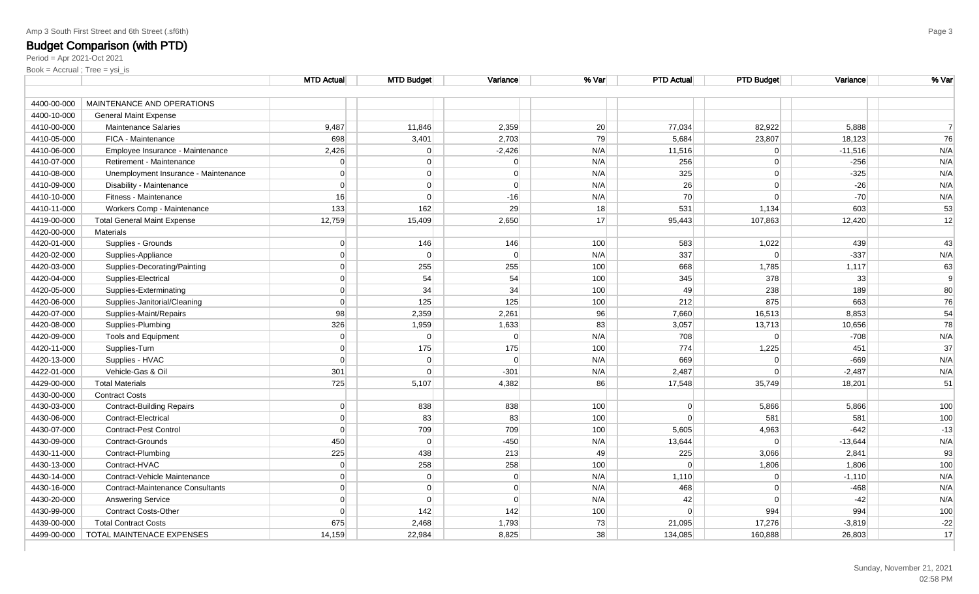|             |                                         | <b>MTD Actual</b> | <b>MTD Budget</b> | Variance | % Var | <b>PTD Actual</b> | <b>PTD Budget</b> | Variance  | % Var |
|-------------|-----------------------------------------|-------------------|-------------------|----------|-------|-------------------|-------------------|-----------|-------|
| 4400-00-000 | MAINTENANCE AND OPERATIONS              |                   |                   |          |       |                   |                   |           |       |
| 4400-10-000 | <b>General Maint Expense</b>            |                   |                   |          |       |                   |                   |           |       |
| 4410-00-000 | <b>Maintenance Salaries</b>             | 9,487             | 11,846            | 2,359    | 20    | 77,034            | 82,922            | 5,888     |       |
| 4410-05-000 | FICA - Maintenance                      | 698               | 3,401             | 2,703    | 79    | 5,684             | 23,807            | 18,123    | 76    |
| 4410-06-000 | Employee Insurance - Maintenance        | 2,426             | $\overline{0}$    | $-2,426$ | N/A   | 11,516            | 0                 | $-11,516$ | N/A   |
| 4410-07-000 | Retirement - Maintenance                | $\Omega$          | $\overline{0}$    | 0        | N/A   | 256               | $\overline{0}$    | $-256$    | N/A   |
| 4410-08-000 | Unemployment Insurance - Maintenance    | $\Omega$          | $\overline{0}$    | 0        | N/A   | 325               | $\overline{0}$    | $-325$    | N/A   |
| 4410-09-000 | Disability - Maintenance                | $\Omega$          | $\overline{0}$    | $\Omega$ | N/A   | 26                | $\overline{0}$    | $-26$     | N/A   |
| 4410-10-000 | Fitness - Maintenance                   | 16                | $\overline{0}$    | $-16$    | N/A   | 70                | 0                 | $-70$     | N/A   |
| 4410-11-000 | Workers Comp - Maintenance              | 133               | 162               | 29       | 18    | 531               | 1,134             | 603       | 53    |
| 4419-00-000 | <b>Total General Maint Expense</b>      | 12,759            | 15,409            | 2,650    | 17    | 95,443            | 107,863           | 12,420    | 12    |
| 4420-00-000 | <b>Materials</b>                        |                   |                   |          |       |                   |                   |           |       |
| 4420-01-000 | Supplies - Grounds                      | $\Omega$          | 146               | 146      | 100   | 583               | 1,022             | 439       | 43    |
| 4420-02-000 | Supplies-Appliance                      | $\overline{0}$    | $\Omega$          | 0        | N/A   | 337               | $\Omega$          | $-337$    | N/A   |
| 4420-03-000 | Supplies-Decorating/Painting            | $\Omega$          | 255               | 255      | 100   | 668               | 1,785             | 1,117     | 63    |
| 4420-04-000 | Supplies-Electrical                     | $\overline{0}$    | 54                | 54       | 100   | 345               | 378               | 33        | 9     |
| 4420-05-000 | Supplies-Exterminating                  | $\overline{0}$    | 34                | 34       | 100   | 49                | 238               | 189       | 80    |
| 4420-06-000 | Supplies-Janitorial/Cleaning            | $\overline{0}$    | 125               | 125      | 100   | 212               | 875               | 663       | 76    |
| 4420-07-000 | Supplies-Maint/Repairs                  | 98                | 2,359             | 2,261    | 96    | 7,660             | 16,513            | 8,853     | 54    |
| 4420-08-000 | Supplies-Plumbing                       | 326               | 1,959             | 1,633    | 83    | 3,057             | 13,713            | 10,656    | 78    |
| 4420-09-000 | <b>Tools and Equipment</b>              | $\overline{0}$    | $\Omega$          | 0        | N/A   | 708               | 0                 | $-708$    | N/A   |
| 4420-11-000 | Supplies-Turn                           | $\Omega$          | 175               | 175      | 100   | 774               | 1,225             | 451       | 37    |
| 4420-13-000 | Supplies - HVAC                         | $\Omega$          | $\Omega$          | $\Omega$ | N/A   | 669               | $\Omega$          | $-669$    | N/A   |
| 4422-01-000 | Vehicle-Gas & Oil                       | 301               | $\Omega$          | $-301$   | N/A   | 2,487             | 0                 | $-2,487$  | N/A   |
| 4429-00-000 | <b>Total Materials</b>                  | 725               | 5,107             | 4,382    | 86    | 17,548            | 35,749            | 18,201    | 51    |
| 4430-00-000 | <b>Contract Costs</b>                   |                   |                   |          |       |                   |                   |           |       |
| 4430-03-000 | <b>Contract-Building Repairs</b>        | $\overline{0}$    | 838               | 838      | 100   | 0                 | 5,866             | 5,866     | 100   |
| 4430-06-000 | <b>Contract-Electrical</b>              | $\Omega$          | 83                | 83       | 100   | $\Omega$          | 581               | 581       | 100   |
| 4430-07-000 | Contract-Pest Control                   | $\Omega$          | 709               | 709      | 100   | 5,605             | 4,963             | $-642$    | $-13$ |
| 4430-09-000 | Contract-Grounds                        | 450               | $\Omega$          | $-450$   | N/A   | 13,644            | $\Omega$          | $-13,644$ | N/A   |
| 4430-11-000 | Contract-Plumbing                       | 225               | 438               | 213      | 49    | 225               | 3,066             | 2,841     | 93    |
| 4430-13-000 | Contract-HVAC                           | $\overline{0}$    | 258               | 258      | 100   | 0                 | 1,806             | 1,806     | 100   |
| 4430-14-000 | Contract-Vehicle Maintenance            | $\overline{0}$    | $\overline{0}$    | 0        | N/A   | 1,110             | $\overline{0}$    | $-1,110$  | N/A   |
| 4430-16-000 | <b>Contract-Maintenance Consultants</b> | $\overline{0}$    | $\overline{0}$    | 0        | N/A   | 468               | 0                 | $-468$    | N/A   |
| 4430-20-000 | <b>Answering Service</b>                | $\Omega$          | $\Omega$          | 0        | N/A   | 42                | $\Omega$          | $-42$     | N/A   |
| 4430-99-000 | <b>Contract Costs-Other</b>             | $\Omega$          | 142               | 142      | 100   | $\Omega$          | 994               | 994       | 100   |
| 4439-00-000 | <b>Total Contract Costs</b>             | 675               | 2,468             | 1,793    | 73    | 21,095            | 17,276            | $-3,819$  | $-22$ |
| 4499-00-000 | TOTAL MAINTENACE EXPENSES               | 14,159            | 22,984            | 8,825    | 38    | 134,085           | 160,888           | 26,803    | 17    |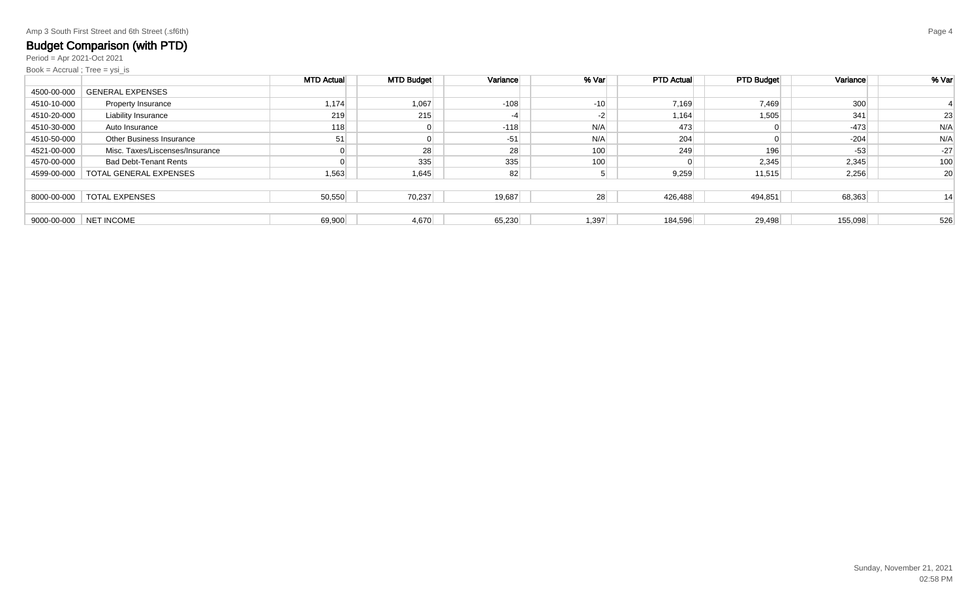Period = Apr 2021-Oct 2021

|             |                                 | <b>MTD Actual</b> | <b>MTD Budget</b> | Variance | % Var | <b>PTD Actual</b> | <b>PTD Budget</b> | Variance | % Var |
|-------------|---------------------------------|-------------------|-------------------|----------|-------|-------------------|-------------------|----------|-------|
| 4500-00-000 | <b>GENERAL EXPENSES</b>         |                   |                   |          |       |                   |                   |          |       |
| 4510-10-000 | <b>Property Insurance</b>       | 1,174             | 1,067             | $-108$   | $-10$ | 7,169             | 7,469             | 300      |       |
| 4510-20-000 | Liability Insurance             | 219               | 215               |          | $-2$  | 1,164             | 1,505             | 341      | 23    |
| 4510-30-000 | Auto Insurance                  | 118               |                   | $-118$   | N/A   | 473               |                   | $-473$   | N/A   |
| 4510-50-000 | <b>Other Business Insurance</b> | 51                |                   | $-51$    | N/A   | 204               |                   | $-204$   | N/A   |
| 4521-00-000 | Misc. Taxes/Liscenses/Insurance |                   | 28                | 28       | 100   | 249               | 196               | $-53$    | $-27$ |
| 4570-00-000 | <b>Bad Debt-Tenant Rents</b>    |                   | 335               | 335      | 100   |                   | 2,345             | 2,345    | 100   |
| 4599-00-000 | TOTAL GENERAL EXPENSES          | 1,563             | 1,645             | 82       |       | 9,259             | 11,515            | 2,256    | 20    |
|             |                                 |                   |                   |          |       |                   |                   |          |       |
| 8000-00-000 | <b>TOTAL EXPENSES</b>           | 50,550            | 70,237            | 19,687   | 28    | 426,488           | 494,851           | 68,363   | 14    |
|             |                                 |                   |                   |          |       |                   |                   |          |       |
| 9000-00-000 | NET INCOME                      | 69,900            | 4,670             | 65,230   | 1,397 | 184,596           | 29,498            | 155,098  | 526   |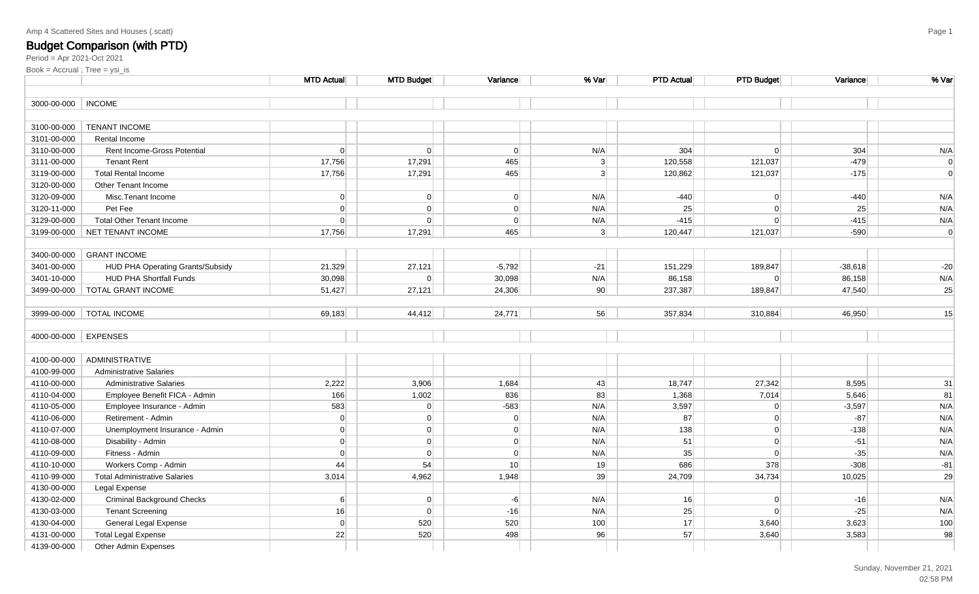| Amp 4 Scattered Sites and Houses (.scatt) |  |  |  |
|-------------------------------------------|--|--|--|
|-------------------------------------------|--|--|--|

|             |                                      | <b>MTD Actual</b> | <b>MTD Budget</b> | Variance       | % Var          | <b>PTD Actual</b> | <b>PTD Budget</b> | <b>Variance</b> | % Var          |
|-------------|--------------------------------------|-------------------|-------------------|----------------|----------------|-------------------|-------------------|-----------------|----------------|
| 3000-00-000 | <b>INCOME</b>                        |                   |                   |                |                |                   |                   |                 |                |
|             |                                      |                   |                   |                |                |                   |                   |                 |                |
| 3100-00-000 | <b>TENANT INCOME</b>                 |                   |                   |                |                |                   |                   |                 |                |
| 3101-00-000 | Rental Income                        |                   |                   |                |                |                   |                   |                 |                |
| 3110-00-000 | Rent Income-Gross Potential          | $\overline{0}$    | $\overline{0}$    | $\Omega$       | N/A            | 304               | $\overline{0}$    | 304             | N/A            |
| 3111-00-000 | <b>Tenant Rent</b>                   | 17,756            | 17,291            | 465            | 3 <sup>1</sup> | 120,558           | 121,037           | $-479$          | $\overline{0}$ |
| 3119-00-000 | <b>Total Rental Income</b>           | 17,756            | 17,291            | 465            | 3 <sup>1</sup> | 120,862           | 121,037           | $-175$          | $\Omega$       |
| 3120-00-000 | Other Tenant Income                  |                   |                   |                |                |                   |                   |                 |                |
| 3120-09-000 | Misc.Tenant Income                   | 0                 | $\overline{0}$    | $\overline{0}$ | N/A            | $-440$            | 0                 | $-440$          | N/A            |
| 3120-11-000 | Pet Fee                              | $\overline{0}$    | $\overline{0}$    | $\overline{0}$ | N/A            | 25                | 0                 | 25              | N/A            |
| 3129-00-000 | <b>Total Other Tenant Income</b>     | $\overline{0}$    | $\overline{0}$    | 0              | N/A            | $-415$            | 0                 | $-415$          | N/A            |
| 3199-00-000 | NET TENANT INCOME                    | 17,756            | 17,291            | 465            | 3 <sup>2</sup> | 120,447           | 121,037           | $-590$          | $\overline{0}$ |
|             |                                      |                   |                   |                |                |                   |                   |                 |                |
| 3400-00-000 | <b>GRANT INCOME</b>                  |                   |                   |                |                |                   |                   |                 |                |
| 3401-00-000 | HUD PHA Operating Grants/Subsidy     | 21,329            | 27,121            | $-5,792$       | $-21$          | 151,229           | 189,847           | $-38,618$       | $-20$          |
| 3401-10-000 | <b>HUD PHA Shortfall Funds</b>       | 30,098            | $\overline{0}$    | 30,098         | N/A            | 86,158            | $\overline{0}$    | 86,158          | N/A            |
|             | 3499-00-000   TOTAL GRANT INCOME     | 51,427            | 27,121            | 24,306         | 90             | 237,387           | 189,847           | 47,540          | 25             |
|             |                                      |                   |                   |                |                |                   |                   |                 |                |
|             | 3999-00-000   TOTAL INCOME           | 69,183            | 44,412            | 24,771         | 56             | 357,834           | 310,884           | 46,950          | 15             |
|             |                                      |                   |                   |                |                |                   |                   |                 |                |
| 4000-00-000 | <b>EXPENSES</b>                      |                   |                   |                |                |                   |                   |                 |                |
|             |                                      |                   |                   |                |                |                   |                   |                 |                |
| 4100-00-000 | ADMINISTRATIVE                       |                   |                   |                |                |                   |                   |                 |                |
| 4100-99-000 | <b>Administrative Salaries</b>       |                   |                   |                |                |                   |                   |                 |                |
| 4110-00-000 | <b>Administrative Salaries</b>       | 2,222             | 3,906             | 1,684          | 43             | 18,747            | 27,342            | 8,595           | 31             |
| 4110-04-000 | Employee Benefit FICA - Admin        | 166               | 1,002             | 836            | 83             | 1,368             | 7,014             | 5,646           | 81             |
| 4110-05-000 | Employee Insurance - Admin           | 583               | $\overline{0}$    | $-583$         | N/A            | 3,597             | $\overline{0}$    | $-3,597$        | N/A            |
| 4110-06-000 | Retirement - Admin                   | $\overline{0}$    | $\overline{0}$    | $\overline{0}$ | N/A            | 87                | 0                 | $-87$           | N/A            |
| 4110-07-000 | Unemployment Insurance - Admin       | $\overline{0}$    | $\overline{0}$    | $\overline{0}$ | N/A            | 138               | $\overline{0}$    | $-138$          | N/A            |
| 4110-08-000 | Disability - Admin                   | 0                 | $\overline{0}$    | $\overline{0}$ | N/A            | 51                | 0                 | $-51$           | N/A            |
| 4110-09-000 | Fitness - Admin                      | $\overline{0}$    | $\overline{0}$    | $\overline{0}$ | N/A            | 35                | 0                 | $-35$           | N/A            |
| 4110-10-000 | Workers Comp - Admin                 | 44                | 54                | 10             | 19             | 686               | 378               | $-308$          | $-81$          |
| 4110-99-000 | <b>Total Administrative Salaries</b> | 3,014             | 4,962             | 1,948          | 39             | 24,709            | 34,734            | 10,025          | 29             |
| 4130-00-000 | Legal Expense                        |                   |                   |                |                |                   |                   |                 |                |
| 4130-02-000 | <b>Criminal Background Checks</b>    | 6 <sup>1</sup>    | $\overline{0}$    | $-6$           | N/A            | 16                | 0                 | $-16$           | N/A            |
| 4130-03-000 | <b>Tenant Screening</b>              | 16                | $\overline{0}$    | $-16$          | N/A            | 25                | $\overline{0}$    | $-25$           | N/A            |
| 4130-04-000 | General Legal Expense                | 0                 | 520               | 520            | 100            | 17                | 3,640             | 3,623           | 100            |
| 4131-00-000 | <b>Total Legal Expense</b>           | 22                | 520               | 498            | 96             | 57                | 3,640             | 3,583           | 98             |
| 4139-00-000 | Other Admin Expenses                 |                   |                   |                |                |                   |                   |                 |                |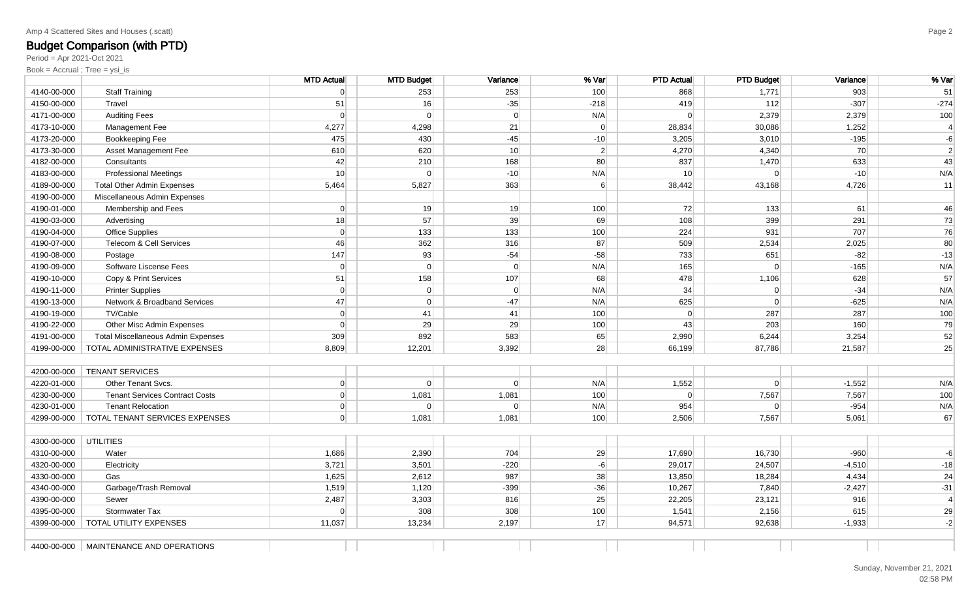### Amp 4 Scattered Sites and Houses (.scatt)

# **Budget Comparison (with PTD)**<br><sub>Period = Apr 2021-Oct 2021</sub>

|             |                                           | <b>MTD Actual</b> | <b>MTD Budget</b> | Variance        | % Var            | <b>PTD Actual</b> | <b>PTD Budget</b> | Variance | % Var        |
|-------------|-------------------------------------------|-------------------|-------------------|-----------------|------------------|-------------------|-------------------|----------|--------------|
| 4140-00-000 | <b>Staff Training</b>                     | $\overline{0}$    | 253               | 253             | 100              | 868               | 1,771             | 903      | 51           |
| 4150-00-000 | Travel                                    | 51                | 16                | $-35$           | $-218$           | 419               | 112               | $-307$   | $-274$       |
| 4171-00-000 | <b>Auditing Fees</b>                      | 0                 | $\overline{0}$    | 0               | N/A              | 0                 | 2,379             | 2,379    | 100          |
| 4173-10-000 | Management Fee                            | 4,277             | 4,298             | 21              | $\overline{0}$   | 28,834            | 30,086            | 1,252    | $\vert$ 4    |
| 4173-20-000 | Bookkeeping Fee                           | 475               | 430               | $-45$           | $-10$            | 3,205             | 3,010             | $-195$   | $-6$         |
| 4173-30-000 | Asset Management Fee                      | 610               | 620               | 10 <sup>1</sup> | $\overline{2}$   | 4,270             | 4,340             | 70       | $\mathbf{2}$ |
| 4182-00-000 | Consultants                               | 42                | 210               | 168             | 80               | 837               | 1,470             | 633      | 43           |
| 4183-00-000 | <b>Professional Meetings</b>              | 10                | $\Omega$          | $-10$           | N/A              | 10                | $\overline{0}$    | $-10$    | N/A          |
| 4189-00-000 | <b>Total Other Admin Expenses</b>         | 5,464             | 5,827             | 363             | $6 \overline{6}$ | 38,442            | 43,168            | 4,726    | 11           |
| 4190-00-000 | Miscellaneous Admin Expenses              |                   |                   |                 |                  |                   |                   |          |              |
| 4190-01-000 | Membership and Fees                       | $\overline{0}$    | 19                | 19              | 100              | 72                | 133               | 61       | 46           |
| 4190-03-000 | Advertising                               | 18                | 57                | 39              | 69               | 108               | 399               | 291      | 73           |
| 4190-04-000 | <b>Office Supplies</b>                    | $\overline{0}$    | 133               | 133             | 100              | 224               | 931               | 707      | 76           |
| 4190-07-000 | Telecom & Cell Services                   | 46                | 362               | 316             | 87               | 509               | 2,534             | 2,025    | 80           |
| 4190-08-000 | Postage                                   | 147               | 93                | $-54$           | $-58$            | 733               | 651               | $-82$    | $-13$        |
| 4190-09-000 | Software Liscense Fees                    | $\overline{0}$    | $\Omega$          | 0               | N/A              | 165               | $\Omega$          | $-165$   | N/A          |
| 4190-10-000 | Copy & Print Services                     | 51                | 158               | 107             | 68               | 478               | 1,106             | 628      | 57           |
| 4190-11-000 | <b>Printer Supplies</b>                   | $\overline{0}$    | $\overline{0}$    | 0               | N/A              | 34                | $\Omega$          | $-34$    | N/A          |
| 4190-13-000 | Network & Broadband Services              | 47                | $\overline{0}$    | $-47$           | N/A              | 625               | $\Omega$          | $-625$   | N/A          |
| 4190-19-000 | TV/Cable                                  | 0                 | 41                | 41              | 100              | 0                 | 287               | 287      | 100          |
| 4190-22-000 | Other Misc Admin Expenses                 | $\overline{0}$    | 29                | 29              | 100              | 43                | 203               | 160      | 79           |
| 4191-00-000 | <b>Total Miscellaneous Admin Expenses</b> | 309               | 892               | 583             | 65               | 2,990             | 6,244             | 3,254    | 52           |
| 4199-00-000 | TOTAL ADMINISTRATIVE EXPENSES             | 8,809             | 12,201            | 3,392           | 28               | 66,199            | 87,786            | 21,587   | 25           |
|             |                                           |                   |                   |                 |                  |                   |                   |          |              |
| 4200-00-000 | <b>TENANT SERVICES</b>                    |                   |                   |                 |                  |                   |                   |          |              |
| 4220-01-000 | Other Tenant Svcs.                        | $\overline{0}$    | $\Omega$          | 0               | N/A              | 1,552             | $\Omega$          | $-1,552$ | N/A          |
| 4230-00-000 | <b>Tenant Services Contract Costs</b>     | $\overline{0}$    | 1,081             | 1,081           | 100              | 0                 | 7,567             | 7,567    | 100          |
| 4230-01-000 | <b>Tenant Relocation</b>                  | $\overline{0}$    | $\Omega$          | $\overline{0}$  | N/A              | 954               | $\Omega$          | $-954$   | N/A          |
| 4299-00-000 | TOTAL TENANT SERVICES EXPENSES            | $\overline{0}$    | 1,081             | 1,081           | 100              | 2,506             | 7,567             | 5,061    | 67           |
|             |                                           |                   |                   |                 |                  |                   |                   |          |              |
| 4300-00-000 | <b>UTILITIES</b>                          |                   |                   |                 |                  |                   |                   |          |              |
| 4310-00-000 | Water                                     | 1,686             | 2,390             | 704             | 29               | 17,690            | 16,730            | $-960$   | $-6$         |
| 4320-00-000 | Electricity                               | 3,721             | 3,501             | $-220$          | $-6$             | 29,017            | 24,507            | $-4,510$ | $-18$        |
| 4330-00-000 | Gas                                       | 1,625             | 2,612             | 987             | 38               | 13,850            | 18,284            | 4,434    | 24           |
| 4340-00-000 | Garbage/Trash Removal                     | 1,519             | 1,120             | $-399$          | $-36$            | 10,267            | 7,840             | $-2,427$ | $-31$        |
| 4390-00-000 | Sewer                                     | 2,487             | 3,303             | 816             | 25               | 22,205            | 23,121            | 916      | $\vert$ 4    |
| 4395-00-000 | Stormwater Tax                            | $\Omega$          | 308               | 308             | 100              | 1,541             | 2,156             | 615      | 29           |
| 4399-00-000 | TOTAL UTILITY EXPENSES                    | 11,037            | 13,234            | 2,197           | 17               | 94,571            | 92,638            | $-1,933$ | $-2$         |
|             |                                           |                   |                   |                 |                  |                   |                   |          |              |
| 4400-00-000 | MAINTENANCE AND OPERATIONS                |                   |                   |                 |                  |                   |                   |          |              |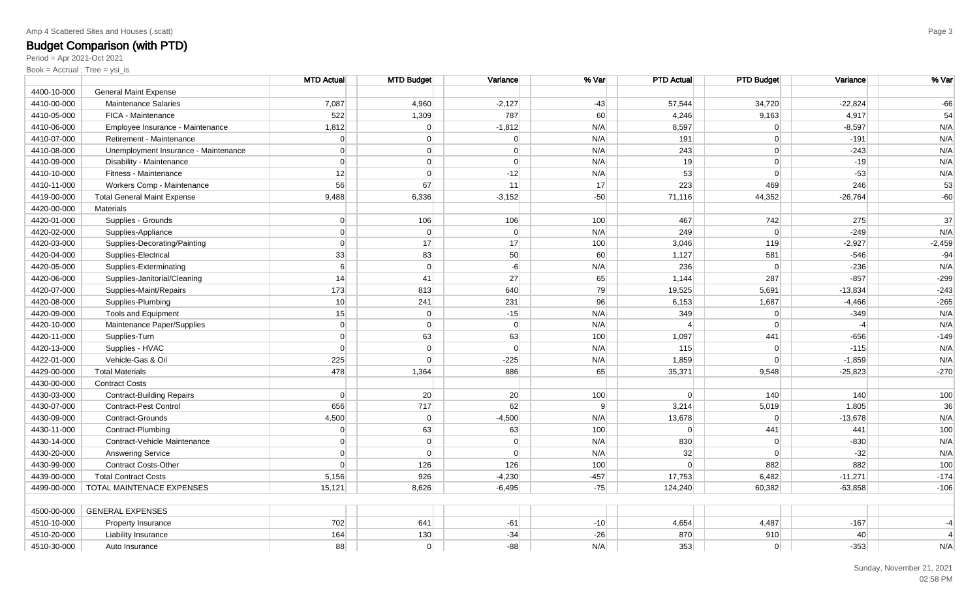Period = Apr 2021-Oct 2021

|             |                                      | <b>MTD Actual</b> | <b>MTD Budget</b> | Variance       | % Var          | <b>PTD Actual</b> | <b>PTD Budget</b> | Variance  | % Var          |
|-------------|--------------------------------------|-------------------|-------------------|----------------|----------------|-------------------|-------------------|-----------|----------------|
| 4400-10-000 | <b>General Maint Expense</b>         |                   |                   |                |                |                   |                   |           |                |
| 4410-00-000 | <b>Maintenance Salaries</b>          | 7,087             | 4,960             | $-2,127$       | $-43$          | 57,544            | 34,720            | $-22,824$ | $-66$          |
| 4410-05-000 | FICA - Maintenance                   | 522               | 1,309             | 787            | 60             | 4,246             | 9,163             | 4,917     | 54             |
| 4410-06-000 | Employee Insurance - Maintenance     | 1,812             | 0                 | $-1,812$       | N/A            | 8,597             | $\Omega$          | $-8,597$  | N/A            |
| 4410-07-000 | Retirement - Maintenance             | $\Omega$          | $\overline{0}$    | $\Omega$       | N/A            | 191               | $\overline{0}$    | $-191$    | N/A            |
| 4410-08-000 | Unemployment Insurance - Maintenance | $\Omega$          | $\overline{0}$    | $\Omega$       | N/A            | 243               | $\overline{0}$    | $-243$    | N/A            |
| 4410-09-000 | Disability - Maintenance             | $\overline{0}$    | $\overline{0}$    | $\overline{0}$ | N/A            | 19                | $\overline{0}$    | $-19$     | N/A            |
| 4410-10-000 | Fitness - Maintenance                | 12                | $\overline{0}$    | $-12$          | N/A            | 53                | $\overline{0}$    | $-53$     | N/A            |
| 4410-11-000 | Workers Comp - Maintenance           | 56                | 67                | 11             | 17             | 223               | 469               | 246       | 53             |
| 4419-00-000 | <b>Total General Maint Expense</b>   | 9,488             | 6,336             | $-3,152$       | $-50$          | 71,116            | 44,352            | $-26,764$ | $-60$          |
| 4420-00-000 | <b>Materials</b>                     |                   |                   |                |                |                   |                   |           |                |
| 4420-01-000 | Supplies - Grounds                   | $\overline{0}$    | 106               | 106            | 100            | 467               | 742               | 275       | 37             |
| 4420-02-000 | Supplies-Appliance                   | $\Omega$          | $\Omega$          | $\overline{0}$ | N/A            | 249               | $\overline{0}$    | $-249$    | N/A            |
| 4420-03-000 | Supplies-Decorating/Painting         | $\Omega$          | 17                | 17             | 100            | 3,046             | 119               | $-2,927$  | $-2,459$       |
| 4420-04-000 | Supplies-Electrical                  | 33                | 83                | 50             | 60             | 1,127             | 581               | $-546$    | $-94$          |
| 4420-05-000 | Supplies-Exterminating               | 6 <sup>1</sup>    | $\overline{0}$    | $-6$           | N/A            | 236               | $\Omega$          | $-236$    | N/A            |
| 4420-06-000 | Supplies-Janitorial/Cleaning         | 14                | 41                | 27             | 65             | 1,144             | 287               | $-857$    | $-299$         |
| 4420-07-000 | Supplies-Maint/Repairs               | 173               | 813               | 640            | 79             | 19,525            | 5,691             | $-13,834$ | $-243$         |
| 4420-08-000 | Supplies-Plumbing                    | 10 <sup>1</sup>   | 241               | 231            | 96             | 6,153             | 1,687             | $-4,466$  | $-265$         |
| 4420-09-000 | <b>Tools and Equipment</b>           | 15                | $\overline{0}$    | $-15$          | N/A            | 349               | $\overline{0}$    | $-349$    | N/A            |
| 4420-10-000 | Maintenance Paper/Supplies           | $\Omega$          | $\overline{0}$    | $\Omega$       | N/A            | $\overline{4}$    | $\Omega$          | $-4$      | N/A            |
| 4420-11-000 | Supplies-Turn                        | $\Omega$          | 63                | 63             | 100            | 1,097             | 441               | $-656$    | $-149$         |
| 4420-13-000 | Supplies - HVAC                      | $\overline{0}$    | $\overline{0}$    | $\overline{0}$ | N/A            | 115               | $\overline{0}$    | $-115$    | N/A            |
| 4422-01-000 | Vehicle-Gas & Oil                    | 225               | $\overline{0}$    | $-225$         | N/A            | 1,859             | $\Omega$          | $-1,859$  | N/A            |
| 4429-00-000 | <b>Total Materials</b>               | 478               | 1,364             | 886            | 65             | 35,371            | 9,548             | $-25,823$ | $-270$         |
| 4430-00-000 | <b>Contract Costs</b>                |                   |                   |                |                |                   |                   |           |                |
| 4430-03-000 | <b>Contract-Building Repairs</b>     | $\Omega$          | 20                | 20             | 100            | $\Omega$          | 140               | 140       | 100            |
| 4430-07-000 | Contract-Pest Control                | 656               | 717               | 62             | 9 <sup>1</sup> | 3,214             | 5,019             | 1,805     | 36             |
| 4430-09-000 | Contract-Grounds                     | 4,500             | $\overline{0}$    | $-4,500$       | N/A            | 13,678            | $\overline{0}$    | $-13,678$ | N/A            |
| 4430-11-000 | Contract-Plumbing                    | $\overline{0}$    | 63                | 63             | 100            | $\Omega$          | 441               | 441       | 100            |
| 4430-14-000 | Contract-Vehicle Maintenance         | $\Omega$          | $\overline{0}$    | $\Omega$       | N/A            | 830               | $\overline{0}$    | $-830$    | N/A            |
| 4430-20-000 | <b>Answering Service</b>             | $\Omega$          | $\overline{0}$    | $\Omega$       | N/A            | 32                | $\Omega$          | $-32$     | N/A            |
| 4430-99-000 | <b>Contract Costs-Other</b>          | $\Omega$          | 126               | 126            | 100            | $\Omega$          | 882               | 882       | 100            |
| 4439-00-000 | <b>Total Contract Costs</b>          | 5,156             | 926               | $-4,230$       | $-457$         | 17,753            | 6,482             | $-11,271$ | $-174$         |
| 4499-00-000 | TOTAL MAINTENACE EXPENSES            | 15,121            | 8,626             | $-6,495$       | $-75$          | 124,240           | 60,382            | $-63,858$ | $-106$         |
|             |                                      |                   |                   |                |                |                   |                   |           |                |
| 4500-00-000 | <b>GENERAL EXPENSES</b>              |                   |                   |                |                |                   |                   |           |                |
| 4510-10-000 | Property Insurance                   | 702               | 641               | $-61$          | $-10$          | 4,654             | 4,487             | $-167$    | $-4$           |
| 4510-20-000 | Liability Insurance                  | 164               | 130               | $-34$          | $-26$          | 870               | 910               | 40        | $\overline{4}$ |
| 4510-30-000 | Auto Insurance                       | 88                | $\overline{0}$    | $-88$          | N/A            | 353               | $\overline{0}$    | $-353$    | N/A            |